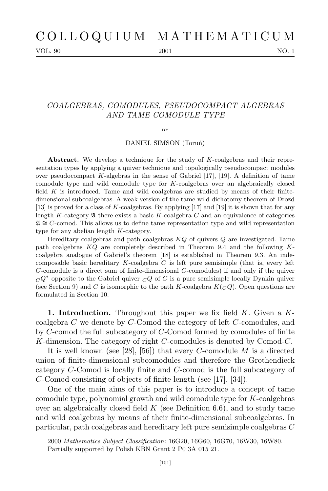VOL. 90 2001 2001 NO. 1

## *COALGEBRAS, COMODULES, PSEUDOCOMPACT ALGEBRAS AND TAME COMODULE TYPE*

 $BV$ 

DANIEL SIMSON (Toruń)

**Abstract.** We develop a technique for the study of *K*-coalgebras and their representation types by applying a quiver technique and topologically pseudocompact modules over pseudocompact *K*-algebras in the sense of Gabriel [17], [19]. A definition of tame comodule type and wild comodule type for *K*-coalgebras over an algebraically closed field *K* is introduced. Tame and wild coalgebras are studied by means of their finitedimensional subcoalgebras. A weak version of the tame-wild dichotomy theorem of Drozd [13] is proved for a class of *K*-coalgebras. By applying [17] and [19] it is shown that for any length  $K$ -category  $\mathfrak A$  there exists a basic  $K$ -coalgebra  $C$  and an equivalence of categories A *∼*= *C*-comod. This allows us to define tame representation type and wild representation type for any abelian length *K*-category.

Hereditary coalgebras and path coalgebras *KQ* of quivers *Q* are investigated. Tame path coalgebras *KQ* are completely described in Theorem 9.4 and the following *K*coalgebra analogue of Gabriel's theorem [18] is established in Theorem 9.3. An indecomposable basic hereditary *K*-coalgebra *C* is left pure semisimple (that is, every left *C*-comodule is a direct sum of finite-dimensional *C*-comodules) if and only if the quiver  $C^{Q^*}$  opposite to the Gabriel quiver  $C^{Q}$  of *C* is a pure semisimple locally Dynkin quiver (see Section 9) and *C* is isomorphic to the path *K*-coalgebra  $K(CQ)$ . Open questions are formulated in Section 10.

**1. Introduction.** Throughout this paper we fix field *K*. Given a *K*coalgebra *C* we denote by *C*-Comod the category of left *C*-comodules, and by *C*-comod the full subcategory of *C*-Comod formed by comodules of finite *K*-dimension. The category of right *C*-comodules is denoted by Comod-*C*.

It is well known (see [28], [56]) that every *C*-comodule *M* is a directed union of finite-dimensional subcomodules and therefore the Grothendieck category *C*-Comod is locally finite and *C*-comod is the full subcategory of *C*-Comod consisting of objects of finite length (see [17], [34]).

One of the main aims of this paper is to introduce a concept of tame comodule type, polynomial growth and wild comodule type for *K*-coalgebras over an algebraically closed field *K* (see Definition 6.6), and to study tame and wild coalgebras by means of their finite-dimensional subcoalgebras. In particular, path coalgebras and hereditary left pure semisimple coalgebras *C*

<sup>2000</sup> *Mathematics Subject Classification*: 16G20, 16G60, 16G70, 16W30, 16W80. Partially supported by Polish KBN Grant 2 P0 3A 015 21.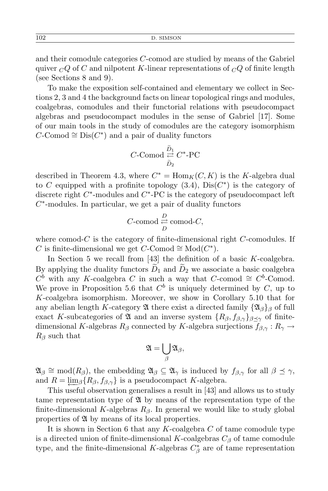and their comodule categories *C*-comod are studied by means of the Gabriel quiver  $\overline{C}Q$  of *C* and nilpotent *K*-linear representations of  $\overline{C}Q$  of finite length (see Sections 8 and 9).

To make the exposition self-contained and elementary we collect in Sections 2, 3 and 4 the background facts on linear topological rings and modules, coalgebras, comodules and their functorial relations with pseudocompact algebras and pseudocompact modules in the sense of Gabriel [17]. Some of our main tools in the study of comodules are the category isomorphism  $C$ -Comod  $\cong$  Dis $(C^*)$  and a pair of duality functors

$$
C\text{-Comod}\underset{\tilde{D}_2}{\rightleftarrows}C^*\text{-PC}
$$

described in Theorem 4.3, where  $C^* = \text{Hom}_K(C, K)$  is the *K*-algebra dual to *C* equipped with a profinite topology  $(3.4)$ ,  $Dis(C^*)$  is the category of discrete right  $C^*$ -modules and  $C^*$ -PC is the category of pseudocompact left *C ∗* -modules. In particular, we get a pair of duality functors

$$
C\text{-comod}\underset{D}{\overset{D}{\rightleftarrows}}\mathrm{comod}\text{-}C,
$$

where comod-*C* is the category of finite-dimensional right *C*-comodules. If *C* is finite-dimensional we get *C*-Comod  $\cong$  Mod( $C^*$ ).

In Section 5 we recall from [43] the definition of a basic *K*-coalgebra. By applying the duality functors  $\tilde{D}_1$  and  $\tilde{D}_2$  we associate a basic coalgebra  $C^b$  with any *K*-coalgebra *C* in such a way that  $C$ -comod  $\cong C^b$ -Comod. We prove in Proposition 5.6 that  $C^b$  is uniquely determined by  $C$ , up to *K*-coalgebra isomorphism. Moreover, we show in Corollary 5.10 that for any abelian length *K*-category  $\mathfrak A$  there exist a directed family  ${\mathfrak{A}}_{\beta}$  of full exact *K*-subcategories of  $\mathfrak A$  and an inverse system  $\{R_\beta, f_{\beta,\gamma}\}_{\beta \prec \gamma}$  of finitedimensional *K*-algebras  $R_\beta$  connected by *K*-algebra surjections  $f_{\beta,\gamma}: R_\gamma \to$ *R<sup>β</sup>* such that

$$
\mathfrak{A}=\bigcup_{\beta}\mathfrak{A}_{\beta},
$$

 $\mathfrak{A}_{\beta} \cong \text{mod}(R_{\beta})$ , the embedding  $\mathfrak{A}_{\beta} \subseteq \mathfrak{A}_{\gamma}$  is induced by  $f_{\beta,\gamma}$  for all  $\beta \preceq \gamma$ , and  $R = \lim_{\beta} {R_{\beta}, f_{\beta, \gamma}}$  is a pseudocompact *K*-algebra.

This useful observation generalises a result in [43] and allows us to study tame representation type of  $\mathfrak{A}$  by means of the representation type of the finite-dimensional *K*-algebras *Rβ*. In general we would like to study global properties of A by means of its local properties.

It is shown in Section 6 that any *K*-coalgebra *C* of tame comodule type is a directed union of finite-dimensional  $K$ -coalgebras  $C_{\beta}$  of tame comodule type, and the finite-dimensional *K*-algebras  $C^*_{\beta}$  are of tame representation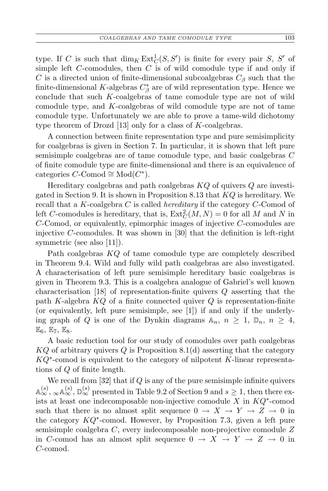type. If *C* is such that  $\dim_K \text{Ext}^1_C(S, S')$  is finite for every pair *S*, *S'* of simple left *C*-comodules, then *C* is of wild comodule type if and only if *C* is a directed union of finite-dimensional subcoalgebras  $C_\beta$  such that the finite-dimensional *K*-algebras  $C^*_{\beta}$  are of wild representation type. Hence we conclude that such *K*-coalgebras of tame comodule type are not of wild comodule type, and *K*-coalgebras of wild comodule type are not of tame comodule type. Unfortunately we are able to prove a tame-wild dichotomy type theorem of Drozd [13] only for a class of *K*-coalgebras.

A connection between finite representation type and pure semisimplicity for coalgebras is given in Section 7. In particular, it is shown that left pure semisimple coalgebras are of tame comodule type, and basic coalgebras *C* of finite comodule type are finite-dimensional and there is an equivalence of  $c$ ategories  $C$ -Comod  $\cong Mod(C^*).$ 

Hereditary coalgebras and path coalgebras *KQ* of quivers *Q* are investigated in Section 9. It is shown in Proposition 8.13 that *KQ* is hereditary. We recall that a *K*-coalgebra *C* is called *hereditary* if the category *C*-Comod of left *C*-comodules is hereditary, that is,  $\text{Ext}^2_C(M, N) = 0$  for all *M* and *N* in *C*-Comod, or equivalently, epimorphic images of injective *C*-comodules are injective *C*-comodules. It was shown in [30] that the definition is left-right symmetric (see also [11]).

Path coalgebras *KQ* of tame comodule type are completely described in Theorem 9.4. Wild and fully wild path coalgebras are also investigated. A characterisation of left pure semisimple hereditary basic coalgebras is given in Theorem 9.3. This is a coalgebra analogue of Gabriel's well known characterisation [18] of representation-finite quivers *Q* asserting that the path *K*-algebra *KQ* of a finite connected quiver *Q* is representation-finite (or equivalently, left pure semisimple, see [1]) if and only if the underlying graph of *Q* is one of the Dynkin diagrams  $A_n$ ,  $n \geq 1$ ,  $\mathbb{D}_n$ ,  $n \geq 4$ ,  $E_6, E_7, E_8.$ 

A basic reduction tool for our study of comodules over path coalgebras *KQ* of arbitrary quivers *Q* is Proposition 8.1(d) asserting that the category *KQ<sup>∗</sup>* -comod is equivalent to the category of nilpotent *K*-linear representations of *Q* of finite length.

We recall from [32] that if *Q* is any of the pure semisimple infinite quivers  $\mathbb{A}_{\infty}^{(s)}$ ,  $\mathbb{A}_{\infty}^{(s)}$ ,  $\mathbb{D}_{\infty}^{(s)}$  presented in Table 9.2 of Section 9 and  $s \geq 1$ , then there exists at least one indecomposable non-injective comodule *X* in *KQ<sup>∗</sup>* -comod such that there is no almost split sequence  $0 \rightarrow X \rightarrow Y \rightarrow Z \rightarrow 0$  in the category *KQ<sup>∗</sup>* -comod. However, by Proposition 7.3, given a left pure semisimple coalgebra *C*, every indecomposable non-projective comodule *Z* in *C*-comod has an almost split sequence  $0 \rightarrow X \rightarrow Y \rightarrow Z \rightarrow 0$  in *C*-comod.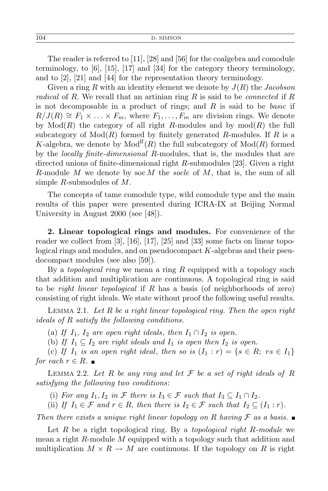The reader is referred to [11], [28] and [56] for the coalgebra and comodule terminology, to [6], [15], [17] and [34] for the category theory terminology, and to [2], [21] and [44] for the representation theory terminology.

Given a ring *R* with an identity element we denote by *J*(*R*) the *Jacobson radical* of *R*. We recall that an artinian ring *R* is said to be *connected* if *R* is not decomposable in a product of rings; and *R* is said to be *basic* if  $R/J(R) \cong F_1 \times \ldots \times F_m$ , where  $F_1, \ldots, F_m$  are division rings. We denote by  $Mod(R)$  the category of all right *R*-modules and by  $mod(R)$  the full subcategory of  $Mod(R)$  formed by finitely generated *R*-modules. If R is a *K*-algebra, we denote by  $Mod<sup>If</sup>(R)$  the full subcategory of  $Mod(R)$  formed by the *locally finite-dimensional R*-modules, that is, the modules that are directed unions of finite-dimensional right *R*-submodules [23]. Given a right *R*-module *M* we denote by soc *M* the *socle* of *M*, that is, the sum of all simple *R*-submodules of *M*.

The concepts of tame comodule type, wild comodule type and the main results of this paper were presented during ICRA-IX at Beijing Normal University in August 2000 (see [48]).

**2. Linear topological rings and modules.** For convenience of the reader we collect from  $\lbrack 3 \rbrack$ ,  $\lbrack 16 \rbrack$ ,  $\lbrack 17 \rbrack$ ,  $\lbrack 25 \rbrack$  and  $\lbrack 33 \rbrack$  some facts on linear topological rings and modules, and on pseudocompact *K*-algebras and their pseudocompact modules (see also [59]).

By a *topological ring* we mean a ring *R* equipped with a topology such that addition and multiplication are continuous. A topological ring is said to be *right linear topological* if *R* has a basis (of neighborhoods of zero) consisting of right ideals. We state without proof the following useful results.

Lemma 2.1. *Let R be a right linear topological ring. Then the open right ideals of R satisfy the following conditions.*

(a) If  $I_1$ ,  $I_2$  are open right ideals, then  $I_1 \cap I_2$  is open.

(b) If  $I_1 \subseteq I_2$  are right ideals and  $I_1$  is open then  $I_2$  is open.

(c) If  $I_1$  is an open right ideal, then so is  $(I_1 : r) = \{s \in R; rs \in I_1\}$ *for each*  $r \in R$ .

LEMMA 2.2. Let R be any ring and let  $\mathcal F$  be a set of right ideals of R *satisfying the following two conditions*:

(i) *For any*  $I_1, I_2$  *in*  $\mathcal F$  *there is*  $I_3 \in \mathcal F$  *such that*  $I_3 \subseteq I_1 \cap I_2$ *.* 

(ii) If  $I_1 \in \mathcal{F}$  and  $r \in R$ , then there is  $I_2 \in \mathcal{F}$  such that  $I_2 \subseteq (I_1 : r)$ .

*Then there exists a unique right linear topology on*  $R$  *having*  $F$  *as a basis.* 

Let *R* be a right topological ring. By a *topological right R-module* we mean a right *R*-module *M* equipped with a topology such that addition and multiplication  $M \times R \to M$  are continuous. If the topology on R is right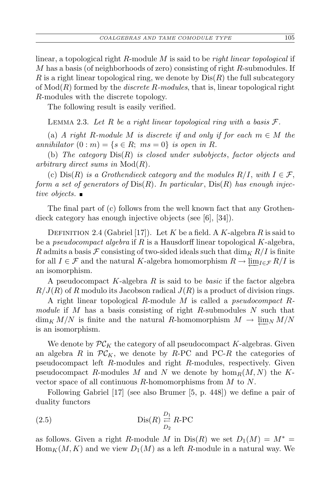linear, a topological right *R*-module *M* is said to be *right linear topological* if *M* has a basis (of neighborhoods of zero) consisting of right *R*-submodules. If *R* is a right linear topological ring, we denote by  $Dis(R)$  the full subcategory of Mod(*R*) formed by the *discrete R-modules*, that is, linear topological right *R*-modules with the discrete topology.

The following result is easily verified.

LEMMA 2.3. Let  $R$  be a right linear topological ring with a basis  $F$ .

(a) *A* right *R*-module *M* is discrete if and only if for each  $m \in M$  the *annihilator*  $(0 : m) = \{s \in R; ms = 0\}$  *is open in R.* 

(b) *The category* Dis(*R*) *is closed under subobjects*, *factor objects and arbitrary direct sums in* Mod(*R*)*.*

(c)  $\text{Dis}(R)$  *is a Grothendieck category and the modules*  $R/I$ , with  $I \in \mathcal{F}$ , *form a set of generators of* Dis(*R*)*. In particular* , Dis(*R*) *has enough injective objects.*

The final part of (c) follows from the well known fact that any Grothendieck category has enough injective objects (see [6], [34]).

DEFINITION 2.4 (Gabriel [17]). Let *K* be a field. A *K*-algebra *R* is said to be a *pseudocompact algebra* if *R* is a Hausdorff linear topological *K*-algebra, *R* admits a basis  $\mathcal F$  consisting of two-sided ideals such that  $\dim_K R/I$  is finite for all  $I \in \mathcal{F}$  and the natural *K*-algebra homomorphism  $R \to \lim_{I \in \mathcal{F}} R/I$  is an isomorphism.

A pseudocompact *K*-algebra *R* is said to be *basic* if the factor algebra  $R/J(R)$  of *R* modulo its Jacobson radical  $J(R)$  is a product of division rings.

A right linear topological *R*-module *M* is called a *pseudocompact Rmodule* if *M* has a basis consisting of right *R*-submodules *N* such that  $\dim_K M/N$  is finite and the natural *R*-homomorphism  $M \to \lim_N M/N$ is an isomorphism.

We denote by  $\mathcal{PC}_K$  the category of all pseudocompact *K*-algebras. Given an algebra *R* in  $\mathcal{PC}_K$ , we denote by *R*-PC and PC-*R* the categories of pseudocompact left *R*-modules and right *R*-modules, respectively. Given pseudocompact *R*-modules *M* and *N* we denote by  $hom_R(M, N)$  the *K*vector space of all continuous *R*-homomorphisms from *M* to *N*.

Following Gabriel [17] (see also Brumer [5, p. 448]) we define a pair of duality functors

(2.5) 
$$
\operatorname{Dis}(R) \underset{D_2}{\overset{D_1}{\rightleftarrows}} R\text{-PC}
$$

as follows. Given a right *R*-module *M* in  $Dis(R)$  we set  $D_1(M) = M^*$  $\text{Hom}_K(M, K)$  and we view  $D_1(M)$  as a left *R*-module in a natural way. We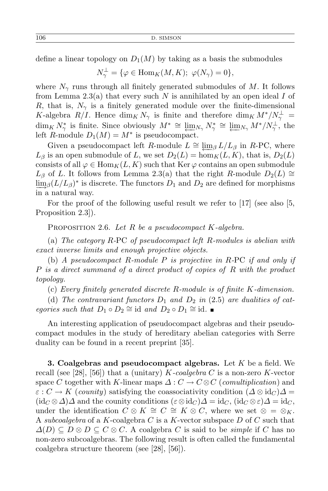define a linear topology on  $D_1(M)$  by taking as a basis the submodules

$$
N_{\gamma}^{\perp} = \{ \varphi \in \text{Hom}_{K}(M, K); \ \varphi(N_{\gamma}) = 0 \},
$$

where  $N_{\gamma}$  runs through all finitely generated submodules of M. It follows from Lemma 2.3(a) that every such *N* is annihilated by an open ideal *I* of *R*, that is,  $N_{\gamma}$  is a finitely generated module over the finite-dimensional *K*-algebra *R/I*. Hence  $\dim_K N_\gamma$  is finite and therefore  $\dim_K M^*/N_\gamma^{\perp}$  =  $\dim_K N^*_{\gamma}$  is finite. Since obviously  $M^* \cong \underleftarrow{\lim}_{N_{\gamma}} N^*_{\gamma} \cong \underleftarrow{\lim}_{N_{\gamma}} M^*/N^{\perp}_{\gamma}$ , the left *R*-module  $D_1(M) = M^*$  is pseudocompact.

Given a pseudocompact left *R*-module  $L \cong \lim_{\beta} L/L_{\beta}$  in *R*-PC, where  $L_\beta$  is an open submodule of *L*, we set  $D_2(L) = \hom_K(L, K)$ , that is,  $D_2(L)$ consists of all  $\varphi \in \text{Hom}_K(L, K)$  such that Ker  $\varphi$  contains an open submodule  $L_\beta$  of *L*. It follows from Lemma 2.3(a) that the right *R*-module  $D_2(L) \cong$  $\lim_{\Delta t \to 0} (L/L_{\beta})^*$  is discrete. The functors  $D_1$  and  $D_2$  are defined for morphisms in a natural way.

For the proof of the following useful result we refer to [17] (see also [5, Proposition 2.3]).

Proposition 2.6. *Let R be a pseudocompact K-algebra.*

(a) *The category R-*PC *of pseudocompact left R-modules is abelian with exact inverse limits and enough projective objects.*

(b) *A pseudocompact R-module P is projective in R-*PC *if and only if P is a direct summand of a direct product of copies of R with the product topology.*

(c) *Every finitely generated discrete R-module is of finite K-dimension.*

(d) The contravariant functors  $D_1$  and  $D_2$  in (2.5) are dualities of cat*egories such that*  $D_1 \circ D_2 \cong id$  *and*  $D_2 \circ D_1 \cong id$ *.* 

An interesting application of pseudocompact algebras and their pseudocompact modules in the study of hereditary abelian categories with Serre duality can be found in a recent preprint [35].

**3. Coalgebras and pseudocompact algebras.** Let *K* be a field. We recall (see [28], [56]) that a (unitary) *K-coalgebra C* is a non-zero *K*-vector space *C* together with *K*-linear maps  $\Delta : C \to C \otimes C$  (*comultiplication*) and  $\varepsilon$  :  $C \rightarrow K$  (*counity*) satisfying the coassociativity condition  $(\Delta \otimes id_C)\Delta =$  $(\mathrm{id}_C \otimes \Delta) \Delta$  and the counity conditions  $(\varepsilon \otimes \mathrm{id}_C) \Delta = \mathrm{id}_C$ ,  $(\mathrm{id}_C \otimes \varepsilon) \Delta = \mathrm{id}_C$ , under the identification  $C \otimes K \cong C \cong K \otimes C$ , where we set  $\otimes = \otimes_K$ . A *subcoalgebra* of a *K*-coalgebra *C* is a *K*-vector subspace *D* of *C* such that  $\Delta(D)$  ⊆  $D \otimes D \subseteq C \otimes C$ . A coalgebra *C* is said to be *simple* if *C* has no non-zero subcoalgebras. The following result is often called the fundamental coalgebra structure theorem (see [28], [56]).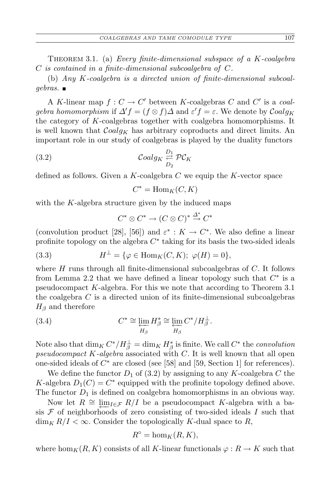Theorem 3.1. (a) *Every finite-dimensional subspace of a K-coalgebra C is contained in a finite-dimensional subcoalgebra of C.*

(b) *Any K-coalgebra is a directed union of finite-dimensional subcoalgebras.*

A *K*-linear map  $f: C \to C'$  between *K*-coalgebras *C* and *C'* is a *coalgebra homomorphism* if  $\Delta' f = (f \otimes f) \Delta$  and  $\varepsilon' f = \varepsilon$ . We denote by  $Coalg_K$ the category of *K*-coalgebras together with coalgebra homomorphisms. It is well known that *Coalg<sup>K</sup>* has arbitrary coproducts and direct limits. An important role in our study of coalgebras is played by the duality functors

(3.2) 
$$
\mathcal{C}oalg_K \stackrel{D_1}{\underset{D_2}{\rightleftarrows}} \mathcal{PC}_K
$$

defined as follows. Given a *K*-coalgebra *C* we equip the *K*-vector space

$$
C^* = \operatorname{Hom}_K(C, K)
$$

with the *K*-algebra structure given by the induced maps

$$
C^* \otimes C^* \to (C \otimes C)^* \xrightarrow{\Delta^*} C^*
$$

(convolution product [28], [56]) and  $\varepsilon^*$  :  $K \to C^*$ . We also define a linear profinite topology on the algebra  $C^*$  taking for its basis the two-sided ideals

(3.3) 
$$
H^{\perp} = \{ \varphi \in \text{Hom}_K(C, K); \ \varphi(H) = 0 \},
$$

where *H* runs through all finite-dimensional subcoalgebras of *C*. It follows from Lemma 2.2 that we have defined a linear topology such that  $C^*$  is a pseudocompact *K*-algebra. For this we note that according to Theorem 3.1 the coalgebra *C* is a directed union of its finite-dimensional subcoalgebras *H<sup>β</sup>* and therefore

(3.4) 
$$
C^* \cong \varprojlim_{H_\beta} H_\beta^* \cong \varprojlim_{H_\beta} C^* / H_\beta^\perp.
$$

Note also that  $\dim_K C^* / H_\beta^\perp = \dim_K H_\beta^*$  is finite. We call  $C^*$  the *convolution pseudocompact K-algebra* associated with *C*. It is well known that all open one-sided ideals of *C <sup>∗</sup>* are closed (see [58] and [59, Section 1] for references).

We define the functor  $D_1$  of (3.2) by assigning to any *K*-coalgebra *C* the *K*-algebra  $D_1(C) = C^*$  equipped with the profinite topology defined above. The functor  $D_1$  is defined on coalgebra homomorphisms in an obvious way.

Now let  $R \cong \lim_{I \in \mathcal{F}} R/I$  be a pseudocompact *K*-algebra with a basis *F* of neighborhoods of zero consisting of two-sided ideals *I* such that  $\dim_K R/I < \infty$ . Consider the topologically *K*-dual space to *R*,

$$
R^{\circ} = \hom_K(R, K),
$$

where hom<sub>K</sub>( $R, K$ ) consists of all *K*-linear functionals  $\varphi : R \to K$  such that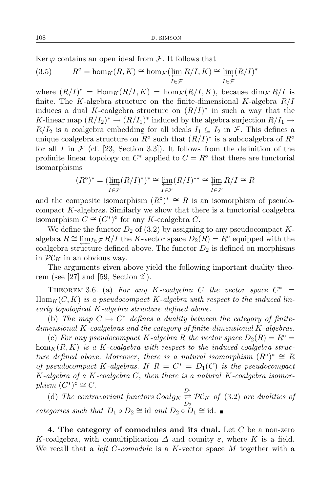Ker  $\varphi$  contains an open ideal from  $\mathcal{F}$ . It follows that

(3.5) 
$$
R^{\circ} = \hom_K(R, K) \cong \hom_K(\varprojlim_{I \in \mathcal{F}} R/I, K) \cong \varinjlim_{I \in \mathcal{F}} (R/I)^*
$$

where  $(R/I)^* = \text{Hom}_K(R/I, K) = \text{hom}_K(R/I, K)$ , because  $\dim_K R/I$  is finite. The *K*-algebra structure on the finite-dimensional *K*-algebra *R/I* induces a dual *K*-coalgebra structure on  $(R/I)^*$  in such a way that the *K*-linear map  $(R/I_2)^* \rightarrow (R/I_1)^*$  induced by the algebra surjection  $R/I_1 \rightarrow$  $R/I_2$  is a coalgebra embedding for all ideals  $I_1 \subseteq I_2$  in  $\mathcal{F}$ . This defines a unique coalgebra structure on  $R^{\circ}$  such that  $(R/I)^*$  is a subcoalgebra of  $R^{\circ}$ for all *I* in  $\mathcal F$  (cf. [23, Section 3.3]). It follows from the definition of the profinite linear topology on  $C^*$  applied to  $C = R^\circ$  that there are functorial isomorphisms

$$
(R^{\circ})^* = (\varinjlim_{I \in \mathcal{F}} (R/I)^*)^* \cong \varprojlim_{I \in \mathcal{F}} (R/I)^{**} \cong \varprojlim_{I \in \mathcal{F}} R/I \cong R
$$

and the composite isomorphism  $(R^{\circ})^* \cong R$  is an isomorphism of pseudocompact *K*-algebras. Similarly we show that there is a functorial coalgebra isomorphism  $C \cong (C^*)^{\circ}$  for any *K*-coalgebra *C*.

We define the functor  $D_2$  of (3.2) by assigning to any pseudocompact  $K$ algebra  $R \cong \underleftarrow{\lim_{I \in \mathcal{F}} R/I}$  the *K*-vector space  $D_2(R) = R^\circ$  equipped with the coalgebra structure defined above. The functor  $D_2$  is defined on morphisms in  $\mathcal{PC}_K$  in an obvious way.

The arguments given above yield the following important duality theorem (see [27] and [59, Section 2]).

THEOREM 3.6. (a) For any K-coalgebra C the vector space  $C^*$  =  $\text{Hom}_K(C, K)$  *is a pseudocompact* K-algebra with respect to the induced lin*early topological K-algebra structure defined above.*

(b) The map  $C \mapsto C^*$  defines a duality between the category of finite*dimensional K-coalgebras and the category of finite-dimensional K-algebras.*

(c) For any pseudocompact *K*-algebra *R* the vector space  $D_2(R) = R^\circ =$ hom<sub>K</sub> $(R, K)$  *is a K-coalgebra with respect to the induced coalgebra structure defined above. Moreover, there is a natural isomorphism*  $(R^{\circ})^* \cong R$ *of pseudocompact K*-algebras. If  $R = C^* = D_1(C)$  *is the pseudocompact K-algebra of a K-coalgebra C*, *then there is a natural K-coalgebra isomor* $phism$   $(C^*)^{\circ} \cong C$ .

(d) The contravariant functors  $Coalg_K \stackrel{D_1}{\rightleftharpoons} \mathcal{PC}_K$  of (3.2) are dualities of *D*2 *categories such that*  $D_1 \circ D_2 \cong id$  *and*  $D_2 \circ D_1 \cong id$ .

**4. The category of comodules and its dual.** Let *C* be a non-zero *K*-coalgebra, with comultiplication  $\Delta$  and counity  $\varepsilon$ , where *K* is a field. We recall that a *left C-comodule* is a *K*-vector space *M* together with a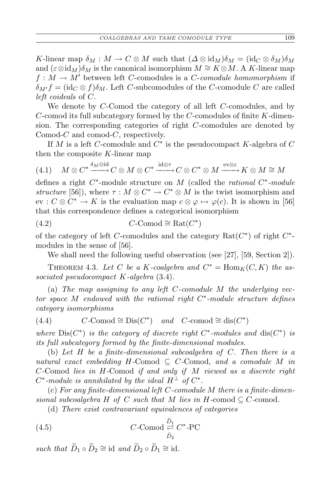*K*-linear map  $\delta_M : M \to C \otimes M$  such that  $(\Delta \otimes id_M)\delta_M = (id_C \otimes \delta_M)\delta_M$ and  $(\varepsilon \otimes id_M)\delta_M$  is the canonical isomorphism  $M \cong K \otimes M$ . A *K*-linear map  $f: M \to M'$  between left *C*-comodules is a *C*-*comodule homomorphism* if  $\delta_{M'} f = (\mathrm{id}_C \otimes f) \delta_M$ . Left *C*-subcomodules of the *C*-comodule *C* are called *left coideals* of *C*.

We denote by *C*-Comod the category of all left *C*-comodules, and by *C*-comod its full subcategory formed by the *C*-comodules of finite *K*-dimension. The corresponding categories of right *C*-comodules are denoted by Comod-*C* and comod-*C*, respectively.

If  $M$  is a left  $C$ -comodule and  $C^*$  is the pseudocompact  $K$ -algebra of  $C$ then the composite *K*-linear map

(4.1) 
$$
M \otimes C^* \xrightarrow{\delta_M \otimes \mathrm{id}} C \otimes M \otimes C^* \xrightarrow{\mathrm{id} \otimes \tau} C \otimes C^* \otimes M \xrightarrow{\mathrm{ev} \otimes \varepsilon} K \otimes M \cong M
$$

defines a right *C ∗* -module structure on *M* (called the *rational C ∗ -module structure* [56]), where  $\tau : M \otimes C^* \to C^* \otimes M$  is the twist isomorphism and  $ev: C \otimes C^* \to K$  is the evaluation map  $c \otimes \varphi \mapsto \varphi(c)$ . It is shown in [56] that this correspondence defines a categorical isomorphism

$$
(4.2)\qquad \qquad C\text{-Comod}\cong\operatorname{Rat}(C^*)
$$

of the category of left *C*-comodules and the category  $\text{Rat}(C^*)$  of right  $C^*$ modules in the sense of [56].

We shall need the following useful observation (see [27], [59, Section 2]).

THEOREM 4.3. Let C be a K-coalgebra and  $C^* = \text{Hom}_K(C, K)$  the as*sociated pseudocompact K-algebra* (3.4)*.*

(a) *The map assigning to any left C-comodule M the underlying vector space M endowed with the rational right C ∗ -module structure defines category isomorphisms*

(4.4) 
$$
C\text{-Comod}\cong \text{Dis}(C^*) \quad \text{and} \quad C\text{-comod}\cong \text{dis}(C^*)
$$

*where*  $Dis(C^*)$  *is the category of discrete right*  $C^*$ -modules and  $dis(C^*)$  *is its full subcategory formed by the finite-dimensional modules.*

(b) *Let H be a finite-dimensional subcoalgebra of C. Then there is a natural exact embedding*  $H$ -Comod  $\subseteq C$ -Comod, and a comodule M in *C-*Comod *lies in H-*Comod *if and only if M viewed as a discrete right*  $C^*$ -module is annihilated by the ideal  $H^{\perp}$  of  $C^*$ .

(c) *For any finite-dimensional left C-comodule M there is a finite-dimensional subcoalgebra*  $H$  *of*  $C$  *such that*  $M$  *lies in*  $H$ *-comod*  $\subseteq$   $C$ *-comod.* 

(d) *There exist contravariant equivalences of categories*

(4.5) 
$$
C\text{-Comod }\overset{\tilde{D}_1}{\underset{\tilde{D}_2}{\rightleftharpoons}} C^*\text{-PC}
$$

*such that*  $\widetilde{D}_1 \circ \widetilde{D}_2 \cong \text{id}$  *and*  $\widetilde{D}_2 \circ \widetilde{D}_1 \cong \text{id}$ *.*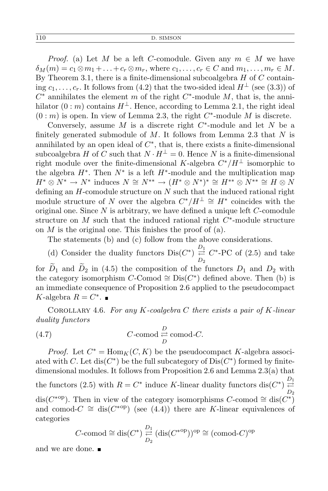*Proof.* (a) Let *M* be a left *C*-comodule. Given any  $m \in M$  we have  $\delta_M(m) = c_1 \otimes m_1 + \ldots + c_r \otimes m_r$ , where  $c_1, \ldots, c_r \in C$  and  $m_1, \ldots, m_r \in M$ . By Theorem 3.1, there is a finite-dimensional subcoalgebra *H* of *C* containing  $c_1, \ldots, c_r$ . It follows from (4.2) that the two-sided ideal  $H^{\perp}$  (see (3.3)) of *C <sup>∗</sup>* annihilates the element *m* of the right *C ∗* -module *M*, that is, the annihilator  $(0 : m)$  contains  $H^{\perp}$ . Hence, according to Lemma 2.1, the right ideal  $(0 : m)$  is open. In view of Lemma 2.3, the right  $C^*$ -module M is discrete.

Conversely, assume *M* is a discrete right *C ∗* -module and let *N* be a finitely generated submodule of *M*. It follows from Lemma 2.3 that *N* is annihilated by an open ideal of  $C^*$ , that is, there exists a finite-dimensional subcoalgebra *H* of *C* such that  $N \cdot H^{\perp} = 0$ . Hence *N* is a finite-dimensional right module over the finite-dimensional *K*-algebra  $C^*/H^{\perp}$  isomorphic to the algebra  $H^*$ . Then  $N^*$  is a left  $H^*$ -module and the multiplication map  $H^* \otimes N^* \to N^*$  induces  $N \cong N^{**} \to (H^* \otimes N^*)^* \cong H^{**} \otimes N^{**} \cong H \otimes N$ defining an *H*-comodule structure on *N* such that the induced rational right module structure of *N* over the algebra  $C^*/H^{\perp} \cong H^*$  coincides with the original one. Since *N* is arbitrary, we have defined a unique left *C*-comodule structure on *M* such that the induced rational right  $C^*$ -module structure on *M* is the original one. This finishes the proof of (a).

The statements (b) and (c) follow from the above considerations.

(d) Consider the duality functors  $Dis(C^*) \stackrel{D_1}{\rightleftarrows} C^*$ -PC of (2.5) and take *D*2 for  $\widetilde{D}_1$  and  $\widetilde{D}_2$  in (4.5) the composition of the functors  $D_1$  and  $D_2$  with the category isomorphism *C*-Comod  $\cong$  Dis(*C*<sup>\*</sup>) defined above. Then (b) is an immediate consequence of Proposition 2.6 applied to the pseudocompact *K*-algebra  $R = C^*$ .

Corollary 4.6. *For any K-coalgebra C there exists a pair of K-linear duality functors*

(4.7) 
$$
C\text{-comod}\underset{D}{\overset{D}{\rightleftarrows}}\text{comod-}C.
$$

*Proof.* Let  $C^* = \text{Hom}_K(C, K)$  be the pseudocompact *K*-algebra associated with *C*. Let dis( $C^*$ ) be the full subcategory of  $Dis(C^*)$  formed by finitedimensional modules. It follows from Proposition 2.6 and Lemma 2.3(a) that the functors (2.5) with  $R = C^*$  induce *K*-linear duality functors dis( $C^*$ )  $\stackrel{D_1}{\rightleftarrows}$ *D*2 dis( $C^{*op}$ ). Then in view of the category isomorphisms  $C$ -comod  $\cong$  dis $(C^*$ ) and comod- $C \cong \text{dis}(C^{*op})$  (see (4.4)) there are *K*-linear equivalences of categories

$$
C
$$
-comod  $\cong$  dis $(C^*)$   $\underset{D_2}{\overset{D_1}{\rightleftarrows}} (\text{dis}(C^{*op}))^{op} \cong (\text{comod-}C)^{op}$ 

and we are done.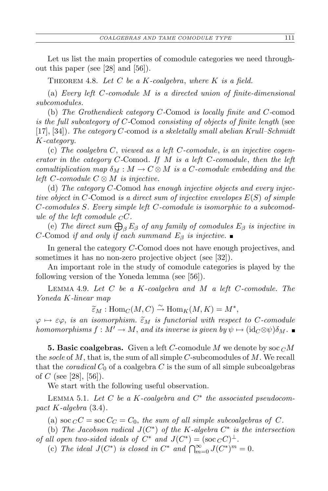Let us list the main properties of comodule categories we need throughout this paper (see [28] and [56]).

Theorem 4.8. *Let C be a K-coalgebra*, *where K is a field.*

(a) *Every left C-comodule M is a directed union of finite-dimensional subcomodules.*

(b) *The Grothendieck category C-*Comod *is locally finite and C-*comod *is the full subcategory of C-*Comod *consisting of objects of finite length* (see [17], [34])*. The category C-*comod *is a skeletally small abelian Krull–Schmidt K-category.*

(c) *The coalgebra C*, *viewed as a left C-comodule*, *is an injective cogenerator in the category C-*Comod*. If M is a left C-comodule*, *then the left comultiplication map*  $\delta_M : M \to C \otimes M$  *is a C*-comodule embedding and the *left C-comodule C ⊗ M is injective.*

(d) *The category C-*Comod *has enough injective objects and every injective object in C-*Comod *is a direct sum of injective envelopes E*(*S*) *of simple C-comodules S. Every simple left C-comodule is isomorphic to a subcomodule of the left comodule*  $C$ *C.* 

(e) The direct sum  $\bigoplus_{\beta} E_{\beta}$  of any family of comodules  $E_{\beta}$  is injective in *C*-Comod *if and only if each summand*  $E_\beta$  *is injective.* 

In general the category *C*-Comod does not have enough projectives, and sometimes it has no non-zero projective object (see [32]).

An important role in the study of comodule categories is played by the following version of the Yoneda lemma (see [56]).

Lemma 4.9. *Let C be a K-coalgebra and M a left C-comodule. The Yoneda K-linear map*

 $\widetilde{\epsilon}_M$  : Hom<sub>*C*</sub>(*M*, *C*)  $\stackrel{\sim}{\to}$  Hom<sub>*K*</sub>(*M*, *K*) =  $M^*$ ,

 $\varphi \mapsto \varepsilon \varphi$ , *is an isomorphism.*  $\tilde{\varepsilon}_M$  *is functorial with respect to C-comodule homomorphisms*  $f : M' \to M$ , and its inverse is given by  $\psi \mapsto (\mathrm{id}_C \otimes \psi) \delta_M$ .

**5. Basic coalgebras.** Given a left *C*-comodule *M* we denote by soc *<sup>C</sup>M* the *socle* of *M*, that is, the sum of all simple *C*-subcomodules of *M*. We recall that the *coradical*  $C_0$  of a coalgebra  $C$  is the sum of all simple subcoalgebras of *C* (see [28], [56]).

We start with the following useful observation.

Lemma 5.1. *Let C be a K-coalgebra and C ∗ the associated pseudocompact K-algebra* (3*.*4)*.*

(a) soc  $_C C =$  soc  $C_C = C_0$ , the sum of all simple subcoalgebras of C.

(b) *The Jacobson radical*  $J(C^*)$  *of the K*-algebra  $C^*$  *is the intersection of all open two-sided ideals of*  $C^*$  *and*  $J(C^*) = (\sec C C)^{\perp}$ *.* 

(c) *The ideal*  $J(C^*)$  *is closed in*  $C^*$  *and*  $\bigcap_{m=0}^{\infty} J(C^*)^m = 0$ *.*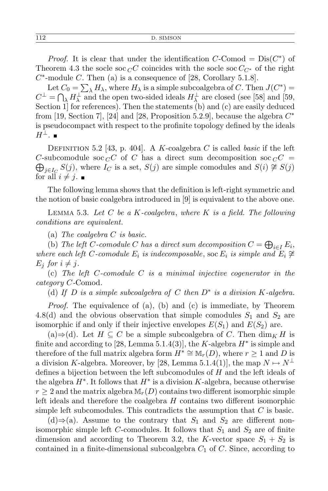*Proof.* It is clear that under the identification  $C$ -Comod =  $Dis(C^*)$  of Theorem 4.3 the socle soc  ${}_{C}C$  coincides with the socle soc  $C_{C^*}$  of the right  $C^*$ -module  $C$ . Then (a) is a consequence of [28, Corollary 5.1.8].

Let  $C_0 = \sum_{\lambda} H_{\lambda}$ , where  $H_{\lambda}$  is a simple subcoalgebra of *C*. Then  $J(C^*)$  =  $C^{\perp} = \bigcap_{\lambda} H_{\lambda}^{\perp}$  and the open two-sided ideals  $H_{\lambda}^{\perp}$  are closed (see [58] and [59, Section 1] for references). Then the statements (b) and (c) are easily deduced from [19, Section 7], [24] and [28, Proposition 5.2.9], because the algebra *C ∗* is pseudocompact with respect to the profinite topology defined by the ideals *H⊥*.

Definition 5.2 [43, p. 404]. A *K*-coalgebra *C* is called *basic* if the left  $\bigoplus_{j\in I_C} S(j)$ , where  $I_C$  is a set,  $S(j)$  are simple comodules and  $S(i) \not\cong S(j)$ *C*-subcomodule soc  ${}_{C}C$  of *C* has a direct sum decomposition soc  ${}_{C}C$  = for all  $i \neq j$ .

The following lemma shows that the definition is left-right symmetric and the notion of basic coalgebra introduced in [9] is equivalent to the above one.

Lemma 5.3. *Let C be a K-coalgebra*, *where K is a field. The following conditions are equivalent.*

(a) *The coalgebra C is basic.*

(b) *The left C*-comodule *C* has a direct sum decomposition  $C = \bigoplus_{i \in I} E_i$ , *where each left C*-*comodule*  $E_i$  *is indecomposable, soc*  $E_i$  *is simple and*  $E_i \ncong$  $E_i$  *for*  $i \neq j$ *.* 

(c) *The left C-comodule C is a minimal injective cogenerator in the category C-*Comod*.*

(d) *If D is a simple subcoalgebra of C then D<sup>∗</sup> is a division K-algebra.*

*Proof.* The equivalence of (a), (b) and (c) is immediate, by Theorem 4.8(d) and the obvious observation that simple comodules  $S_1$  and  $S_2$  are isomorphic if and only if their injective envelopes  $E(S_1)$  and  $E(S_2)$  are.

(a) $\Rightarrow$ (d). Let *H* ⊆ *C* be a simple subcoalgebra of *C*. Then dim<sub>*K*</sub> *H* is finite and according to [28, Lemma 5.1.4(3)], the *K*-algebra *H<sup>∗</sup>* is simple and therefore of the full matrix algebra form  $H^* \cong M_r(D)$ , where  $r \geq 1$  and D is a division *K*-algebra. Moreover, by [28, Lemma 5.1.4(1)], the map  $N \mapsto N^{\perp}$ defines a bijection between the left subcomodules of *H* and the left ideals of the algebra *H<sup>∗</sup>* . It follows that *H<sup>∗</sup>* is a division *K*-algebra, because otherwise  $r \geq 2$  and the matrix algebra  $\mathbb{M}_r(D)$  contains two different isomorphic simple left ideals and therefore the coalgebra *H* contains two different isomorphic simple left subcomodules. This contradicts the assumption that *C* is basic.

(d)⇒(a). Assume to the contrary that  $S_1$  and  $S_2$  are different nonisomorphic simple left *C*-comodules. It follows that  $S_1$  and  $S_2$  are of finite dimension and according to Theorem 3.2, the *K*-vector space  $S_1 + S_2$  is contained in a finite-dimensional subcoalgebra *C*<sup>1</sup> of *C*. Since, according to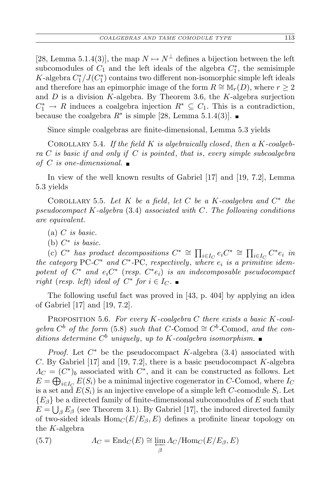[28, Lemma 5.1.4(3)], the map  $N \mapsto N^{\perp}$  defines a bijection between the left subcomodules of  $C_1$  and the left ideals of the algebra  $C_1^*$ , the semisimple *K*-algebra  $C^*_1/J(C^*_1)$  contains two different non-isomorphic simple left ideals and therefore has an epimorphic image of the form  $R \cong M_r(D)$ , where  $r \geq 2$ and *D* is a division *K*-algebra. By Theorem 3.6, the *K*-algebra surjection  $C_1^* \rightarrow R$  induces a coalgebra injection  $R^* \subseteq C_1$ . This is a contradiction, because the coalgebra  $R^*$  is simple [28, Lemma 5.1.4(3)].

Since simple coalgebras are finite-dimensional, Lemma 5.3 yields

Corollary 5.4. *If the field K is algebraically closed*, *then a K-coalgebra C is basic if and only if C is pointed*, *that is*, *every simple subcoalgebra of C is one-dimensional.*

In view of the well known results of Gabriel [17] and [19, 7.2], Lemma 5.3 yields

COROLLARY 5.5. Let  $K$  be a field, let  $C$  be a  $K$ -coalgebra and  $C^*$  the *pseudocompact K-algebra* (3.4) *associated with C. The following conditions are equivalent.*

- (a) *C is basic.*
- (b) *C ∗ is basic.*

(c)  $C^*$  has product decompositions  $C^* \cong \prod_{i \in I_C} e_i C^* \cong \prod_{i \in I_C} C^* e_i$  in *the category*  $PC-C^*$  *and*  $C^*$ -PC, *respectively*, *where*  $e_i$  *is a primitive idempotent of*  $C^*$  *and*  $e_i C^*$  (*resp.*  $C^*e_i$ ) *is an indecomposable pseudocompact right* (*resp. left*) *ideal of*  $C^*$  *for*  $i \in I_C$ *.* 

The following useful fact was proved in [43, p. 404] by applying an idea of Gabriel [17] and [19, 7.2].

Proposition 5.6. *For every K-coalgebra C there exists a basic K-coalgebra*  $C^b$  *of the form* (5.8) *such that*  $C$ -Comod  $\cong C^b$ -Comod, *and the conditions determine C <sup>b</sup> uniquely*, *up to K-coalgebra isomorphism.*

*Proof.* Let *C <sup>∗</sup>* be the pseudocompact *K*-algebra (3.4) associated with *C*. By Gabriel [17] and [19, 7.2], there is a basic pseudocompact *K*-algebra  $\Lambda_C = (C^*)_b$  associated with  $C^*$ , and it can be constructed as follows. Let  $E = \bigoplus_{i \in I_C} E(S_i)$  be a minimal injective cogenerator in *C*-Comod, where *I<sub>C</sub>* is a set and  $E(S_i)$  is an injective envelope of a simple left  $C$ -comodule  $S_i$ . Let  ${E_\beta}$  be a directed family of finite-dimensional subcomodules of *E* such that  $E = \bigcup_{\beta} E_{\beta}$  (see Theorem 3.1). By Gabriel [17], the induced directed family of two-sided ideals  $Hom_C(E/E_\beta, E)$  defines a profinite linear topology on the *K*-algebra

(5.7) 
$$
\Lambda_C = \text{End}_C(E) \cong \varprojlim_{\substack{\longrightarrow \\ \sigma}} \Lambda_C / \text{Hom}_C(E/E_\beta, E)
$$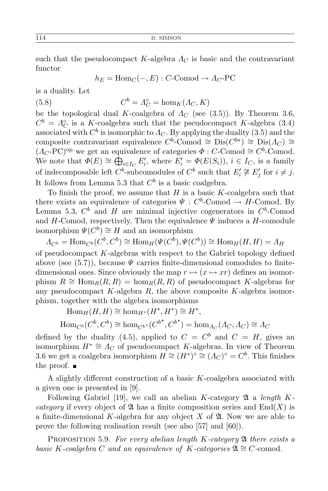such that the pseudocompact  $K$ -algebra  $\Lambda_C$  is basic and the contravariant functor

$$
h_E = \text{Hom}_C(-, E) : C\text{-Comod} \to A_C\text{-PC}
$$

is a duality. Let

(5.8) 
$$
C^b = \Lambda_C^\circ = \hom_K(\Lambda_C, K)
$$

be the topological dual *K*-coalgebra of  $\Lambda_C$  (see (3.5)). By Theorem 3.6,  $C^b = A_C^{\circ}$  is a *K*-coalgebra such that the pseudocompact *K*-algebra (3.4) associated with  $C^b$  is isomorphic to  $\Lambda_C$ . By applying the duality (3.5) and the composite contravariant equivalence  $C^b$ -Comod  $\cong$  Dis $(C^{b*}) \cong$  Dis $(A_C) \cong$  $(A_C$ -PC)<sup>op</sup> we get an equivalence of categories  $\Phi : C$ -Comod  $\cong C^b$ -Comod. We note that  $\Phi(E) \cong \bigoplus_{i \in I_C} E'_i$ , where  $E'_i = \Phi(E(S_i))$ ,  $i \in I_C$ , is a family of indecomposable left  $C^b$ -subcomodules of  $C^b$  such that  $E'_i \not\cong E'_j$  for  $i \neq j$ . It follows from Lemma 5.3 that  $C^b$  is a basic coalgebra.

To finish the proof, we assume that *H* is a basic *K*-coalgebra such that there exists an equivalence of categories  $\Psi : C^b$ -Comod  $\rightarrow H$ -Comod. By Lemma 5.3,  $C^b$  and *H* are minimal injective cogenerators in  $C^b$ -Comod and  $H$ -Comod, respectively. Then the equivalence  $\Psi$  induces a  $H$ -comodule isomorphism  $\Psi(C^b) \cong H$  and an isomorphism

 $\Lambda_{C^b} = \text{Hom}_{C^b}(C^b, C^b) \cong \text{Hom}_H(\Psi(C^b), \Psi(C^b)) \cong \text{Hom}_H(H, H) = \Lambda_H$ of pseudocompact *K*-algebras with respect to the Gabriel topology defined above (see  $(5.7)$ ), because  $\Psi$  carries finite-dimensional comodules to finitedimensional ones. Since obviously the map  $r \mapsto (x \mapsto xr)$  defines an isomorphism  $R \cong \text{Hom}_{R}(R, R) = \text{hom}_{R}(R, R)$  of pseudocompact *K*-algebras for any pseudocompact *K*-algebra *R*, the above composite *K*-algebra isomorphism, together with the algebra isomorphisms

$$
\text{Hom}_{H}(H, H) \cong \text{hom}_{H^{*}}(H^{*}, H^{*}) \cong H^{*},
$$
  

$$
\text{Hom}_{C^{b}}(C^{b}, C^{b}) \cong \text{hom}_{C^{b^{*}}}(C^{b^{*}}, C^{b^{*}}) = \text{hom}_{A_{C}}(\Lambda_{C}, \Lambda_{C}) \cong \Lambda_{C}
$$

defined by the duality (4.5), applied to  $C = C^b$  and  $C = H$ , gives an isomorphism  $H^* \cong \Lambda_C$  of pseudocompact *K*-algebras. In view of Theorem 3.6 we get a coalgebra isomorphism  $H \cong (H^*)^{\circ} \cong (A_C)^{\circ} = C^b$ . This finishes the proof.  $\blacksquare$ 

A slightly different construction of a basic *K*-coalgebra associated with a given one is presented in [9].

Following Gabriel [19], we call an abelian *K*-category 24 a *length Kcategory* if every object of  $\mathfrak A$  has a finite composition series and  $\text{End}(X)$  is a finite-dimensional K-algebra for any object  $X$  of  $\mathfrak{A}$ . Now we are able to prove the following realisation result (see also [57] and [60]).

Proposition 5.9. *For every abelian length K-category* A *there exists a basic K*-coalgebra *C* and an equivalence of *K*-categories  $\mathfrak{A} \cong C$ -comod.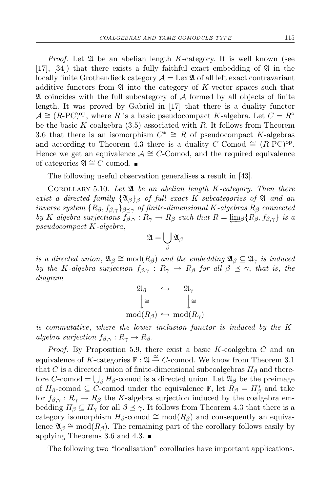*Proof.* Let  $\mathfrak A$  be an abelian length *K*-category. It is well known (see [17], [34]) that there exists a fully faithful exact embedding of  $\mathfrak A$  in the locally finite Grothendieck category  $\mathcal{A} = \text{Lex}\mathfrak{A}$  of all left exact contravariant additive functors from A into the category of *K*-vector spaces such that A coincides with the full subcategory of *A* formed by all objects of finite length. It was proved by Gabriel in [17] that there is a duality functor  $\mathcal{A} \cong (R\text{-}PC)^\text{op}$ , where *R* is a basic pseudocompact *K*-algebra. Let  $C = R^\circ$ be the basic *K*-coalgebra (3.5) associated with *R*. It follows from Theorem 3.6 that there is an isomorphism  $C^* \cong R$  of pseudocompact *K*-algebras and according to Theorem 4.3 there is a duality *C*-Comod  $\cong$  (*R*-PC)<sup>op</sup>. Hence we get an equivalence  $A \cong C$ -Comod, and the required equivalence of categories  $\mathfrak{A} \cong C$ -comod. ■

The following useful observation generalises a result in [43].

Corollary 5.10. *Let* A *be an abelian length K-category. Then there exist a directed family*  $\{\mathfrak{A}_{\beta}\}_\beta$  *of full exact K*-subcategories of  $\mathfrak A$  *and an inverse system*  ${R_\beta, f_{\beta, \gamma}}_{\beta \leq \gamma}$  *of finite-dimensional K*-algebras  $R_\beta$  *connected by K*-algebra surjections  $f_{\beta,\gamma}: R_{\gamma} \to R_{\beta}$  such that  $R = \lim_{\beta} \{R_{\beta}, f_{\beta,\gamma}\}\$ is a *pseudocompact K-algebra*,

$$
\mathfrak{A}=\bigcup_\beta\mathfrak{A}_\beta
$$

*is a directed union*,  $\mathfrak{A}_{\beta} \cong \text{mod}(R_{\beta})$  *and the embedding*  $\mathfrak{A}_{\beta} \subseteq \mathfrak{A}_{\gamma}$  *is induced by the K*-algebra surjection  $f_{\beta,\gamma}: R_{\gamma} \to R_{\beta}$  for all  $\beta \preceq \gamma$ , *that is, the diagram*

$$
\begin{array}{ccc}\n\mathfrak{A}_{\beta} & \hookrightarrow & \mathfrak{A}_{\gamma} \\
\downarrow^{\cong} & & \downarrow^{\cong} \\
\operatorname{mod}(R_{\beta}) & \hookrightarrow & \operatorname{mod}(R_{\gamma})\n\end{array}
$$

*is commutative*, *where the lower inclusion functor is induced by the Kalgebra surjection*  $f_{\beta,\gamma}: R_{\gamma} \to R_{\beta}$ .

*Proof.* By Proposition 5.9, there exist a basic *K*-coalgebra *C* and an equivalence of *K*-categories  $\mathbb{F} : \mathfrak{A} \stackrel{\simeq}{\to} C$ -comod. We know from Theorem 3.1 that *C* is a directed union of finite-dimensional subcoalgebras  $H_\beta$  and therefore *C*-comod =  $\bigcup_{\beta} H_{\beta}$ -comod is a directed union. Let  $\mathfrak{A}_{\beta}$  be the preimage of  $H_\beta$ -comod  $\subseteq C$ -comod under the equivalence  $\mathbb{F}$ , let  $R_\beta = H_\beta^*$  and take for  $f_{\beta,\gamma}: R_{\gamma} \to R_{\beta}$  the *K*-algebra surjection induced by the coalgebra embedding  $H_\beta \subseteq H_\gamma$  for all  $\beta \preceq \gamma$ . It follows from Theorem 4.3 that there is a category isomorphism  $H_\beta$ -comod  $\cong$  mod( $R_\beta$ ) and consequently an equivalence  $\mathfrak{A}_{\beta} \cong \text{mod}(R_{\beta})$ . The remaining part of the corollary follows easily by applying Theorems 3.6 and 4.3.  $\blacksquare$ 

The following two "localisation" corollaries have important applications.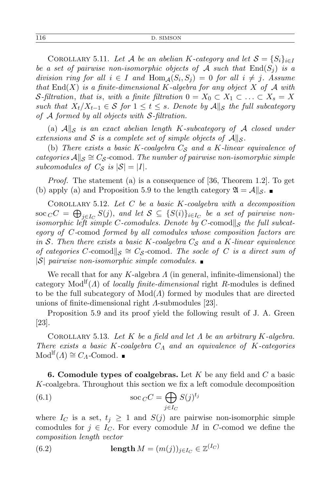COROLLARY 5.11. Let *A* be an abelian *K*-category and let  $S = \{S_i\}_{i \in I}$ *be a set of pairwise non-isomorphic objects of*  $\mathcal A$  *such that*  $\text{End}(S_i)$  *is a division ring for all*  $i \in I$  *and*  $Hom_A(S_i, S_j) = 0$  *for all*  $i \neq j$ *. Assume that* End(*X*) *is a finite-dimensional K-algebra for any object X of A with S*-filtration, that is, with a finite filtration  $0 = X_0 \subset X_1 \subset \ldots \subset X_s = X$ *such that*  $X_t/X_{t-1} \in S$  *for*  $1 \le t \le s$ *. Denote by*  $A\|S$  *the full subcategory of A formed by all objects with S-filtration.*

(a)  $\mathcal{A}||_{\mathcal{S}}$  *is an exact abelian length K-subcategory of*  $\mathcal{A}$  *closed under extensions and S is a complete set of simple objects of*  $\mathcal{A}||_{\mathcal{S}}$ *.* 

(b) *There exists a basic K-coalgebra C<sup>S</sup> and a K-linear equivalence of*  $categories$  *A* $||s \cong Cs$ -comod. The number of pairwise non-isomorphic simple *subcomodules of*  $C_{\mathcal{S}}$  *is*  $|\mathcal{S}| = |I|$ *.* 

*Proof.* The statement (a) is a consequence of [36, Theorem 1.2]. To get (b) apply (a) and Proposition 5.9 to the length category  $\mathfrak{A} = \mathcal{A}||_{\mathcal{S}}$ .

Corollary 5.12. *Let C be a basic K-coalgebra with a decomposition*  $\sec C C = \bigoplus_{j \in I_C} S(j)$ , and let  $S \subseteq \{S(i)\}_{i \in I_C}$  be a set of pairwise non*isomorphic left simple C-comodules. Denote by C-comod*<sup> $\vert\vert$ </sup>*s the full subcategory of C-*comod *formed by all comodules whose composition factors are in S. Then there exists a basic K-coalgebra C<sup>S</sup> and a K-linear equivalence of categories*  $C$ -comod|| $S$   $\cong C_S$ -comod. The socle of  $C$  *is a direct sum of |S| pairwise non-isomorphic simple comodules.*

We recall that for any *K*-algebra *Λ* (in general, infinite-dimensional) the category  $\text{Mod}^{\text{lf}}(\Lambda)$  of *locally finite-dimensional* right *R*-modules is defined to be the full subcategory of Mod(*Λ*) formed by modules that are directed unions of finite-dimensional right *Λ*-submodules [23].

Proposition 5.9 and its proof yield the following result of J. A. Green [23].

Corollary 5.13. *Let K be a field and let Λ be an arbitrary K-algebra. There exists a basic K-coalgebra C<sup>Λ</sup> and an equivalence of K-categories*  $Mod<sup>lf</sup>(*A*) \cong C<sub>A</sub>$ -Comod.

**6. Comodule types of coalgebras.** Let *K* be any field and *C* a basic *K*-coalgebra. Throughout this section we fix a left comodule decomposition

(6.1) 
$$
\operatorname{soc}_C C = \bigoplus_{j \in I_C} S(j)^{t_j}
$$

where  $I_C$  is a set,  $t_j \geq 1$  and  $S(j)$  are pairwise non-isomorphic simple comodules for  $j \in I_C$ . For every comodule M in C-comod we define the *composition length vector*

(6.2) 
$$
\operatorname{length} M = (m(j))_{j \in I_C} \in \mathbb{Z}^{(I_C)}
$$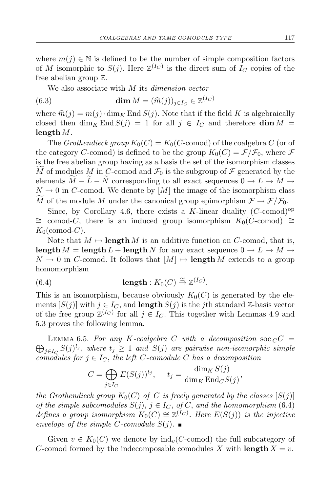where  $m(j) \in \mathbb{N}$  is defined to be the number of simple composition factors of *M* isomorphic to  $S(j)$ . Here  $\mathbb{Z}^{(I_C)}$  is the direct sum of  $I_C$  copies of the free abelian group Z.

We also associate with *M* its *dimension vector*

(6.3) 
$$
\dim M = (\widehat{m}(j))_{j \in I_C} \in \mathbb{Z}^{(I_C)}
$$

where  $\hat{m}(j) = m(j) \cdot \dim_K \text{End } S(j)$ . Note that if the field K is algebraically closed then dim<sub>K</sub> End  $S(j) = 1$  for all  $j \in I_C$  and therefore dim  $M =$ **length** *M*.

The *Grothendieck group*  $K_0(C) = K_0(C\text{-comod})$  of the coalgebra *C* (or of the category *C*-comod) is defined to be the group  $K_0(C) = \mathcal{F}/\mathcal{F}_0$ , where  $\mathcal F$ is the free abelian group having as a basis the set of the isomorphism classes  $\widetilde{M}$  of modules  $M$  in  $C$ -comod and  $\mathcal{F}_0$  is the subgroup of  $\mathcal F$  generated by the elements  $M - L - N$  corresponding to all exact sequences  $0 \to L \to M \to$  $N \to 0$  in *C*-comod. We denote by [*M*] the image of the isomorphism class *M* of the module *M* under the canonical group epimorphism  $\mathcal{F} \to \mathcal{F}/\mathcal{F}_0$ .

Since, by Corollary 4.6, there exists a *K*-linear duality  $(C\text{-comod})^{\text{op}}$ *∼*= comod-*C*, there is an induced group isomorphism *K*0(*C*-comod) *∼*=  $K_0$ (comod-*C*).

Note that  $M \mapsto$ **length**  $M$  is an additive function on  $C$ -comod, that is, **length**  $M =$  **length**  $L$  + **length**  $N$  for any exact sequence  $0 \rightarrow L \rightarrow M \rightarrow$  $N \to 0$  in *C*-comod. It follows that  $[M] \mapsto$  **length** *M* extends to a group homomorphism

(6.4) 
$$
\operatorname{length}: K_0(C) \xrightarrow{\simeq} \mathbb{Z}^{(I_C)}.
$$

This is an isomorphism, because obviously  $K_0(C)$  is generated by the elements  $[S(j)]$  with  $j \in I_C$ , and **length**  $S(j)$  is the *j*th standard Z-basis vector of the free group  $\mathbb{Z}^{(I_C)}$  for all  $j \in I_C$ . This together with Lemmas 4.9 and 5.3 proves the following lemma.

 $\bigoplus_{j \in I_C} S(j)^{t_j}$ , where  $t_j \geq 1$  and  $S(j)$  are pairwise non-isomorphic simple LEMMA 6.5. For any K-coalgebra C with a decomposition soc  $C =$ *comodules for*  $j \in I_C$ , the left *C-comodule C* has a decomposition

$$
C = \bigoplus_{j \in I_C} E(S(j))^{t_j}, \quad t_j = \frac{\dim_K S(j)}{\dim_K \operatorname{End}_C S(j)},
$$

*the Grothendieck group*  $K_0(C)$  *of C is freely generated by the classes*  $[S(j)]$ *of the simple subcomodules*  $S(j)$ ,  $j \in I_C$ , *of*  $C$ , *and the homomorphism* (6.4) *defines a group isomorphism*  $K_0(C) \cong \mathbb{Z}^{(I_C)}$ . Here  $E(S(j))$  is the injective *envelope of the simple C-comodule*  $S(j)$ *.* 

Given  $v \in K_0(C)$  we denote by  $\text{ind}_v(C\text{-comod})$  the full subcategory of *C*-comod formed by the indecomposable comodules *X* with **length**  $X = v$ .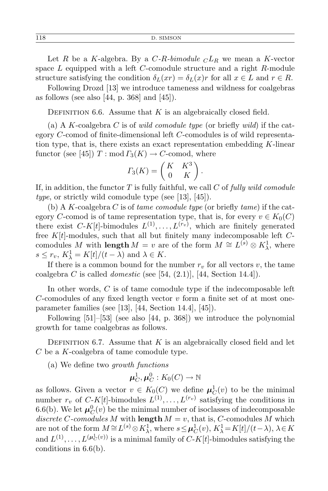Let *R* be a *K*-algebra. By a *C*-*R*-bimodule  $CL_R$  we mean a *K*-vector space *L* equipped with a left *C*-comodule structure and a right *R*-module structure satisfying the condition  $\delta_L(xr) = \delta_L(x)r$  for all  $x \in L$  and  $r \in R$ .

Following Drozd [13] we introduce tameness and wildness for coalgebras as follows (see also  $[44, p. 368]$  and  $[45]$ ).

DEFINITION 6.6. Assume that  $K$  is an algebraically closed field.

(a) A *K*-coalgebra *C* is of *wild comodule type* (or briefly *wild*) if the category *C*-comod of finite-dimensional left *C*-comodules is of wild representation type, that is, there exists an exact representation embedding *K*-linear functor (see [45])  $T: \text{mod } \Gamma_3(K) \to C$ -comod, where

$$
\Gamma_3(K) = \begin{pmatrix} K & K^3 \\ 0 & K \end{pmatrix}.
$$

If, in addition, the functor *T* is fully faithful, we call *C* of *fully wild comodule type*, or strictly wild comodule type (see [13], [45]).

(b) A *K*-coalgebra *C* is of *tame comodule type* (or briefly *tame*) if the category *C*-comod is of tame representation type, that is, for every  $v \in K_0(C)$ there exist  $C-K[t]$ -bimodules  $L^{(1)}, \ldots, L^{(r_v)}$ , which are finitely generated free *K*[*t*]-modules, such that all but finitely many indecomposable left *C*comodules *M* with **length**  $M = v$  are of the form  $M \cong L^{(s)} \otimes K^1_{\lambda}$ , where  $s \leq r_v$ ,  $K_{\lambda}^1 = K[t]/(t - \lambda)$  and  $\lambda \in K$ .

If there is a common bound for the number  $r_v$  for all vectors  $v$ , the tame coalgebra *C* is called *domestic* (see [54,  $(2.1)$ ], [44, Section 14.4]).

In other words, *C* is of tame comodule type if the indecomposable left *C*-comodules of any fixed length vector *v* form a finite set of at most oneparameter families (see [13], [44, Section 14.4], [45]).

Following [51]–[53] (see also [44, p. 368]) we introduce the polynomial growth for tame coalgebras as follows.

DEFINITION 6.7. Assume that  $K$  is an algebraically closed field and let *C* be a *K*-coalgebra of tame comodule type.

(a) We define two *growth functions*

$$
\boldsymbol{\mu}_C^1, \boldsymbol{\mu}_C^0: K_0(C) \to \mathbb{N}
$$

as follows. Given a vector  $v \in K_0(C)$  we define  $\mu_C^1(v)$  to be the minimal number  $r_v$  of  $C-K[t]$ -bimodules  $L^{(1)}, \ldots, L^{(r_v)}$  satisfying the conditions in 6.6(b). We let  $\mu_C^0(v)$  be the minimal number of isoclasses of indecomposable *discrete*  $C$ -comodules  $M$  with **length**  $M = v$ , that is,  $C$ -comodules  $M$  which are not of the form  $M \cong L^{(s)} \otimes K_{\lambda}^1$ , where  $s \leq \mu_C^1(v)$ ,  $K_{\lambda}^1 = K[t]/(t - \lambda)$ ,  $\lambda \in K$ and  $L^{(1)}, \ldots, L^{(\mu_C^1(v))}$  is a minimal family of  $C-K[t]$ -bimodules satisfying the conditions in 6.6(b).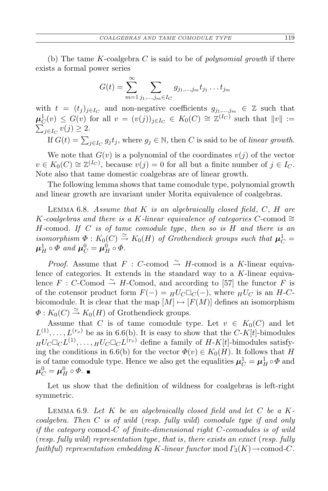(b) The tame *K*-coalgebra *C* is said to be of *polynomial growth* if there exists a formal power series

$$
G(t) = \sum_{m=1}^{\infty} \sum_{j_1, ..., j_m \in I_C} g_{j_1, ..., j_m} t_{j_1} ... t_{j_m}
$$

with  $t = (t_j)_{j \in I_C}$  and non-negative coefficients  $g_{j_1,...,j_m} \in \mathbb{Z}$  such that  $\mu_C^1(v) \leq G(v)$  for all  $v = (v(j))_{j \in I_C} \in K_0(C) \cong \mathbb{Z}^{(I_C)}$  such that  $||v|| :=$  $\sum_{j\in I_C} v(j) \geq 2.$ 

If  $G(t) = \sum_{j \in I_C} g_j t_j$ , where  $g_j \in \mathbb{N}$ , then *C* is said to be of *linear growth*.

We note that  $G(v)$  is a polynomial of the coordinates  $v(j)$  of the vector  $v \in K_0(C) \cong \mathbb{Z}^{(I_C)}$ , because  $v(j) = 0$  for all but a finite number of  $j \in I_C$ . Note also that tame domestic coalgebras are of linear growth.

The following lemma shows that tame comodule type, polynomial growth and linear growth are invariant under Morita equivalence of coalgebras.

Lemma 6.8. *Assume that K is an algebraically closed field*, *C*, *H are K*-coalgebras and there is a *K*-linear equivalence of categories *C*-comod  $\cong$ *H-*comod*. If C is of tame comodule type*, *then so is H and there is an isomorphism*  $\Phi: K_0(C) \stackrel{\simeq}{\to} K_0(H)$  *of Grothendieck groups such that*  $\mu_C^1 =$  $\mu_H^1 \circ \Phi$  and  $\mu_C^0 = \mu_H^0 \circ \Phi$ .

*Proof.* Assume that  $F : C$ -comod  $\stackrel{\sim}{\rightarrow} H$ -comod is a *K*-linear equivalence of categories. It extends in the standard way to a *K*-linear equivalence  $F : C$ -Comod  $\cong H$ -Comod, and according to [57] the functor  $F$  is of the cotensor product form  $F(-) = H^U C \Box C(-)$ , where  $H^U C$  is an *H*-*C*bicomodule. It is clear that the map  $[M] \mapsto [F(M)]$  defines an isomorphism  $\Phi: K_0(C) \stackrel{\simeq}{\to} K_0(H)$  of Grothendieck groups.

Assume that *C* is of tame comodule type. Let  $v \in K_0(C)$  and let  $L^{(1)}, \ldots, L^{(r_v)}$  be as in 6.6(b). It is easy to show that the *C*-*K*[*t*]-bimodules  $H^1 \times L^1 \times L^1$ , ...,  $H^1 \times L^1 \times L^1$  define a family of *H*-*K*[*t*]-bimodules satisfying the conditions in 6.6(b) for the vector  $\Phi(v) \in K_0(H)$ . It follows that *H* is of tame comodule type. Hence we also get the equalities  $\mu_C^1 = \mu_H^1 \circ \Phi$  and  $\boldsymbol{\mu}_C^0 = \boldsymbol{\mu}_H^0 \circ \Phi.$ 

Let us show that the definition of wildness for coalgebras is left-right symmetric.

Lemma 6.9. *Let K be an algebraically closed field and let C be a Kcoalgebra. Then C is of wild* (*resp. fully wild*) *comodule type if and only if the category* comod*-C of finite-dimensional right C-comodules is of wild* (*resp. fully wild*) *representation type*, *that is*, *there exists an exact* (*resp. fully faithful*) *representation embedding*  $K$ *-linear functor* mod  $\Gamma_3(K) \to$ comod-*C*.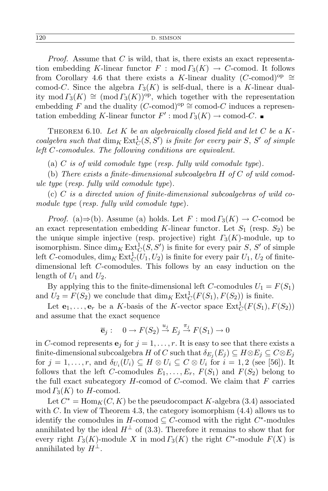*Proof.* Assume that *C* is wild, that is, there exists an exact representation embedding *K*-linear functor  $F : \text{mod } \Gamma_3(K) \to C$ -comod. It follows from Corollary 4.6 that there exists a *K*-linear duality (*C*-comod)<sup>op</sup>  $\cong$ comod-*C*. Since the algebra *Γ*3(*K*) is self-dual, there is a *K*-linear duality mod  $\Gamma_3(K) \cong (\text{mod } \Gamma_3(K))^{\text{op}}$ , which together with the representation embedding *F* and the duality (*C*-comod)<sup>op</sup>  $\cong$  comod-*C* induces a representation embedding *K*-linear functor  $F'$ : mod  $\Gamma_3(K) \to \text{comod-}C$ .

THEOREM 6.10. Let  $K$  be an algebraically closed field and let  $C$  be a  $K$ *coalgebra such that*  $\dim_K \text{Ext}^1_C(S, S')$  *is finite for every pair S*, *S' of simple left C-comodules. The following conditions are equivalent.*

(a) *C is of wild comodule type* (*resp. fully wild comodule type*)*.*

(b) *There exists a finite-dimensional subcoalgebra H of C of wild comodule type* (*resp. fully wild comodule type*)*.*

(c) *C is a directed union of finite-dimensional subcoalgebras of wild comodule type* (*resp. fully wild comodule type*)*.*

*Proof.* (a) $\Rightarrow$ (b). Assume (a) holds. Let *F* : mod  $\Gamma_3(K) \rightarrow C$ -comod be an exact representation embedding *K*-linear functor. Let  $S_1$  (resp.  $S_2$ ) be the unique simple injective (resp. projective) right *Γ*3(*K*)-module, up to isomorphism. Since  $\dim_K \text{Ext}^1_C(S, S')$  is finite for every pair *S*, *S'* of simple left *C*-comodules,  $\dim_K \text{Ext}^1_C(U_1, U_2)$  is finite for every pair  $U_1, U_2$  of finitedimensional left *C*-comodules. This follows by an easy induction on the length of  $U_1$  and  $U_2$ .

By applying this to the finite-dimensional left *C*-comodules  $U_1 = F(S_1)$ and  $U_2 = F(S_2)$  we conclude that  $\dim_K \text{Ext}^1_C(F(S_1), F(S_2))$  is finite.

Let  $\mathbf{e}_1, \ldots, \mathbf{e}_r$  be a *K*-basis of the *K*-vector space  $\text{Ext}^1_C(F(S_1), F(S_2))$ and assume that the exact sequence

$$
\overline{\mathbf{e}}_j: \quad 0 \to F(S_2) \stackrel{u_j}{\to} E_j \stackrel{\pi_j}{\to} F(S_1) \to 0
$$

in *C*-comod represents  $e_j$  for  $j = 1, \ldots, r$ . It is easy to see that there exists a  $\text{finite-dimensional subcoalgebra } H \text{ of } C \text{ such that } \delta_{E_j}(E_j) \subseteq H \otimes E_j \subseteq C \otimes E_j$ for  $j = 1, \ldots, r$ , and  $\delta_{U_i}(U_i) \subseteq H \otimes U_i \subseteq C \otimes U_i$  for  $i = 1, 2$  (see [56]). It follows that the left *C*-comodules  $E_1, \ldots, E_r$ ,  $F(S_1)$  and  $F(S_2)$  belong to the full exact subcategory *H*-comod of *C*-comod. We claim that *F* carries  $mod \Gamma_3(K)$  to *H*-comod.

Let  $C^* = \text{Hom}_K(C, K)$  be the pseudocompact *K*-algebra (3.4) associated with *C*. In view of Theorem 4.3, the category isomorphism (4.4) allows us to identify the comodules in  $H$ -comod  $\subseteq C$ -comod with the right  $C^*$ -modules annihilated by the ideal  $H^{\perp}$  of (3.3). Therefore it remains to show that for every right  $\Gamma_3(K)$ -module *X* in mod  $\Gamma_3(K)$  the right  $C^*$ -module  $F(X)$  is annihilated by  $H^{\perp}$ .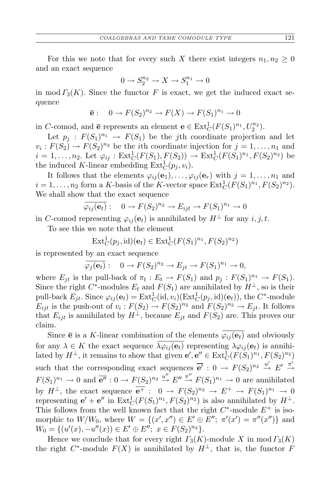For this we note that for every such *X* there exist integers  $n_1, n_2 \geq 0$ and an exact sequence

$$
0 \to S_2^{n_2} \to X \to S_1^{n_1} \to 0
$$

in mod  $\Gamma_3(K)$ . Since the functor *F* is exact, we get the induced exact sequence

$$
\overline{e}: \quad 0 \to F(S_2)^{n_2} \to F(X) \to F(S_1)^{n_1} \to 0
$$

in *C*-comod, and **e** represents an element **e**  $\in$  Ext<sub>C</sub>( $F(S_1)^{n_1}, U_2^{n_2}$ ).

Let  $p_j$ :  $F(S_1)^{n_1} \to F(S_1)$  be the *j*th coordinate projection and let  $v_i: F(S_2) \to F(S_2)^{n_2}$  be the *i*th coordinate injection for  $j = 1, \ldots, n_1$  and  $i = 1, ..., n_2$ . Let  $\varphi_{ij} : \text{Ext}^1_C(F(S_1), F(S_2)) \to \text{Ext}^1_C(F(S_1)^{n_1}, F(S_2)^{n_2})$  be the induced K-linear embedding  $\text{Ext}^1_C(p_j, v_i)$ .

It follows that the elements  $\varphi_{ij}(\mathbf{e}_1), \ldots, \varphi_{ij}(\mathbf{e}_r)$  with  $j = 1, \ldots, n_1$  and  $i = 1, \ldots, n_2$  form a *K*-basis of the *K*-vector space  $\text{Ext}^1_C(F(S_1)^{n_1}, F(S_2)^{n_2})$ . We shall show that the exact sequence

$$
\overline{\varphi_{ij}(\mathbf{e}_t)}: \quad 0 \to F(S_2)^{n_2} \to E_{ijt} \to F(S_1)^{n_1} \to 0
$$

in *C*-comod representing  $\varphi_{ij}(\mathbf{e}_t)$  is annihilated by  $H^{\perp}$  for any *i*, *j*, *t*.

To see this we note that the element

$$
\operatorname{Ext}^1_C(p_j,\operatorname{id})(\mathbf{e}_t) \in \operatorname{Ext}^1_C(F(S_1)^{n_1},F(S_2)^{n_2})
$$

is represented by an exact sequence

$$
\overline{\varphi_j(\mathbf{e}_t)}:\quad 0\to F(S_2)^{n_2}\to E_{jt}\to F(S_1)^{n_1}\to 0,
$$

where  $E_{jt}$  is the pull-back of  $\pi_t : E_t \to F(S_1)$  and  $p_j : F(S_1)^{n_1} \to F(S_1)$ . Since the right  $C^*$ -modules  $E_t$  and  $F(S_1)$  are annihilated by  $H^{\perp}$ , so is their pull-back  $E_{jt}$ . Since  $\varphi_{ij}(\mathbf{e}_t) = \text{Ext}^1_C(\text{id}, v_i)(\text{Ext}^1_C(p_j, \text{id})(\mathbf{e}_t))$ , the  $C^*$ -module *E*<sub>ijt</sub> is the push-out of  $v_i$ :  $F(S_2) \to F(S_2)^{n_2}$  and  $F(S_2)^{n_2} \to E_{jt}$ . It follows that  $E_{ijt}$  is annihilated by  $H^{\perp}$ , because  $E_{it}$  and  $F(S_2)$  are. This proves our claim.

Since  $\bar{e}$  is a *K*-linear combination of the elements  $\overline{\varphi_{ij}(e_t)}$  and obviously for any  $\lambda \in K$  the exact sequence  $\overline{\lambda \varphi_{ij}(\mathbf{e}_t)}$  representing  $\lambda \varphi_{ij}(\mathbf{e}_t)$  is annihilated by  $H^{\perp}$ , it remains to show that given  $e'$ ,  $e'' \in \text{Ext}^1_C(F(S_1)^{n_1}, F(S_2)^{n_2})$ such that the corresponding exact sequences  $\overline{e'}$  :  $0 \rightarrow F(S_2)^{n_2} \stackrel{u'}{\rightarrow} E' \stackrel{\pi'}{\rightarrow}$  $F(S_1)^{n_1} \to 0$  and  $\overline{e''}: 0 \to F(S_2)^{n_2} \stackrel{u''}{\to} E'' \stackrel{\pi''}{\to} F(S_1)^{n_1} \to 0$  are annihilated by  $H^{\perp}$ , the exact sequence  $\overline{e^+}: 0 \to F(S_2)^{n_2} \to E^+ \to F(S_1)^{n_1} \to 0$ representing  $e' + e''$  in  $\text{Ext}^1_C(F(S_1)^{n_1}, F(S_2)^{n_2})$  is also annihilated by  $H^{\perp}$ . This follows from the well known fact that the right  $C^*$ -module  $E^+$  is isomorphic to  $W/W_0$ , where  $W = \{(x', x'') \in E' \oplus E''; \pi'(x') = \pi''(x'')\}$  and  $W_0 = \{(u'(x), -u''(x)) \in E' \oplus E''; \ x \in F(S_2)^{n_2}\}.$ 

Hence we conclude that for every right  $\Gamma_3(K)$ -module X in mod  $\Gamma_3(K)$ the right  $C^*$ -module  $F(X)$  is annihilated by  $H^{\perp}$ , that is, the functor *F*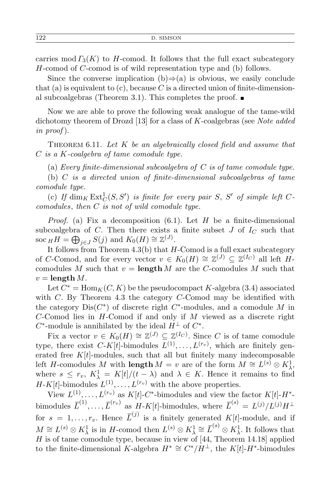carries mod  $\Gamma_3(K)$  to *H*-comod. It follows that the full exact subcategory *H*-comod of *C*-comod is of wild representation type and (b) follows.

Since the converse implication  $(b) \Rightarrow (a)$  is obvious, we easily conclude that (a) is equivalent to  $(c)$ , because C is a directed union of finite-dimensional subcoalgebras (Theorem 3.1). This completes the proof.  $\blacksquare$ 

Now we are able to prove the following weak analogue of the tame-wild dichotomy theorem of Drozd [13] for a class of *K*-coalgebras (see *Note added in proof* ).

Theorem 6.11. *Let K be an algebraically closed field and assume that C is a K-coalgebra of tame comodule type.*

(a) *Every finite-dimensional subcoalgebra of C is of tame comodule type.*

(b) *C is a directed union of finite-dimensional subcoalgebras of tame comodule type.*

(c) If  $\dim_K \operatorname{Ext}^1_C(S, S')$  is finite for every pair *S*, *S'* of simple left *Ccomodules*, *then C is not of wild comodule type.*

*Proof.* (a) Fix a decomposition (6*.*1). Let *H* be a finite-dimensional subcoalgebra of *C*. Then there exists a finite subset  $J$  of  $I_C$  such that soc  $_H H = \bigoplus_{j \in J} S(j)$  and  $K_0(H) \cong \mathbb{Z}^{(J)}$ .

It follows from Theorem 4.3(b) that *H*-Comod is a full exact subcategory of *C*-Comod, and for every vector  $v \in K_0(H) \cong \mathbb{Z}^{(J)} \subseteq \mathbb{Z}^{(I_C)}$  all left *H*comodules *M* such that  $v = \text{length } M$  are the *C*-comodules *M* such that  $v =$ **length** *M*.

Let  $C^* = \text{Hom}_K(C, K)$  be the pseudocompact *K*-algebra (3.4) associated with *C*. By Theorem 4.3 the category *C*-Comod may be identified with the category  $Dis(C^*)$  of discrete right  $C^*$ -modules, and a comodule M in *C*-Comod lies in *H*-Comod if and only if *M* viewed as a discrete right  $C^*$ -module is annihilated by the ideal  $H^{\perp}$  of  $C^*$ .

Fix a vector  $v \in K_0(H) \cong \mathbb{Z}^{(J)} \subseteq \mathbb{Z}^{(I_C)}$ . Since *C* is of tame comodule type, there exist  $C-K[t]$ -bimodules  $L^{(1)}, \ldots, L^{(r_v)}$ , which are finitely generated free  $K[t]$ -modules, such that all but finitely many indecomposable left *H*-comodules *M* with **length**  $M = v$  are of the form  $M \cong L^{(s)} \otimes K_\lambda^1$ , where  $s \leq r_v$ ,  $K^1_{\lambda} = K[t]/(t - \lambda)$  and  $\lambda \in K$ . Hence it remains to find  $H-K[t]$ -bimodules  $L^{(1)}, \ldots, L^{(r_v)}$  with the above properties.

View  $L^{(1)}, \ldots, L^{(r_v)}$  as  $K[t]$ -C<sup>\*</sup>-bimodules and view the factor  $K[t]$ -H<sup>\*</sup>bimodules  $\overline{L}^{(1)}, \ldots, \overline{L}^{(r_v)}$  as  $H$ -*K*[*t*]-bimodules, where  $\overline{L}^{(s)} = L^{(j)}/L^{(j)}H^{\perp}$ for  $s = 1, \ldots, r_v$ . Hence  $\overline{L}^{(j)}$  is a finitely generated  $K[t]$ -module, and if  $M \cong L^{(s)} \otimes K_\lambda^1$  is in *H*-comod then  $L^{(s)} \otimes K_\lambda^1 \cong \overline{L}^{(s)} \otimes K_\lambda^1$ . It follows that *H* is of tame comodule type, because in view of [44, Theorem 14.18] applied to the finite-dimensional *K*-algebra  $H^* \cong C^*/H^{\perp}$ , the *K*[*t*]- $H^*$ -bimodules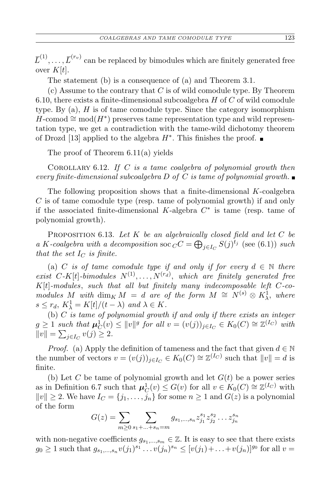$\overline{L}^{(1)}, \ldots, \overline{L}^{(r_v)}$  can be replaced by bimodules which are finitely generated free over  $K[t]$ .

The statement (b) is a consequence of (a) and Theorem 3.1.

(c) Assume to the contrary that *C* is of wild comodule type. By Theorem 6.10, there exists a finite-dimensional subcoalgebra *H* of *C* of wild comodule type. By (a), *H* is of tame comodule type. Since the category isomorphism *H*-comod  $\cong$  mod(*H*<sup>\*</sup>) preserves tame representation type and wild representation type, we get a contradiction with the tame-wild dichotomy theorem of Drozd [13] applied to the algebra *H<sup>∗</sup>* . This finishes the proof.

The proof of Theorem 6.11(a) yields

Corollary 6.12. *If C is a tame coalgebra of polynomial growth then every finite-dimensional subcoalgebra D of C is tame of polynomial growth.*

The following proposition shows that a finite-dimensional *K*-coalgebra *C* is of tame comodule type (resp. tame of polynomial growth) if and only if the associated finite-dimensional *K*-algebra *C ∗* is tame (resp. tame of polynomial growth).

Proposition 6.13. *Let K be an algebraically closed field and let C be a K*-coalgebra with a decomposition soc  $_C C = \bigoplus_{j \in I_C} S(j)^{t_j}$  (see (6.1)) *such that the set*  $I_C$  *is finite.* 

(a) *C is of tame comodule type if and only if for every*  $d \in \mathbb{N}$  *there exist*  $C$ -*K*[*t*]-*bimodules*  $N^{(1)}, \ldots, N^{(r_d)}$ , *which are finitely generated free K*[*t*]*-modules*, *such that all but finitely many indecomposable left C-comodules M with* dim<sub>*K*</sub> *M* = *d are of the form*  $M \cong N^{(s)} \otimes K_\lambda^1$ , *where*  $s \leq r_d$ ,  $K_{\lambda}^1 = K[t]/(t - \lambda)$  *and*  $\lambda \in K$ .

(b) *C is tame of polynomial growth if and only if there exists an integer*  $g \geq 1$  such that  $\mu_C^1(v) \leq ||v||^g$  for all  $v = (v(j))_{j \in I_C} \in K_0(C) \cong \mathbb{Z}^{(I_C)}$  with  $||v|| = \sum_{j \in I_C} v(j) \geq 2.$ 

*Proof.* (a) Apply the definition of tameness and the fact that given  $d \in \mathbb{N}$ the number of vectors  $v = (v(j))_{j \in I_C} \in K_0(C) \cong \mathbb{Z}^{(I_C)}$  such that  $||v|| = d$  is finite.

(b) Let *C* be tame of polynomial growth and let  $G(t)$  be a power series as in Definition 6.7 such that  $\mu_C^1(v) \le G(v)$  for all  $v \in K_0(C) \cong \mathbb{Z}^{(I_C)}$  with  $||v|| \ge 2$ . We have  $I_C = \{j_1, \ldots, j_n\}$  for some  $n \ge 1$  and  $G(z)$  is a polynomial of the form

$$
G(z) = \sum_{m \ge 0} \sum_{s_1 + \ldots + s_n = m} g_{s_1, \ldots, s_n} z_{j_1}^{s_1} z_{j_2}^{s_2} \ldots z_{j_n}^{s_n}
$$

with non-negative coefficients  $g_{s_1,\dots,s_m} \in \mathbb{Z}$ . It is easy to see that there exists  $g_0 \geq 1$  such that  $g_{s_1,...,s_n}v(j_1)^{s_1} \dots v(j_n)^{s_n} \leq [v(j_1)+...+v(j_n)]^{g_0}$  for all  $v =$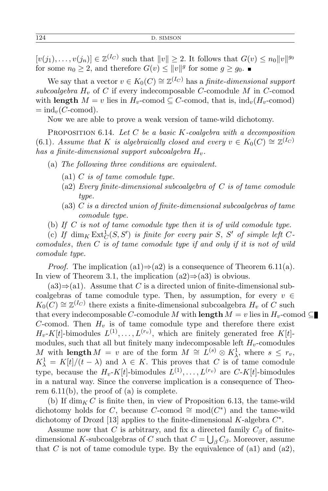$[v(j_1), \ldots, v(j_n)] \in \mathbb{Z}^{(I_C)}$  such that  $||v|| \geq 2$ . It follows that  $G(v) \leq n_0 ||v||^{g_0}$ for some  $n_0 \geq 2$ , and therefore  $G(v) \leq ||v||^g$  for some  $g \geq g_0$ .

We say that a vector  $v \in K_0(C) \cong \mathbb{Z}^{(I_C)}$  has a *finite-dimensional support subcoalgebra H<sup>v</sup>* of *C* if every indecomposable *C*-comodule *M* in *C*-comod with **length**  $M = v$  lies in  $H_v$ -comod  $\subseteq C$ -comod, that is, ind<sub>v</sub>( $H_v$ -comod)  $=$  ind<sub>*v*</sub>(*C*-comod).

Now we are able to prove a weak version of tame-wild dichotomy.

Proposition 6.14. *Let C be a basic K-coalgebra with a decomposition* (6.1)*.* Assume that *K is algebraically closed and every*  $v \in K_0(C) \cong \mathbb{Z}^{(I_C)}$ *has a finite-dimensional support subcoalgebra Hv.*

- (a) *The following three conditions are equivalent.*
	- (a1) *C is of tame comodule type.*
	- (a2) *Every finite-dimensional subcoalgebra of C is of tame comodule type.*
	- (a3) *C is a directed union of finite-dimensional subcoalgebras of tame comodule type.*
- (b) *If C is not of tame comodule type then it is of wild comodule type.*

(c) If  $\dim_K \text{Ext}^1_C(S, S')$  is finite for every pair *S*, *S'* of simple left *Ccomodules*, *then C is of tame comodule type if and only if it is not of wild comodule type.*

*Proof.* The implication  $(a1) \Rightarrow (a2)$  is a consequence of Theorem 6.11 $(a)$ . In view of Theorem 3.1, the implication (a2)*⇒*(a3) is obvious.

 $(a3) \Rightarrow (a1)$ . Assume that *C* is a directed union of finite-dimensional subcoalgebras of tame comodule type. Then, by assumption, for every  $v \in$  $K_0(C) \cong \mathbb{Z}^{(I_C)}$  there exists a finite-dimensional subcoalgebra  $H_v$  of *C* such that every indecomposable *C*-comodule *M* with **length**  $M = v$  lies in  $H_v$ -comod  $\subseteq$ *C*-comod. Then  $H_v$  is of tame comodule type and therefore there exist  $H_v$ -*K*[*t*]-bimodules  $L^{(1)}, \ldots, L^{(r_v)}$ , which are finitely generated free *K*[*t*]modules, such that all but finitely many indecomposable left  $H_v$ -comodules *M* with **length**  $M = v$  are of the form  $M \cong L^{(s)} \otimes K^1_{\lambda}$ , where  $s \leq r_v$ ,  $K^1_\lambda = K[t]/(t - \lambda)$  and  $\lambda \in K$ . This proves that *C* is of tame comodule type, because the  $H_v$ -*K*[*t*]-bimodules  $L^{(1)}, \ldots, L^{(r_v)}$  are  $C$ -*K*[*t*]-bimodules in a natural way. Since the converse implication is a consequence of Theorem  $6.11(b)$ , the proof of (a) is complete.

(b) If  $\dim_K C$  is finite then, in view of Proposition 6.13, the tame-wild dichotomy holds for *C*, because *C*-comod  $\cong$  mod( $C^*$ ) and the tame-wild dichotomy of Drozd [13] applies to the finite-dimensional *K*-algebra *C ∗* .

Assume now that *C* is arbitrary, and fix a directed family  $C_\beta$  of finitedimensional *K*-subcoalgebras of *C* such that  $C = \bigcup_{\beta} C_{\beta}$ . Moreover, assume that *C* is not of tame comodule type. By the equivalence of  $(a1)$  and  $(a2)$ ,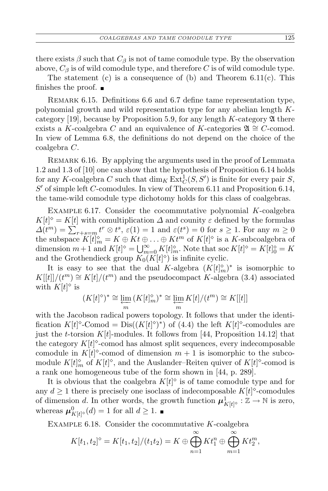there exists  $\beta$  such that  $C_{\beta}$  is not of tame comodule type. By the observation above,  $C_\beta$  is of wild comodule type, and therefore *C* is of wild comodule type.

The statement  $(c)$  is a consequence of  $(b)$  and Theorem 6.11 $(c)$ . This finishes the proof.  $\blacksquare$ 

REMARK 6.15. Definitions 6.6 and 6.7 define tame representation type, polynomial growth and wild representation type for any abelian length *K*category [19], because by Proposition 5.9, for any length  $K$ -category  $\mathfrak A$  there exists a *K*-coalgebra *C* and an equivalence of *K*-categories  $\mathfrak{A} \cong C$ -comod. In view of Lemma 6.8, the definitions do not depend on the choice of the coalgebra *C*.

Remark 6.16. By applying the arguments used in the proof of Lemmata 1.2 and 1.3 of [10] one can show that the hypothesis of Proposition 6.14 holds for any *K*-coalgebra *C* such that  $\dim_K \text{Ext}^1_C(S, S')$  is finite for every pair *S*, *S ′* of simple left *C*-comodules. In view of Theorem 6.11 and Proposition 6.14, the tame-wild comodule type dichotomy holds for this class of coalgebras.

Example 6.17. Consider the cocommutative polynomial *K*-coalgebra  $K[t]$ <sup> $\diamond$ </sup> =  $K[t]$  with comultiplication  $\Delta$  and counity  $\varepsilon$  defined by the formulas  $\Delta(t^m) = \sum_{r+s=m}^{\infty} t^r \otimes t^s$ ,  $\varepsilon(1) = 1$  and  $\varepsilon(t^s) = 0$  for  $s \ge 1$ . For any  $m \ge 0$ the subspace  $K[t]_m^{\diamond} = K \oplus Kt \oplus \ldots \oplus Kt^m$  of  $K[t]^{\diamond}$  is a *K*-subcoalgebra of dimension  $m+1$  and  $K[t]$ <sup> $\diamond$ </sup> =  $\bigcup_{m=0}^{\infty} K[t]_m^{\diamond}$ . Note that soc  $K[t]$ <sup> $\diamond$ </sup> =  $K[t]_0^{\diamond}$  =  $K$ and the Grothendieck group  $K_0(K[t]^\diamond)$  is infinite cyclic.

It is easy to see that the dual *K*-algebra  $(K[t]_m^{\diamond})^*$  is isomorphic to  $K[[t]]/(t^m) \cong K[t]/(t^m)$  and the pseudocompact *K*-algebra (3.4) associated with  $K[t]$ <sup> $\diamond$ </sup> is

$$
(K[t]^\diamond)^*\cong\varprojlim_m\,(K[t]_m^\diamond)^*\cong\varprojlim_m K[t]/(t^m)\cong K[[t]]
$$

with the Jacobson radical powers topology. It follows that under the identification  $K[t]$ <sup> $\circ$ </sup>-Comod = Dis( $(K[t]$  $\circ$  $)$ <sup>\*</sup>) of (4.4) the left  $K[t]$  $\circ$ -comodules are just the *t*-torsion *K*[*t*]-modules. It follows from [44, Proposition 14.12] that the category  $K[t]$ <sup> $\diamond$ </sup>-comod has almost split sequences, every indecomposable comodule in  $K[t]$ <sup> $\circ$ </sup>-comod of dimension  $m + 1$  is isomorphic to the subcomodule  $K[t]_m^{\diamond}$  of  $K[t]^{\diamond}$ , and the Auslander–Reiten quiver of  $K[t]^{\diamond}$ -comod is a rank one homogeneous tube of the form shown in [44, p. 289].

It is obvious that the coalgebra  $K[t]$ <sup> $\diamond$ </sup> is of tame comodule type and for any  $d \geq 1$  there is precisely one isoclass of indecomposable  $K[t]$ <sup> $\circ$ </sup>-comodules of dimension *d*. In other words, the growth function  $\mu_{K[t]}^1 \circ : \mathbb{Z} \to \mathbb{N}$  is zero, whereas  $\boldsymbol{\mu}_{K[t]^\circ}^0(d) = 1$  for all  $d \geq 1$ .

Example 6.18. Consider the cocommutative *K*-coalgebra

$$
K[t_1, t_2]^{\diamond} = K[t_1, t_2]/(t_1t_2) = K \oplus \bigoplus_{n=1}^{\infty} K t_1^n \oplus \bigoplus_{m=1}^{\infty} K t_2^m,
$$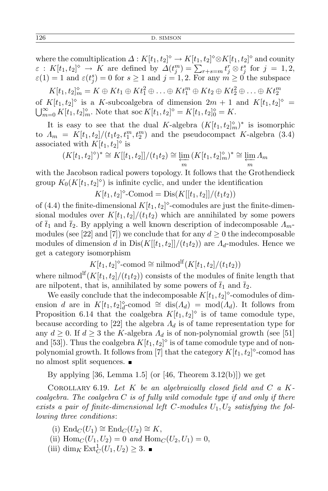where the comultiplication  $\Delta: K[t_1, t_2]^\diamond \to K[t_1, t_2]^\diamond \otimes K[t_1, t_2]^\diamond$  and counity  $\varepsilon: K[t_1, t_2]^\diamond \to K$  are defined by  $\Delta(t_j^m) = \sum_{r+s=m} t_j^r \otimes t_j^s$  for  $j = 1, 2,$  $\varepsilon(1) = 1$  and  $\varepsilon(t_j^s) = 0$  for  $s \ge 1$  and  $j = 1, 2$ . For any  $m \ge 0$  the subspace

 $K[t_1, t_2]_m^{\diamond} = K \oplus Kt_1 \oplus Kt_1^2 \oplus \ldots \oplus Kt_1^m \oplus Kt_2 \oplus Kt_2^2 \oplus \ldots \oplus Kt_2^m$ of  $K[t_1, t_2]^\diamond$  is a *K*-subcoalgebra of dimension  $2m + 1$  and  $K[t_1, t_2]^\diamond =$ <br> $\bigcup_{n=0}^{\infty} K[t_1, t_2]^\diamond_n$ . Note that soc  $K[t_1, t_2]^\diamond = K[t_1, t_2]^\diamond_0 = K$ .  $\sum_{m=0}^{\infty} K[t_1, t_2]_m^{\diamond}$ . Note that soc  $K[t_1, t_2]^{\diamond} = K[t_1, t_2]_0^{\diamond} = K$ .

It is easy to see that the dual *K*-algebra  $(K[t_1, t_2]_m^{\diamond})^*$  is isomorphic to  $\Lambda_m = K[t_1, t_2]/(t_1 t_2, t_1^m, t_2^m)$  and the pseudocompact *K*-algebra (3.4) associated with  $K[t_1, t_2]^\diamond$  is

$$
(K[t_1, t_2]^\diamond)^* \cong K[[t_1, t_2]]/(t_1t_2) \cong \varprojlim_m (K[t_1, t_2]_m^\diamond)^* \cong \varprojlim_m \Lambda_m
$$

with the Jacobson radical powers topology. It follows that the Grothendieck group  $K_0(K[t_1, t_2]^\diamond)$  is infinite cyclic, and under the identification

$$
K[t_1, t_2]^{\diamond} \text{-Comod} = \text{Dis}(K[[t_1, t_2]]/(t_1 t_2))
$$

of (4.4) the finite-dimensional  $K[t_1, t_2]^\diamond$ -comodules are just the finite-dimensional modules over  $K[t_1, t_2]/(t_1t_2)$  which are annihilated by some powers of  $\bar{t}_1$  and  $\bar{t}_2$ . By applying a well known description of indecomposable  $\Lambda_m$ modules (see [22] and [7]) we conclude that for any  $d \geq 0$  the indecomposable modules of dimension *d* in  $Dis(K[[t_1,t_2]]/(t_1t_2))$  are  $A_d$ -modules. Hence we get a category isomorphism

$$
K[t_1, t_2]^\diamond\text{-comod}\cong\text{nilmod}^{\text{lf}}(K[t_1, t_2]/(t_1t_2))
$$

where nilmod<sup>If</sup>( $K[t_1, t_2]/(t_1t_2)$ ) consists of the modules of finite length that are nilpotent, that is, annihilated by some powers of  $\bar{t}_1$  and  $\bar{t}_2$ .

We easily conclude that the indecomposable  $K[t_1, t_2]$ <sup> $\circ$ </sup>-comodules of dimension *d* are in  $K[t_1, t_2]_d^{\diamond}$ -comod  $\cong$  dis $(A_d)$  = mod $(A_d)$ . It follows from Proposition 6.14 that the coalgebra  $K[t_1, t_2]^\diamond$  is of tame comodule type, because according to [22] the algebra  $\Lambda_d$  is of tame representation type for any  $d \geq 0$ . If  $d \geq 3$  the *K*-algebra  $\Lambda_d$  is of non-polynomial growth (see [51] and [53]). Thus the coalgebra  $K[t_1, t_2]^\diamond$  is of tame comodule type and of nonpolynomial growth. It follows from [7] that the category  $K[t_1, t_2]$ <sup> $\circ$ </sup>-comod has no almost split sequences.

By applying [36, Lemma 1.5] (or [46, Theorem  $3.12(b)$ ]) we get

Corollary 6.19. *Let K be an algebraically closed field and C a Kcoalgebra. The coalgebra C is of fully wild comodule type if and only if there* exists a pair of finite-dimensional left C-modules  $U_1, U_2$  satisfying the fol*lowing three conditions*:

- $(i)$  End<sub>*C*</sub>( $U_1$ ) ≅ End<sub>*C*</sub>( $U_2$ ) ≅ *K*,
- (ii)  $\text{Hom}_C(U_1, U_2) = 0$  *and*  $\text{Hom}_C(U_2, U_1) = 0$ ,
- $(iii) \dim_K \text{Ext}^1_C(U_1, U_2) \geq 3.$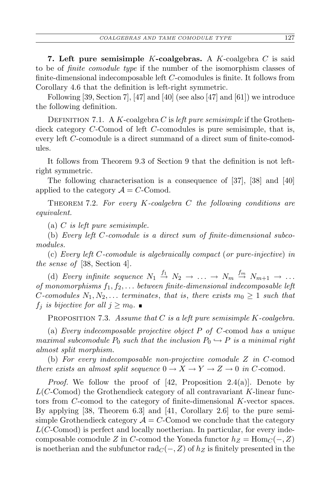**7. Left pure semisimple** *K***-coalgebras.** A *K*-coalgebra *C* is said to be of *finite comodule type* if the number of the isomorphism classes of finite-dimensional indecomposable left *C*-comodules is finite. It follows from Corollary 4.6 that the definition is left-right symmetric.

Following [39, Section 7], [47] and [40] (see also [47] and [61]) we introduce the following definition.

DEFINITION 7.1. A *K*-coalgebra *C* is *left pure semisimple* if the Grothendieck category *C*-Comod of left *C*-comodules is pure semisimple, that is, every left *C*-comodule is a direct summand of a direct sum of finite-comodules.

It follows from Theorem 9.3 of Section 9 that the definition is not leftright symmetric.

The following characterisation is a consequence of [37], [38] and [40] applied to the category  $A = C$ -Comod.

Theorem 7.2. *For every K-coalgebra C the following conditions are equivalent.*

(a) *C is left pure semisimple.*

(b) *Every left C-comodule is a direct sum of finite-dimensional subcomodules.*

(c) *Every left C-comodule is algebraically compact* (*or pure-injective*) *in the sense of* [38, Section 4]*.*

(d) *Every infinite sequence*  $N_1 \stackrel{f_1}{\rightarrow} N_2 \rightarrow \ldots \rightarrow N_m \stackrel{f_m}{\rightarrow} N_{m+1} \rightarrow \ldots$ *of monomorphisms f*1*, f*2*, . . . between finite-dimensional indecomposable left C*-comodules  $N_1, N_2, \ldots$  *terminates*, *that is*, *there exists*  $m_0 \geq 1$  *such that f<sub>j</sub> is bijective for all*  $j \geq m_0$ .

Proposition 7.3. *Assume that C is a left pure semisimple K-coalgebra.*

(a) *Every indecomposable projective object P of C-*comod *has a unique maximal subcomodule*  $P_0$  *such that the inclusion*  $P_0 \hookrightarrow P$  *is a minimal right almost split morphism.*

(b) *For every indecomposable non-projective comodule Z in C-*comod *there exists an almost split sequence*  $0 \to X \to Y \to Z \to 0$  *in C*-comod.

*Proof.* We follow the proof of [42, Proposition 2.4(a)]. Denote by *L*(*C*-Comod) the Grothendieck category of all contravariant *K*-linear functors from *C*-comod to the category of finite-dimensional *K*-vector spaces. By applying [38, Theorem 6.3] and [41, Corollary 2.6] to the pure semisimple Grothendieck category  $A = C$ -Comod we conclude that the category *L*(*C*-Comod) is perfect and locally noetherian. In particular, for every indecomposable comodule *Z* in *C*-comod the Yoneda functor  $h_Z = \text{Hom}_C(-, Z)$ is noetherian and the subfunctor  $\text{rad}_C(-, Z)$  of  $h_Z$  is finitely presented in the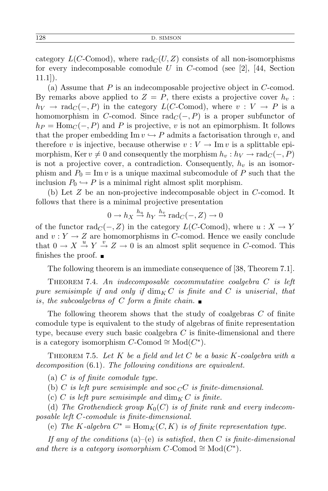category  $L(C\text{-Comod})$ , where  $rad_C(U, Z)$  consists of all non-isomorphisms for every indecomposable comodule *U* in *C*-comod (see [2], [44, Section 11.1]).

(a) Assume that *P* is an indecomposable projective object in *C*-comod. By remarks above applied to  $Z = P$ , there exists a projective cover  $h_v$ :  $h_V \rightarrow \text{rad}_C(-, P)$  in the category  $L(C\text{-Comod})$ , where  $v : V \rightarrow P$  is a homomorphism in *C*-comod. Since  $\text{rad}_C(-, P)$  is a proper subfunctor of  $h_P = \text{Hom}_C(-, P)$  and *P* is projective, *v* is not an epimorphism. It follows that the proper embedding Im  $v \leftrightarrow P$  admits a factorisation through *v*, and therefore *v* is injective, because otherwise  $v: V \to \text{Im } v$  is a splittable epimorphism, Ker  $v \neq 0$  and consequently the morphism  $h_v : h_V \to \text{rad}_C(-, P)$ is not a projective cover, a contradiction. Consequently,  $h_v$  is an isomorphism and  $P_0 = \text{Im } v$  is a unique maximal subcomodule of P such that the inclusion  $P_0 \hookrightarrow P$  is a minimal right almost split morphism.

(b) Let *Z* be an non-projective indecomposable object in *C*-comod. It follows that there is a minimal projective presentation

$$
0 \to h_X \stackrel{h_u}{\to} h_Y \stackrel{h_v}{\to} \text{rad}_C(-, Z) \to 0
$$

of the functor  $\text{rad}_C(-, Z)$  in the category  $L(C\text{-Comod})$ , where  $u: X \to Y$ and  $v: Y \to Z$  are homomorphisms in *C*-comod. Hence we easily conclude that  $0 \to X \stackrel{u}{\to} Y \stackrel{v}{\to} Z \to 0$  is an almost split sequence in *C*-comod. This finishes the proof.  $\blacksquare$ 

The following theorem is an immediate consequence of [38, Theorem 7.1].

Theorem 7.4. *An indecomposable cocommutative coalgebra C is left pure semisimple if and only if* dim*<sup>K</sup> C is finite and C is uniserial*, *that is*, *the subcoalgebras of C form a finite chain.*

The following theorem shows that the study of coalgebras *C* of finite comodule type is equivalent to the study of algebras of finite representation type, because every such basic coalgebra *C* is finite-dimensional and there is a category isomorphism  $C$ -Comod  $\cong Mod(C^*).$ 

Theorem 7.5. *Let K be a field and let C be a basic K-coalgebra with a decomposition* (6*.*1)*. The following conditions are equivalent.*

(a) *C is of finite comodule type.*

(b) *C is left pure semisimple and* soc *<sup>C</sup>C is finite-dimensional.*

(c) *C* is left pure semisimple and  $\dim_K C$  is finite.

(d) The Grothendieck group  $K_0(C)$  is of finite rank and every indecom*posable left C-comodule is finite-dimensional.*

(e) *The K*-algebra  $C^* = \text{Hom}_K(C, K)$  *is of finite representation type.* 

*If any of the conditions* (a)–(e) *is satisfied*, *then C is finite-dimensional and there is a category isomorphism*  $C$ -Comod  $\cong Mod(C^*)$ *.*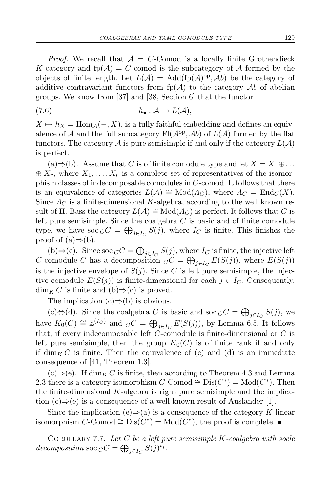*Proof.* We recall that  $A = C$ -Comod is a locally finite Grothendieck *K*-category and  $fp(A) = C$ -comod is the subcategory of A formed by the objects of finite length. Let  $L(\mathcal{A}) = \text{Add}(\text{fp}(\mathcal{A})^{\text{op}}, \mathcal{A}b)$  be the category of additive contravariant functors from  $fp(A)$  to the category Ab of abelian groups. We know from [37] and [38, Section 6] that the functor

$$
(7.6) \t\t\t\t h_{\bullet}: \mathcal{A} \to L(\mathcal{A}),
$$

 $X \mapsto h_X = \text{Hom}_{\mathcal{A}}(-, X)$ , is a fully faithful embedding and defines an equivalence of  $A$  and the full subcategory  $\text{Fl}(\mathcal{A}^{\text{op}}, \mathcal{A}b)$  of  $L(A)$  formed by the flat functors. The category  $\mathcal A$  is pure semisimple if and only if the category  $L(\mathcal A)$ is perfect.

(a) $\Rightarrow$ (b). Assume that *C* is of finite comodule type and let *X* = *X*<sub>1</sub> ⊕...  $\oplus X_r$ , where  $X_1, \ldots, X_r$  is a complete set of representatives of the isomorphism classes of indecomposable comodules in *C*-comod. It follows that there is an equivalence of categories  $L(\mathcal{A}) \cong Mod(\Lambda_C)$ , where  $\Lambda_C = End_C(X)$ . Since  $\Lambda_C$  is a finite-dimensional K-algebra, according to the well known result of H. Bass the category  $L(\mathcal{A}) \cong Mod(\Lambda_C)$  is perfect. It follows that *C* is left pure semisimple. Since the coalgebra *C* is basic and of finite comodule type, we have soc  $_C C = \bigoplus_{j \in I_C} S(j)$ , where  $I_C$  is finite. This finishes the proof of  $(a) \Rightarrow (b)$ .

(b)⇒(c). Since soc  $C C = \bigoplus_{j \in I_C} S(j)$ , where  $I_C$  is finite, the injective left *C*-comodule *C* has a decomposition  $C^C = \bigoplus_{j \in I_C} E(S(j))$ , where  $E(S(j))$ is the injective envelope of  $S(j)$ . Since C is left pure semisimple, the injective comodule  $E(S(i))$  is finite-dimensional for each  $j \in I_C$ . Consequently,  $\dim_K C$  is finite and (b) $\Rightarrow$ (c) is proved.

The implication (c)*⇒*(b) is obvious.

(c)⇔(d). Since the coalgebra *C* is basic and soc  $\overline{C}C = \bigoplus_{j \in I_C} S(j)$ , we have  $K_0(C) \cong \mathbb{Z}^{(I_C)}$  and  $_C C = \bigoplus_{j \in I_C} E(S(j))$ , by Lemma 6.5. It follows that, if every indecomposable left *C*-comodule is finite-dimensional or *C* is left pure semisimple, then the group  $K_0(C)$  is of finite rank if and only if  $\dim_K C$  is finite. Then the equivalence of (c) and (d) is an immediate consequence of [41, Theorem 1.3].

 $(c) \Rightarrow (e)$ . If dim<sub>K</sub> *C* is finite, then according to Theorem 4.3 and Lemma 2.3 there is a category isomorphism  $C$ -Comod  $\cong$  Dis $(C^*)$  = Mod $(C^*)$ . Then the finite-dimensional *K*-algebra is right pure semisimple and the implication (c)*⇒*(e) is a consequence of a well known result of Auslander [1].

Since the implication (e) $\Rightarrow$ (a) is a consequence of the category *K*-linear isomorphism  $C$ -Comod  $\cong$  Dis( $C^*$ ) = Mod( $C^*$ ), the proof is complete.

Corollary 7.7. *Let C be a left pure semisimple K-coalgebra with socle decomposition* soc  $_C C = \bigoplus_{j \in I_C} S(j)^{t_j}$ .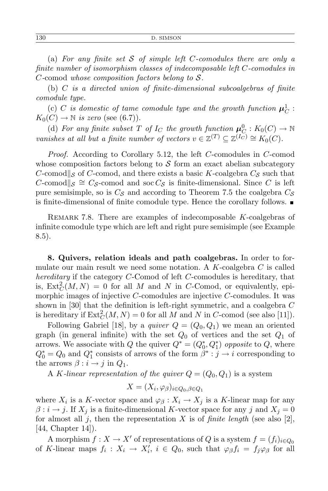(a) *For any finite set S of simple left C-comodules there are only a finite number of isomorphism classes of indecomposable left C-comodules in C-*comod *whose composition factors belong to S.*

(b) *C is a directed union of finite-dimensional subcoalgebras of finite comodule type.*

 $\boldsymbol{\mu}_C \left( \begin{matrix} \boldsymbol{c} \end{matrix} \right)$  *C is domestic of tame comodule type and the growth function*  $\boldsymbol{\mu}_C^1$  :  $K_0(C) \to \mathbb{N}$  *is zero* (see (6.7)).

(d) For any finite subset T of  $I_C$  the growth function  $\mu_C^0 : K_0(C) \to \mathbb{N}$ *vanishes at all but a finite number of vectors*  $v \in \mathbb{Z}^{(T)} \subseteq \mathbb{Z}^{(I_C)} \cong K_0(C)$ .

*Proof.* According to Corollary 5.12, the left *C*-comodules in *C*-comod whose composition factors belong to *S* form an exact abelian subcategory *C*-comod $\parallel$ <sup>*S*</sup> of *C*-comod, and there exists a basic *K*-coalgebra  $C_s$  such that *C*-comod $\parallel$ <sub>*S*</sub>  $\cong$  *C<sub>S</sub>*-comod and soc *C<sub>S</sub>* is finite-dimensional. Since *C* is left pure semisimple, so is *C<sup>S</sup>* and according to Theorem 7.5 the coalgebra *C<sup>S</sup>* is finite-dimensional of finite comodule type. Hence the corollary follows.

Remark 7.8. There are examples of indecomposable *K*-coalgebras of infinite comodule type which are left and right pure semisimple (see Example 8.5).

**8. Quivers, relation ideals and path coalgebras.** In order to formulate our main result we need some notation. A *K*-coalgebra *C* is called *hereditary* if the category *C*-Comod of left *C*-comodules is hereditary, that is,  $\text{Ext}^2_C(M, N) = 0$  for all M and N in C-Comod, or equivalently, epimorphic images of injective *C*-comodules are injective *C*-comodules. It was shown in [30] that the definition is left-right symmetric, and a coalgebra *C* is hereditary if  $\text{Ext}^2_C(M, N) = 0$  for all *M* and *N* in *C*-comod (see also [11]).

Following Gabriel [18], by a *quiver*  $Q = (Q_0, Q_1)$  we mean an oriented graph (in general infinite) with the set  $Q_0$  of vertices and the set  $Q_1$  of arrows. We associate with *Q* the quiver  $Q^* = (Q_0^*, Q_1^*)$  *opposite* to *Q*, where  $Q_0^* = Q_0$  and  $Q_1^*$  consists of arrows of the form  $\beta^* : j \to i$  corresponding to the arrows  $\beta : i \rightarrow j$  in  $Q_1$ .

A *K*-linear representation of the quiver  $Q = (Q_0, Q_1)$  is a system

$$
X = (X_i, \varphi_{\beta})_{i \in Q_0, \beta \in Q_1}
$$

where  $X_i$  is a *K*-vector space and  $\varphi_\beta: X_i \to X_j$  is a *K*-linear map for any  $\beta : i \rightarrow j$ . If  $X_j$  is a finite-dimensional *K*-vector space for any *j* and  $X_j = 0$ for almost all *j*, then the representation *X* is of *finite length* (see also [2],  $[44, Chapter 14]$ .

A morphism  $f: X \to X'$  of representations of *Q* is a system  $f = (f_i)_{i \in Q_0}$ of *K*-linear maps  $f_i: X_i \to X'_i$ ,  $i \in Q_0$ , such that  $\varphi_\beta f_i = f_j \varphi_\beta$  for all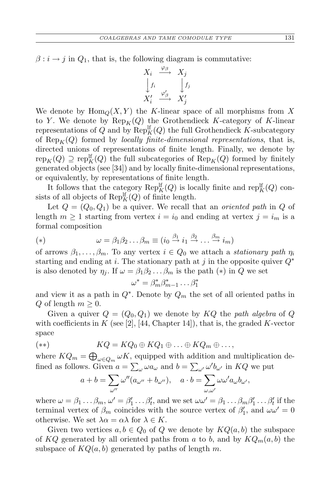$\beta$  :  $i \rightarrow j$  in  $Q_1$ , that is, the following diagram is commutative:

$$
\begin{array}{ccc}\nX_i & \stackrel{\varphi_{\beta}}{\longrightarrow} & X_j \\
\downarrow f_i & & \downarrow f_j \\
X'_i & \stackrel{\varphi_{\beta}'}{\longrightarrow} & X'_j\n\end{array}
$$

We denote by  $\text{Hom}_Q(X, Y)$  the *K*-linear space of all morphisms from X to *Y*. We denote by  $\text{Rep}_K(Q)$  the Grothendieck *K*-category of *K*-linear representations of  $Q$  and by  $\operatorname{Rep}_K^{\text{lf}}(Q)$  the full Grothendieck *K*-subcategory of  $\text{Rep}_K(Q)$  formed by *locally finite-dimensional representations*, that is, directed unions of representations of finite length. Finally, we denote by  $\operatorname{rep}_K(Q) \supseteq \operatorname{rep}_K^{\text{lf}}(Q)$  the full subcategories of  $\operatorname{Rep}_K(Q)$  formed by finitely generated objects (see [34]) and by locally finite-dimensional representations, or equivalently, by representations of finite length.

It follows that the category  $\text{Rep}_K^{\text{lf}}(Q)$  is locally finite and  $\text{rep}_K^{\text{lf}}(Q)$  consists of all objects of  $\operatorname{Rep}_K^{\text{lf}}(Q)$  of finite length.

Let  $Q = (Q_0, Q_1)$  be a quiver. We recall that an *oriented path* in  $Q$  of length  $m \geq 1$  starting from vertex  $i = i_0$  and ending at vertex  $j = i_m$  is a formal composition

(\*) 
$$
\omega = \beta_1 \beta_2 \dots \beta_m \equiv (i_0 \stackrel{\beta_1}{\rightarrow} i_1 \stackrel{\beta_2}{\rightarrow} \dots \stackrel{\beta_m}{\rightarrow} i_m)
$$

of arrows  $\beta_1, \ldots, \beta_m$ . To any vertex  $i \in Q_0$  we attach a *stationary path*  $\eta_i$ starting and ending at *i*. The stationary path at *j* in the opposite quiver *Q<sup>∗</sup>* is also denoted by  $\eta_j$ . If  $\omega = \beta_1 \beta_2 \dots \beta_m$  is the path  $(*)$  in *Q* we set

$$
\omega^* = \beta_m^* \beta_{m-1}^* \dots \beta_1^*
$$

and view it as a path in  $Q^*$ . Denote by  $Q_m$  the set of all oriented paths in *Q* of length *m* ≥ 0.

Given a quiver  $Q = (Q_0, Q_1)$  we denote by  $KQ$  the *path algebra* of Q with coefficients in  $K$  (see [2], [44, Chapter 14]), that is, the graded  $K$ -vector space

$$
(*)\qquad\qquad KQ=KQ_0\oplus KQ_1\oplus\ldots\oplus KQ_m\oplus\ldots,
$$

where  $KQ_m = \bigoplus_{\omega \in Q_m} \omega K$ , equipped with addition and multiplication defined as follows. Given  $a = \sum_{\omega} \omega a_{\omega}$  and  $b = \sum_{\omega'} \omega' b_{\omega'}$  in  $KQ$  we put

$$
a + b = \sum_{\omega''} \omega''(a_{\omega''} + b_{\omega''}), \quad a \cdot b = \sum_{\omega, \omega'} \omega \omega' a_{\omega} b_{\omega'},
$$

where  $\omega = \beta_1 \dots \beta_m$ ,  $\omega' = \beta'_1 \dots \beta'_t$ , and we set  $\omega \omega' = \beta_1 \dots \beta_m \beta'_1 \dots \beta'_t$  if the terminal vertex of  $\beta_m$  coincides with the source vertex of  $\beta'_1$ , and  $\omega\omega' = 0$ otherwise. We set  $\lambda \alpha = \alpha \lambda$  for  $\lambda \in K$ .

Given two vertices  $a, b \in Q_0$  of  $Q$  we denote by  $KQ(a, b)$  the subspace of  $KQ$  generated by all oriented paths from *a* to *b*, and by  $KQ_m(a, b)$  the subspace of  $KQ(a, b)$  generated by paths of length m.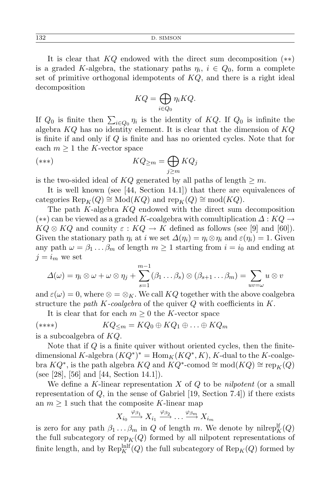It is clear that *KQ* endowed with the direct sum decomposition (*∗∗*) is a graded *K*-algebra, the stationary paths  $\eta_i$ ,  $i \in Q_0$ , form a complete set of primitive orthogonal idempotents of *KQ*, and there is a right ideal decomposition

$$
KQ = \bigoplus_{i \in Q_0} \eta_i KQ.
$$

If  $Q_0$  is finite then  $\sum_{i \in Q_0} \eta_i$  is the identity of  $KQ$ . If  $Q_0$  is infinite the algebra *KQ* has no identity element. It is clear that the dimension of *KQ* is finite if and only if *Q* is finite and has no oriented cycles. Note that for each  $m \geq 1$  the *K*-vector space

$$
KQ_{\geq m} = \bigoplus_{j\geq m} KQ_j
$$

is the two-sided ideal of  $KQ$  generated by all paths of length  $\geq m$ .

It is well known (see [44, Section 14.1]) that there are equivalences of  $\text{categories } \text{Rep}_K(Q) \cong \text{Mod}(KQ) \text{ and } \text{rep}_K(Q) \cong \text{mod}(KQ).$ 

The path *K*-algebra *KQ* endowed with the direct sum decomposition (*∗∗*) can be viewed as a graded *K*-coalgebra with comultiplication *∆* : *KQ →*  $KQ \otimes KQ$  and counity  $\varepsilon : KQ \to K$  defined as follows (see [9] and [60]). Given the stationary path  $\eta_i$  at *i* we set  $\Delta(\eta_i) = \eta_i \otimes \eta_i$  and  $\varepsilon(\eta_i) = 1$ . Given any path  $\omega = \beta_1 \dots \beta_m$  of length  $m \ge 1$  starting from  $i = i_0$  and ending at  $j = i_m$  we set

$$
\Delta(\omega) = \eta_i \otimes \omega + \omega \otimes \eta_j + \sum_{s=1}^{m-1} (\beta_1 \dots \beta_s) \otimes (\beta_{s+1} \dots \beta_m) = \sum_{uv=\omega} u \otimes v
$$

and  $\varepsilon(\omega) = 0$ , where  $\otimes = \otimes_K$ . We call  $KQ$  together with the above coalgebra structure the *path K-coalgebra* of the quiver *Q* with coefficients in *K*.

It is clear that for each  $m \geq 0$  the *K*-vector space

$$
KQ_{\leq m} = KQ_0 \oplus KQ_1 \oplus \ldots \oplus KQ_m
$$
 is a subcoalgebra of  $KQ$ .

Note that if *Q* is a finite quiver without oriented cycles, then the finitedimensional *K*-algebra  $(KQ^*)^* = \text{Hom}_K(KQ^*, K)$ , *K*-dual to the *K*-coalge- $KQ^*$ , is the path algebra  $KQ$  and  $KQ^*$ -comod  $\cong \text{mod}(KQ) \cong \text{rep}_K(Q)$ (see [28], [56] and [44, Section 14.1]).

We define a *K*-linear representation *X* of *Q* to be *nilpotent* (or a small representation of *Q*, in the sense of Gabriel [19, Section 7.4]) if there exists an  $m \geq 1$  such that the composite *K*-linear map

$$
X_{i_0} \xrightarrow{\varphi_{\beta_1}} X_{i_1} \xrightarrow{\varphi_{\beta_2}} \dots \xrightarrow{\varphi_{\beta_m}} X_{i_m}
$$

is zero for any path  $\beta_1 \ldots \beta_m$  in *Q* of length *m*. We denote by nilrep<sup>If</sup><sub>K</sub>(*Q*) the full subcategory of  $\text{rep}_K(Q)$  formed by all nilpotent representations of finite length, and by  $\text{Rep}_K^{\text{Inlf}}(Q)$  the full subcategory of  $\text{Rep}_K(Q)$  formed by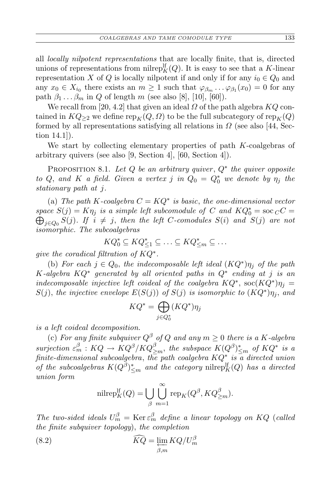all *locally nilpotent representations* that are locally finite, that is, directed unions of representations from nilrep<sup>If</sup><sub> $K$ </sub><sup>(*Q*</sup>). It is easy to see that a *K*-linear representation *X* of *Q* is locally nilpotent if and only if for any  $i_0 \in Q_0$  and any  $x_0 \in X_{i_0}$  there exists an  $m \ge 1$  such that  $\varphi_{\beta_m} \dots \varphi_{\beta_1}(x_0) = 0$  for any path  $\beta_1 \ldots \beta_m$  in *Q* of length *m* (see also [8], [10], [60]).

We recall from [20, 4.2] that given an ideal *Ω* of the path algebra *KQ* contained in  $KQ_{\geq 2}$  we define  $\text{rep}_K(Q, \Omega)$  to be the full subcategory of  $\text{rep}_K(Q)$ formed by all representations satisfying all relations in  $\Omega$  (see also [44, Section 14.1]).

We start by collecting elementary properties of path *K*-coalgebras of arbitrary quivers (see also [9, Section 4], [60, Section 4]).

Proposition 8.1. *Let Q be an arbitrary quiver* , *Q<sup>∗</sup> the quiver opposite to Q*, and *K a field.* Given a vertex *j* in  $Q_0 = Q_0^*$  we denote by  $\eta_j$  the *stationary path at j.*

(a) *The path*  $K$ -coalgebra  $C = KQ^*$  is basic, the one-dimensional vector *space*  $S(j) = K\eta_j$  *is a simple left subcomodule of C and*  $KQ_0^* = \text{soc}_C C = \bigoplus_{i=0}^{n} S(i)$ . If  $i \neq j$ , then the left *C*-comodules  $S(i)$  *and*  $S(j)$  *are not j* $∈Q$ <sub>0</sub>  $S$ (*j*)*. If*  $i ≠ j$ , *then the left C-comodules*  $S(i)$  *and*  $S(j)$  *are not isomorphic. The subcoalgebras*

$$
KQ_0^* \subseteq KQ_{\leq 1}^* \subseteq \ldots \subseteq KQ_{\leq m}^* \subseteq \ldots
$$

*give the coradical filtration of KQ<sup>∗</sup> .*

(b) *For each*  $j \in Q_0$ , *the indecomposable left ideal*  $(KQ^*)\eta_j$  *of the path K-algebra KQ<sup>∗</sup> generated by all oriented paths in Q<sup>∗</sup> ending at j is an indecomposable injective left coideal of the coalgebra*  $KQ^*$ ,  $\text{soc}(KQ^*)\eta_j =$ *S*(*j*), *the injective envelope*  $E(S(j))$  *of*  $S(j)$  *is isomorphic to*  $(KQ^*)\eta_j$ , *and* 

$$
KQ^* = \bigoplus_{j \in Q_0^*} (KQ^*)\eta_j
$$

*is a left coideal decomposition.*

(c) *For any finite subquiver*  $Q^{\beta}$  *of*  $Q$  *and any*  $m \geq 0$  *there is a K*-*algebra* surjection  $\varepsilon_m^{\beta}:KQ\to KQ^{\beta}/KQ_{\geq m}^{\beta}$ , the subspace  $K(Q^{\beta})_{\leq m}^*$  of  $KQ^*$  is a *finite-dimensional subcoalgebra*, *the path coalgebra KQ<sup>∗</sup> is a directed union of the subcoalgebras*  $K(Q^{\beta})_{\leq m}^*$  *and the category* nilrep<sup>lf</sup><sub> $K(Q)$ </sub> *has a directed union form*

$$
\mathrm{nilrep}_K^{\rm lf}(Q)=\bigcup_{\beta}\bigcup_{m=1}^{\infty}\mathrm{rep}_K(Q^{\beta},KQ_{\geq m}^{\beta}).
$$

*The two-sided ideals*  $U_m^{\beta} = \text{Ker} \varepsilon_m^{\beta}$  *define a linear topology on*  $KQ$  (*called the finite subquiver topology*), *the completion*

(8.2) 
$$
\widehat{KQ} = \varprojlim_{\beta,m} KQ/U_m^{\beta}
$$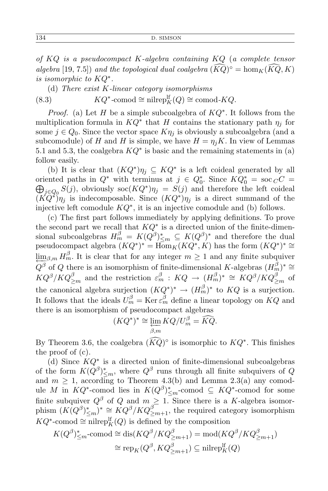*of KQ is a pseudocompact K-algebra containing KQ* (*a complete tensor algebra* [19, 7.5]) *and the topological dual coalgebra*  $(\widetilde{KQ})^{\circ} = \hom_K(\widetilde{KQ}, K)$ *is isomorphic to KQ<sup>∗</sup> .*

(d) *There exist K-linear category isomorphisms* (8.3)  $KQ^*$ -comod  $\cong$  nilrep $_K^{\text{lf}}(Q) \cong \text{comod-}KQ$ .

*Proof.* (a) Let *H* be a simple subcoalgebra of *KQ<sup>∗</sup>* . It follows from the multiplication formula in  $KQ^*$  that *H* contains the stationary path  $\eta_j$  for some  $j \in Q_0$ . Since the vector space  $K\eta_j$  is obviously a subcoalgebra (and a subcomodule) of *H* and *H* is simple, we have  $H = \eta_j K$ . In view of Lemmas 5.1 and 5.3, the coalgebra *KQ<sup>∗</sup>* is basic and the remaining statements in (a) follow easily.

(b) It is clear that  $(KQ^*)\eta_j \subseteq KQ^*$  is a left coideal generated by all oriented paths in  $Q^*$  with terminus at  $j \in Q_0^*$ . Since  $KQ_0^* = \operatorname{soc}_C C = \bigoplus_{i=0}^{\infty} S(i)$ , obviously  $\operatorname{soc}(KQ^*)\eta_i = S(i)$  and therefore the left coideal  $j \in Q_0$   $S(j)$ , obviously  $\operatorname{soc}(KQ^*)\eta_j = S(j)$  and therefore the left coideal  $(K\tilde{Q}^*)\eta_j$  is indecomposable. Since  $(KQ^*)\eta_j$  is a direct summand of the injective left comodule *KQ<sup>∗</sup>* , it is an injective comodule and (b) follows.

(c) The first part follows immediately by applying definitions. To prove the second part we recall that *KQ<sup>∗</sup>* is a directed union of the finite-dimensional subcoalgebras  $H_m^{\beta} = K(Q^{\beta})_{\leq m}^* \subseteq K(Q^{\beta})^*$  and therefore the dual pseudocompact algebra  $(KQ^*)^* = \overline{\text{Hom}}_K(KQ^*, K)$  has the form  $(KQ^*)^* \cong$  $\lim_{\epsilon \to 0} \beta_m H_m^{\beta}$ . It is clear that for any integer  $m \geq 1$  and any finite subquiver  $Q^{\beta}$  of *Q* there is an isomorphism of finite-dimensional *K*-algebras  $(H_m^{\beta})^* \cong$  $KQ^{\beta}/KQ^{\beta}_{\geq m}$  and the restriction  $\varepsilon_m^{\beta}$  :  $KQ \to (H_m^{\beta})^* \cong KQ^{\beta}/KQ^{\beta}_{\geq m}$  of the canonical algebra surjection  $(KQ^*)^* \to (H_m^{\beta})^*$  to  $KQ$  is a surjection. It follows that the ideals  $U_m^{\beta} = \text{Ker } \varepsilon_m^{\beta}$  define a linear topology on  $KQ$  and there is an isomorphism of pseudocompact algebras

$$
(KQ^*)^* \cong \varprojlim_{\beta,m} KQ/U_m^{\beta} = \widehat{KQ}.
$$

By Theorem 3.6, the coalgebra  $(\widehat{KQ})^{\circ}$  is isomorphic to  $KQ^*$ . This finishes the proof of (c).

(d) Since *KQ<sup>∗</sup>* is a directed union of finite-dimensional subcoalgebras of the form  $K(Q^{\beta})_{\leq m}^*$ , where  $Q^{\beta}$  runs through all finite subquivers of  $Q$ and  $m \geq 1$ , according to Theorem 4.3(b) and Lemma 2.3(a) any comodule *M* in  $KQ^*$ -comod lies in  $K(Q^{\beta})^*_{\leq m}$ -comod ⊆  $KQ^*$ -comod for some finite subquiver  $Q^{\beta}$  of  $Q$  and  $m \geq 1$ . Since there is a *K*-algebra isomorphism  $(K(Q^{\beta})_{\leq m}^*)^* \cong KQ^{\beta}/KQ_{\geq m+1}^{\beta}$ , the required category isomorphism  $KQ^*$ -comod  $\cong$  nilrep<sup>[*f*</sup><sub>*K*</sub>(*Q*) is defined by the composition

$$
K(Q^{\beta})_{\leq m}^* \text{-comod} \cong \text{dis}(KQ^{\beta}/KQ_{\geq m+1}^{\beta}) = \text{mod}(KQ^{\beta}/KQ_{\geq m+1}^{\beta})
$$
  

$$
\cong \text{rep}_K(Q^{\beta}, KQ_{\geq m+1}^{\beta}) \subseteq \text{nilrep}_K^{\text{lf}}(Q)
$$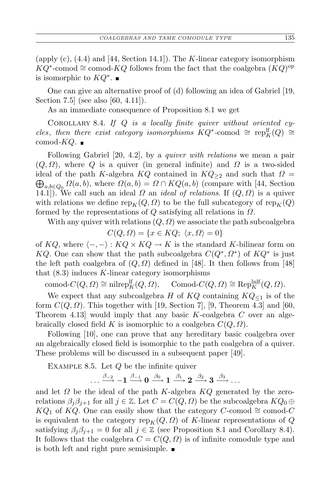(apply (c), (4.4) and [44, Section 14.1]). The *K*-linear category isomorphism  $KQ^*$ -comod  $\cong$  comod-*KQ* follows from the fact that the coalgebra  $(KQ)$ <sup>op</sup> is isomorphic to *KQ<sup>∗</sup>* .

One can give an alternative proof of (d) following an idea of Gabriel [19, Section 7.5] (see also [60, 4.11]).

As an immediate consequence of Proposition 8.1 we get

Corollary 8.4. *If Q is a locally finite quiver without oriented cy* $c$ *les*, *then there exist category isomorphisms*  $KQ^*$ -comod  $\cong \text{rep}_K^{\text{lf}}(Q) \cong$  $comod$ *-KQ.* 

Following Gabriel [20, 4.2], by a *quiver with relations* we mean a pair  $(Q, \Omega)$ , where  $Q$  is a quiver (in general infinite) and  $\Omega$  is a two-sided  $\bigoplus_{a,b\in Q_0} \Omega(a,b)$ , where  $\Omega(a,b) = \Omega \cap KQ(a,b)$  (compare with [44, Section ideal of the path *K*-algebra  $KQ$  contained in  $KQ_{\geq 2}$  and such that  $\Omega =$ 14.1). We call such an ideal  $\Omega$  an *ideal of relations*. If  $(Q, \Omega)$  is a quiver with relations we define  $\text{rep}_K(Q, \Omega)$  to be the full subcategory of  $\text{rep}_K(Q)$ formed by the representations of *Q* satisfying all relations in *Ω*.

With any quiver with relations  $(Q, \Omega)$  we associate the path subcoalgebra

$$
C(Q, \Omega) = \{ x \in KQ; \ \langle x, \Omega \rangle = 0 \}
$$

of  $KQ$ , where  $\langle$  −, − $\rangle$  :  $KQ \times KQ \rightarrow K$  is the standard *K*-bilinear form on *KQ*. One can show that the path subcoalgebra  $C(Q^*, Q^*)$  of  $KQ^*$  is just the left path coalgebra of  $(Q, \Omega)$  defined in [48]. It then follows from [48] that (8.3) induces *K*-linear category isomorphisms

 $\text{comod-}C(Q, \Omega) \cong \text{nilrep}_K^{\text{lf}}(Q, \Omega), \quad \text{Comod-}C(Q, \Omega) \cong \text{Rep}_K^{\text{lnlf}}(Q, \Omega).$ 

We expect that any subcoalgebra *H* of  $KQ$  containing  $KQ_{\leq 1}$  is of the form  $C(Q, Q)$ . This together with [19, Section 7], [9, Theorem 4.3] and [60, Theorem 4.13] would imply that any basic *K*-coalgebra *C* over an algebraically closed field *K* is isomorphic to a coalgebra *C*(*Q, Ω*).

Following [10], one can prove that any hereditary basic coalgebra over an algebraically closed field is isomorphic to the path coalgebra of a quiver. These problems will be discussed in a subsequent paper [49].

Example 8.5. Let *Q* be the infinite quiver

$$
\ldots \stackrel{\beta_{-2}}{\longrightarrow} -1 \stackrel{\beta_{-1}}{\longrightarrow} 0 \stackrel{\beta_0}{\longrightarrow} 1 \stackrel{\beta_1}{\longrightarrow} 2 \stackrel{\beta_2}{\longrightarrow} 3 \stackrel{\beta_3}{\longrightarrow} \ldots
$$

and let *Ω* be the ideal of the path *K*-algebra *KQ* generated by the zerorelations  $\beta_i \beta_{i+1}$  for all  $j \in \mathbb{Z}$ . Let  $C = C(Q, \Omega)$  be the subcoalgebra  $KQ_0 \oplus$ *KQ*<sub>1</sub> of *KQ*. One can easily show that the category *C*-comod  $\cong$  comod-*C* is equivalent to the category  $\text{rep}_K(Q, Q)$  of K-linear representations of  $Q$ satisfying  $\beta_i \beta_{i+1} = 0$  for all  $j \in \mathbb{Z}$  (see Proposition 8.1 and Corollary 8.4). It follows that the coalgebra  $C = C(Q, \Omega)$  is of infinite comodule type and is both left and right pure semisimple.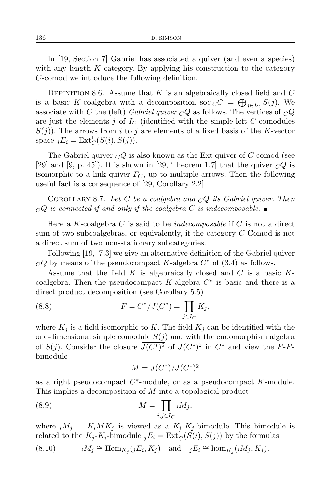In [19, Section 7] Gabriel has associated a quiver (and even a species) with any length *K*-category. By applying his construction to the category *C*-comod we introduce the following definition.

DEFINITION 8.6. Assume that  $K$  is an algebraically closed field and  $C$ is a basic *K*-coalgebra with a decomposition soc  $C C = \bigoplus_{j \in I_C} S(j)$ . We associate with *C* the (left) *Gabriel quiver*  $\overline{CQ}$  as follows. The vertices of  $\overline{CQ}$ are just the elements *j* of  $I_C$  (identified with the simple left *C*-comodules  $S(j)$ ). The arrows from *i* to *j* are elements of a fixed basis of the *K*-vector space  $jE_i = \text{Ext}^1_C(S(i), S(j)).$ 

The Gabriel quiver *<sup>C</sup>Q* is also known as the Ext quiver of *C*-comod (see [29] and [9, p. 45]). It is shown in [29, Theorem 1.7] that the quiver  $\overline{CQ}$  is isomorphic to a link quiver  $\Gamma_C$ , up to multiple arrows. Then the following useful fact is a consequence of [29, Corollary 2.2].

Corollary 8.7. *Let C be a coalgebra and <sup>C</sup>Q its Gabriel quiver. Then*  $\Box$ *CQ* is connected if and only if the coalgebra C is indecomposable.

Here a *K*-coalgebra *C* is said to be *indecomposable* if *C* is not a direct sum of two subcoalgebras, or equivalently, if the category *C*-Comod is not a direct sum of two non-stationary subcategories.

Following [19, 7.3] we give an alternative definition of the Gabriel quiver  $CQ$  by means of the pseudocompact *K*-algebra  $C^*$  of  $(3.4)$  as follows.

Assume that the field *K* is algebraically closed and *C* is a basic *K*coalgebra. Then the pseudocompact *K*-algebra *C ∗* is basic and there is a direct product decomposition (see Corollary 5.5)

(8.8) 
$$
F = C^* / J(C^*) = \prod_{j \in I_C} K_j,
$$

where  $K_i$  is a field isomorphic to K. The field  $K_i$  can be identified with the one-dimensional simple comodule  $S(j)$  and with the endomorphism algebra of *S*(*j*). Consider the closure  $\overline{J(C^*)^2}$  of  $J(C^*)^2$  in  $C^*$  and view the *F*-*F*bimodule

$$
M = J(C^*) / \overline{J(C^*)^2}
$$

as a right pseudocompact *C ∗* -module, or as a pseudocompact *K*-module. This implies a decomposition of *M* into a topological product

(8.9) 
$$
M = \prod_{i,j \in I_C} iM_j,
$$

where  $iM_j = K_iMK_j$  is viewed as a  $K_i-K_j$ -bimodule. This bimodule is related to the  $K_j$ - $K_i$ -bimodule  $jE_i = \text{Ext}^1_C(S(i), S(j))$  by the formulas

(8.10) 
$$
{}_{i}M_{j} \cong \text{Hom}_{K_{j}}({}_{j}E_{i}, K_{j}) \text{ and } {}_{j}E_{i} \cong \text{hom}_{K_{j}}({}_{i}M_{j}, K_{j}).
$$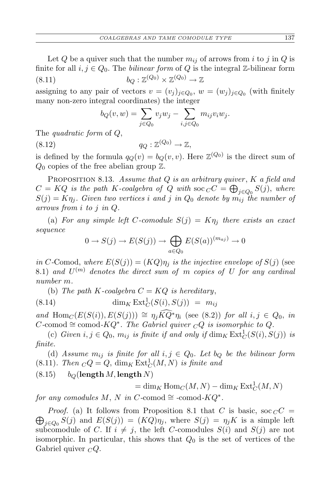Let  $Q$  be a quiver such that the number  $m_{ij}$  of arrows from *i* to *j* in  $Q$  is finite for all  $i, j \in Q_0$ . The *bilinear form* of  $Q$  is the integral  $\mathbb{Z}$ -bilinear form (8.11)  $b_Q : \mathbb{Z}^{(Q_0)} \times \mathbb{Z}^{(Q_0)} \to \mathbb{Z}$ 

assigning to any pair of vectors  $v = (v_j)_{j \in Q_0}$ ,  $w = (w_j)_{j \in Q_0}$  (with finitely many non-zero integral coordinates) the integer

$$
b_Q(v, w) = \sum_{j \in Q_0} v_j w_j - \sum_{i, j \in Q_0} m_{ij} v_i w_j.
$$

The *quadratic form* of *Q*,

(8.12)  $q_Q : \mathbb{Z}^{(Q_0)} \to \mathbb{Z},$ 

is defined by the formula  $q_Q(v) = b_Q(v, v)$ . Here  $\mathbb{Z}^{(Q_0)}$  is the direct sum of *Q*<sup>0</sup> copies of the free abelian group Z.

Proposition 8.13. *Assume that Q is an arbitrary quiver* , *K a field and*  $C = KQ$  *is the path K-coalgebra of Q with* soc  $C C = \bigoplus_{j \in Q_0} S(j)$ , *where*  $S(j) = K\eta_j$ . Given two vertices *i* and *j* in  $Q_0$  denote by  $m_{ij}$  the number of *arrows from i to j in Q.*

(a) For any simple left C-comodule  $S(j) = K\eta_j$  there exists an exact *sequence*

$$
0 \to S(j) \to E(S(j)) \to \bigoplus_{a \in Q_0} E(S(a))^{(m_{aj})} \to 0
$$

*in C*-Comod, *where*  $E(S(j)) = (KQ)\eta_j$  *is the injective envelope of*  $S(j)$  (see  $(8.1)$  *and*  $U^{(m)}$  *denotes the direct sum of m copies of U for any cardinal number m.*

(b) *The path*  $K$ -coalgebra  $C = KQ$  *is hereditary*,

$$
(8.14) \qquad \qquad \dim_K \operatorname{Ext}^1_C(S(i), S(j)) = m_{ij}
$$

 $and \text{Hom}_{\mathbb{C}}(E(S(i)), E(S(j))) \cong \eta_i \widehat{KQ^*} \eta_i \text{ (see (8.2)) for all } i, j \in Q_0, \text{ in } \mathbb{C}$  $C$ -comod  $\cong$  comod- $KQ^*$ . The Gabriel quiver  $\overline{CQ}$  is isomorphic to  $Q$ .

(c) *Given*  $i, j \in Q_0$ ,  $m_{ij}$  *is finite if and only if*  $\dim_K \text{Ext}^1_C(S(i), S(j))$  *is finite.*

(d) *Assume*  $m_{ij}$  *is finite for all*  $i, j \in Q_0$ *. Let*  $b_Q$  *be the bilinear form*  $(8.11)$ *. Then*  $\mathcal{C}Q = Q$ ,  $\dim_K \text{Ext}^1_C(M, N)$  *is finite and* 

 $b_Q$ (**length** *M*, **length** *N*)

 $= \dim_K \text{Hom}_C(M, N) - \dim_K \text{Ext}^1_C(M, N)$ 

*for any comodules*  $M$ ,  $N$  *in*  $C$ *-comod*  $\cong$  *-comod-KQ<sup>\*</sup>*.

 $\bigoplus_{j\in Q_0} S(j)$  and  $E(S(j)) = (KQ)\eta_j$ , where  $S(j) = \eta_j K$  is a simple left *Proof.* (a) It follows from Proposition 8.1 that *C* is basic, soc  $_C C$  = subcomodule of *C*. If  $i \neq j$ , the left *C*-comodules  $S(i)$  and  $S(j)$  are not isomorphic. In particular, this shows that *Q*<sup>0</sup> is the set of vertices of the Gabriel quiver *<sup>C</sup>Q*.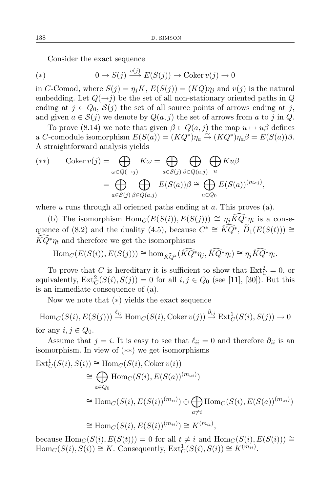Consider the exact sequence

(\*) 
$$
0 \to S(j) \xrightarrow{v(j)} E(S(j)) \to \text{Coker } v(j) \to 0
$$

in *C*-Comod, where  $S(j) = \eta_j K$ ,  $E(S(j)) = (KQ)\eta_j$  and  $v(j)$  is the natural embedding. Let  $Q(\rightarrow j)$  be the set of all non-stationary oriented paths in  $Q$ ending at  $j \in Q_0$ ,  $S(j)$  the set of all source points of arrows ending at *j*, and given  $a \in S(j)$  we denote by  $Q(a, j)$  the set of arrows from a to j in Q.

To prove (8.14) we note that given  $\beta \in Q(a, j)$  the map  $u \mapsto u\beta$  defines a *C*-comodule isomorphism  $E(S(a)) = (KQ^*)\eta_a \stackrel{\sim}{\to} (KQ^*)\eta_a \beta = E(S(a))\beta$ . A straightforward analysis yields

$$
(**) \qquad \text{Coker } v(j) = \bigoplus_{\omega \in Q(-j)} K\omega = \bigoplus_{a \in S(j)} \bigoplus_{\beta \in Q(a,j)} \bigoplus_{u} Ku\beta
$$

$$
= \bigoplus_{a \in S(j)} \bigoplus_{\beta \in Q(a,j)} E(S(a))\beta \cong \bigoplus_{a \in Q_0} E(S(a))^{(m_{aj})},
$$

where *u* runs through all oriented paths ending at *a*. This proves (a).

(b) The isomorphism  $Hom_C(E(S(i)), E(S(j))) \cong \eta_j \widehat{KQ}^* \eta_i$  is a consequence of (8.2) and the duality (4.5), because  $C^* \cong \widehat{KQ}^*$ ,  $\widetilde{D}_1(E(S(t))) \cong$  $\overline{KQ^*}\eta_t$  and therefore we get the isomorphisms

$$
\operatorname{Hom}_{C}(E(S(i)), E(S(j))) \cong \operatorname{hom}_{\widehat{KQ}^*}(\widehat{KQ}^*\eta_j, \widehat{KQ}^*\eta_i) \cong \eta_j \widehat{KQ}^*\eta_i.
$$

To prove that *C* is hereditary it is sufficient to show that  $\text{Ext}_{C}^{2} = 0$ , or equivalently,  $\text{Ext}^2_C(S(i), S(j)) = 0$  for all  $i, j \in Q_0$  (see [11], [30]). But this is an immediate consequence of (a).

Now we note that (*∗*) yields the exact sequence

 $\text{Hom}_C(S(i), E(S(j))) \stackrel{\ell_{ij}}{\to} \text{Hom}_C(S(i), \text{Coker }v(j)) \stackrel{\partial_{ij}}{\to} \text{Ext}^1_C(S(i), S(j)) \to 0$ for any  $i, j \in Q_0$ .

Assume that  $j = i$ . It is easy to see that  $\ell_{ii} = 0$  and therefore  $\partial_{ii}$  is an isomorphism. In view of (*∗∗*) we get isomorphisms

$$
\begin{aligned} \operatorname{Ext}^1_C(S(i), S(i)) &\cong \operatorname{Hom}_C(S(i), \operatorname{Coker} v(i)) \\ &\cong \bigoplus_{a \in Q_0} \operatorname{Hom}_C(S(i), E(S(a))^{(m_{ai})}) \\ &\cong \operatorname{Hom}_C(S(i), E(S(i))^{(m_{ii})}) \oplus \bigoplus_{a \neq i} \operatorname{Hom}_C(S(i), E(S(a))^{(m_{ai})}) \\ &\cong \operatorname{Hom}_C(S(i), E(S(i))^{(m_{ii})}) \cong K^{(m_{ii})}, \end{aligned}
$$

because  $Hom_C(S(i), E(S(t))) = 0$  for all  $t \neq i$  and  $Hom_C(S(i), E(S(i))) \cong$  $Hom_C(S(i), S(i)) \cong K$ . Consequently,  $Ext_C^1(S(i), S(i)) \cong K^{(m_{ii})}$ .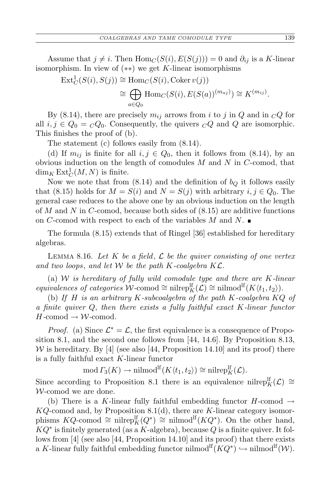Assume that  $j \neq i$ . Then  $Hom_C(S(i), E(S(j))) = 0$  and  $\partial_{ij}$  is a *K*-linear isomorphism. In view of (*∗∗*) we get *K*-linear isomorphisms

$$
\operatorname{Ext}^1_C(S(i), S(j)) \cong \operatorname{Hom}_C(S(i), \operatorname{Coker} v(j))
$$
  
\n
$$
\cong \bigoplus_{a \in Q_0} \operatorname{Hom}_C(S(i), E(S(a))^{(m_{aj})}) \cong K^{(m_{ij})}.
$$

By (8.14), there are precisely  $m_{ij}$  arrows from *i* to *j* in *Q* and in  $\overline{CQ}$  for all  $i, j \in Q_0 = {}_C Q_0$ . Consequently, the quivers  ${}_C Q$  and  $Q$  are isomorphic. This finishes the proof of (b).

The statement (c) follows easily from (8.14).

(d) If  $m_{ij}$  is finite for all  $i, j \in Q_0$ , then it follows from (8.14), by an obvious induction on the length of comodules *M* and *N* in *C*-comod, that  $\dim_K \operatorname{Ext}^1_C(M,N)$  is finite.

Now we note that from  $(8.14)$  and the definition of  $b<sub>Q</sub>$  it follows easily that (8.15) holds for  $M = S(i)$  and  $N = S(j)$  with arbitrary  $i, j \in Q_0$ . The general case reduces to the above one by an obvious induction on the length of *M* and *N* in *C*-comod, because both sides of (8.15) are additive functions on *C*-comod with respect to each of the variables *M* and *N*.

The formula (8.15) extends that of Ringel [36] established for hereditary algebras.

Lemma 8.16. *Let K be a field*, *L be the quiver consisting of one vertex and two loops*, *and let W be the path K-coalgebra KL.*

(a) *W is hereditary of fully wild comodule type and there are K-linear*  $equivalence of categories \mathcal{W}\text{-comod} \cong \text{nilrep}_K^{\text{lf}}(\mathcal{L}) \cong \text{nilmod}^{\text{lf}}(K\langle t_1, t_2 \rangle).$ 

(b) *If H is an arbitrary K-subcoalgebra of the path K-coalgebra KQ of a finite quiver Q*, *then there exists a fully faithful exact K-linear functor*  $H$ -comod  $\rightarrow W$ -comod.

*Proof.* (a) Since  $\mathcal{L}^* = \mathcal{L}$ , the first equivalence is a consequence of Proposition 8.1, and the second one follows from [44, 14.6]. By Proposition 8.13, *W* is hereditary. By [4] (see also [44, Proposition 14.10] and its proof) there is a fully faithful exact *K*-linear functor

 $\text{mod } \Gamma_3(K) \to \text{nilmod}^{\text{lf}}(K \langle t_1, t_2 \rangle) \cong \text{nilrep}_K^{\text{lf}}(\mathcal{L}).$ 

Since according to Proposition 8.1 there is an equivalence nilrep<sup>If</sup><sub>K</sub>( $\mathcal{L}$ )  $\cong$ *W*-comod we are done.

(b) There is a *K*-linear fully faithful embedding functor  $H$ -comod  $\rightarrow$ *KQ*-comod and, by Proposition 8.1(d), there are *K*-linear category isomorphisms  $KQ$ -comod  $\cong$  nilrep<sup>[f</sup><sub>*K*</sub>( $Q^*$ )  $\cong$  nilmod<sup>[f</sup><sub>*KQ<sup>\*</sup>*</sup>). On the other hand,</sub> *KQ<sup>∗</sup>* is finitely generated (as a *K*-algebra), because *Q* is a finite quiver. It follows from [4] (see also [44, Proposition 14.10] and its proof) that there exists a *K*-linear fully faithful embedding functor nilmod<sup>lf</sup> $(KQ^*) \hookrightarrow$  nilmod<sup>lf</sup> $(W)$ .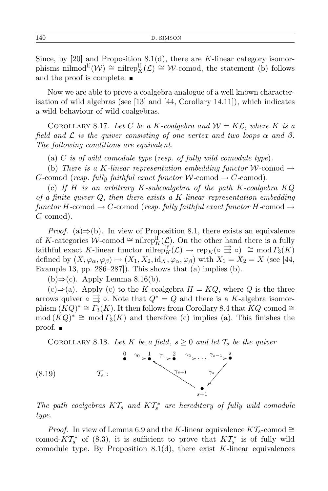Since, by [20] and Proposition 8.1(d), there are *K*-linear category isomorphisms nilmod<sup>If</sup>( $W$ )  $\cong$  nilrep<sup>If</sup><sub>K</sub>( $\mathcal{L}$ )  $\cong$  *W*-comod, the statement (b) follows and the proof is complete.

Now we are able to prove a coalgebra analogue of a well known characterisation of wild algebras (see [13] and [44, Corollary 14.11]), which indicates a wild behaviour of wild coalgebras.

COROLLARY 8.17. Let C be a K-coalgebra and  $W = K\mathcal{L}$ , where K is a *field and L is the quiver consisting of one vertex and two loops α and β. The following conditions are equivalent.*

(a) *C is of wild comodule type* (*resp. of fully wild comodule type*)*.*

(b) *There is a K-linear representation embedding functor*  $W$ -comod  $\rightarrow$ *C*-comod (*resp. fully faithful exact functor*  $W$ -comod  $\rightarrow$  *C*-comod).

(c) *If H is an arbitrary K-subcoalgebra of the path K-coalgebra KQ of a finite quiver Q*, *then there exists a K-linear representation embedding*  $functor H$ <sub>-comod</sub>  $\rightarrow C$ -comod (*resp. fully faithful exact functor*  $H$ -comod  $\rightarrow$ *C-*comod)*.*

*Proof.* (a)⇒(b). In view of Proposition 8.1, there exists an equivalence of *K*-categories  $W$ -comod ≅ nilrep<sup>If</sup><sub>*K*</sub>( $\mathcal{L}$ ). On the other hand there is a fully  $\text{faithful exact } K\text{-linear functor in } \text{Ff}_K^{\text{inf}}(\mathcal{L}) \to \text{rep}_K(\circ \exists \circ) \cong \text{mod } \Gamma_3(K)$ defined by  $(X, \varphi_\alpha, \varphi_\beta) \mapsto (X_1, X_2, \mathrm{id}_X, \varphi_\alpha, \varphi_\beta)$  with  $X_1 = X_2 = X$  (see [44, Example 13, pp.  $286-287$ . This shows that (a) implies (b).

(b)*⇒*(c). Apply Lemma 8.16(b).

(c)*⇒*(a). Apply (c) to the *K*-coalgebra *H* = *KQ*, where *Q* is the three arrows quiver  $\circ \vec{\rightrightarrows} \circ$ . Note that  $Q^* = Q$  and there is a *K*-algebra isomorphism  $(KQ)^* \cong \Gamma_3(K)$ . It then follows from Corollary 8.4 that  $KQ$ -comod  $\cong$  $\mod(KQ)^* \cong \mod \Gamma_3(K)$  and therefore (c) implies (a). This finishes the proof.

COROLLARY 8.18. Let K be a field,  $s \geq 0$  and let  $\mathcal{T}_s$  be the quiver



*The path coalgebras*  $KT_s$  *and*  $KT_s^*$  *are hereditary of fully wild comodule type.*

*Proof.* In view of Lemma 6.9 and the *K*-linear equivalence  $K\mathcal{T}_s$ -comod  $\cong$ comod- $KT^*_{s}$  of (8.3), it is sufficient to prove that  $KT^*_{s}$  is of fully wild comodule type. By Proposition  $8.1(d)$ , there exist *K*-linear equivalences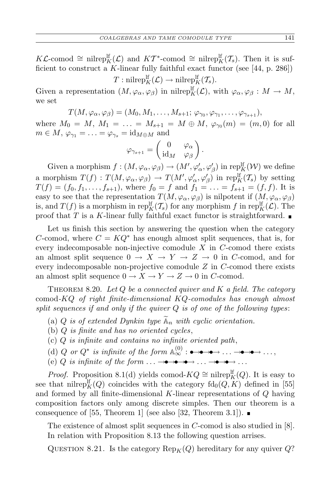*KL*-comod  $\cong$  nilrep<sup>If</sup><sub>*K*</sub>(*L*) and *KT*<sup>\*</sup>-comod  $\cong$  nilrep<sup>If</sup><sub>*K*</sub>(*T<sub>s</sub>*). Then it is sufficient to construct a *K*-linear fully faithful exact functor (see [44, p. 286])

 $T: \text{nilrep}_K^{\text{lf}}(\mathcal{L}) \to \text{nilrep}_K^{\text{lf}}(\mathcal{T}_s)$ .

Given a representation  $(M, \varphi_\alpha, \varphi_\beta)$  in nilrepl<sup>f</sup><sub>K</sub>( $\mathcal{L}$ ), with  $\varphi_\alpha, \varphi_\beta : M \to M$ , we set

$$
T(M,\varphi_{\alpha},\varphi_{\beta})=(M_0,M_1,\ldots,M_{s+1};\,\varphi_{\gamma_0},\varphi_{\gamma_1},\ldots,\varphi_{\gamma_{s+1}}),
$$

where  $M_0 = M$ ,  $M_1 = \ldots = M_{s+1} = M \oplus M$ ,  $\varphi_{\gamma_0}(m) = (m, 0)$  for all  $m \in M$ ,  $\varphi_{\gamma_1} = \ldots = \varphi_{\gamma_s} = \text{id}_{M \oplus M}$  and

$$
\varphi_{\gamma_{s+1}} = \begin{pmatrix} 0 & \varphi_{\alpha} \\ \mathrm{id}_M & \varphi_{\beta} \end{pmatrix}.
$$

Given a morphism  $f : (M, \varphi_\alpha, \varphi_\beta) \to (M', \varphi'_\alpha, \varphi'_\beta)$  in rep<sup>lf</sup><sub>K</sub> $(W)$  we define a morphism  $T(f) : T(M, \varphi_\alpha, \varphi_\beta) \to T(M', \varphi'_\alpha, \varphi'_\beta)$  in rep<sup>lf</sup><sub>*K*</sub>(*T<sub>s</sub>*) by setting  $T(f) = (f_0, f_1, \ldots, f_{s+1}),$  where  $f_0 = f$  and  $f_1 = \ldots = f_{s+1} = (f, f)$ . It is easy to see that the representation  $T(M, \varphi_\alpha, \varphi_\beta)$  is nilpotent if  $(M, \varphi_\alpha, \varphi_\beta)$ is, and  $T(f)$  is a morphism in rep<sup>lf</sup><sub>*K*</sub>( $T_s$ ) for any morphism *f* in rep<sup>lf</sup><sub>*K*</sub>( $\mathcal{L}$ ). The proof that  $T$  is a  $K$ -linear fully faithful exact functor is straightforward.

Let us finish this section by answering the question when the category *C*-comod, where  $C = KQ^*$  has enough almost split sequences, that is, for every indecomposable non-injective comodule *X* in *C*-comod there exists an almost split sequence  $0 \rightarrow X \rightarrow Y \rightarrow Z \rightarrow 0$  in C-comod, and for every indecomposable non-projective comodule *Z* in *C*-comod there exists an almost split sequence  $0 \to X \to Y \to Z \to 0$  in *C*-comod.

Theorem 8.20. *Let Q be a connected quiver and K a field. The category* comod*-KQ of right finite-dimensional KQ-comodules has enough almost split sequences if and only if the quiver Q is of one of the following types*:

- (a) *Q is of extended Dynkin type*  $\widetilde{A}_n$  *with cyclic orientation.*
- (b) *Q is finite and has no oriented cycles*,
- (c) *Q is infinite and contains no infinite oriented path*,
- (d) *Q* or  $Q^*$  is infinite of the form  $\mathbb{A}_{\infty}^{(0)}$  :  $\bullet \rightarrow \bullet \rightarrow \bullet \rightarrow \dots \rightarrow \bullet \rightarrow \bullet \dots$ ,
- (e) *Q* is infinite of the form  $\ldots \rightarrow \rightarrow \rightarrow \rightarrow \rightarrow \ldots$

*Proof.* Proposition 8.1(d) yields comod- $KQ \cong \text{nilrep}_K^{\text{lf}}(Q)$ . It is easy to see that nilrep<sup>If</sup><sub>K</sub> $(Q)$  coincides with the category  $\text{fd}_{0}(Q, K)$  defined in [55] and formed by all finite-dimensional *K*-linear representations of *Q* having composition factors only among discrete simples. Then our theorem is a consequence of [55, Theorem 1] (see also [32, Theorem 3.1]).  $\blacksquare$ 

The existence of almost split sequences in *C*-comod is also studied in [8]. In relation with Proposition 8.13 the following question arrises.

QUESTION 8.21. Is the category  $\text{Rep}_K(Q)$  hereditary for any quiver  $Q$ ?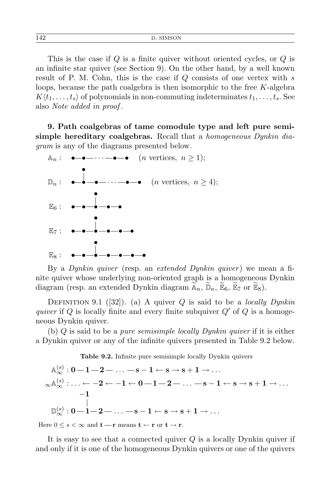This is the case if *Q* is a finite quiver without oriented cycles, or *Q* is an infinite star quiver (see Section 9). On the other hand, by a well known result of P. M. Cohn, this is the case if *Q* consists of one vertex with *s* loops, because the path coalgebra is then isomorphic to the free *K*-algebra  $K\langle t_1, \ldots, t_s \rangle$  of polynomials in non-commuting indeterminates  $t_1, \ldots, t_s$ . See also *Note added in proof* .

**9. Path coalgebras of tame comodule type and left pure semisimple hereditary coalgebras.** Recall that a *homogeneous Dynkin diagram* is any of the diagrams presented below.



By a *Dynkin quiver* (resp. an *extended Dynkin quiver* ) we mean a finite quiver whose underlying non-oriented graph is a homogeneous Dynkin diagram (resp. an extended Dynkin diagram  $\widetilde{A}_n$ ,  $\widetilde{D}_n$ ,  $\widetilde{E}_6$ ,  $\widetilde{E}_7$  or  $\widetilde{E}_8$ ).

Definition 9.1 ([32]). (a) A quiver *Q* is said to be a *locally Dynkin quiver* if *Q* is locally finite and every finite subquiver *Q′* of *Q* is a homogeneous Dynkin quiver.

(b) *Q* is said to be a *pure semisimple locally Dynkin quiver* if it is either a Dynkin quiver or any of the infinite quivers presented in Table 9.2 below.

**Table 9.2.** Infinite pure semisimple locally Dynkin quivers

 $\mathbb{A}_{\infty}^{(s)}: \mathbf{0-1{-}2{-}\ldots{{-}\mathbf{s{-}1 \leftarrow \mathbf{s{-}s+1 \rightarrow \ldots}}}}$  $\mathbb{R}^{\mathbb{A}^{(s)}_\infty}\colon\!\ldots\leftarrow -2\leftarrow -1\leftarrow 0\!-\!1\!-\!2\!-\ldots-\!s\!-\!1\leftarrow s\rightarrow s+1\rightarrow\ldots$  $\mathbb{D}_{\infty}^{(s)}: \mathbf{0-1}{-}\mathbf{2}{-}\ldots$   $-\mathbf{s-1}\leftarrow \mathbf{s}\rightarrow \mathbf{s+1}\rightarrow \ldots$ *−***1**

Here  $0 \leq s < \infty$  and  $t - r$  means  $t \leftarrow r$  or  $t \rightarrow r$ .

It is easy to see that a connected quiver *Q* is a locally Dynkin quiver if and only if it is one of the homogeneous Dynkin quivers or one of the quivers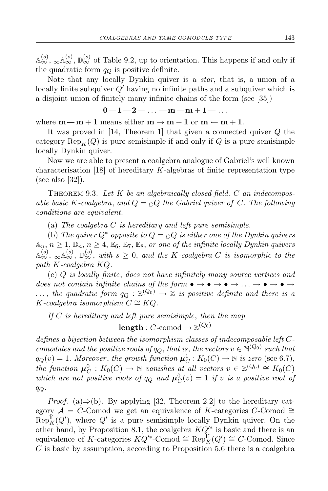$\mathbb{A}_{\infty}^{(s)}$ ,  $\mathbb{D}_{\infty}^{(s)}$ ,  $\mathbb{D}_{\infty}^{(s)}$  of Table 9.2, up to orientation. This happens if and only if the quadratic form *q<sup>Q</sup>* is positive definite.

Note that any locally Dynkin quiver is a *star*, that is, a union of a locally finite subquiver *Q′* having no infinite paths and a subquiver which is a disjoint union of finitely many infinite chains of the form (see [35])

$$
0\!-\!1\!-\!2\!-\!\ldots\!-\!m\!-\!m\!+\!1\!-\!\ldots
$$

where  $m-m+1$  means either  $m \rightarrow m+1$  or  $m \leftarrow m+1$ .

It was proved in [14, Theorem 1] that given a connected quiver *Q* the category  $\text{Rep}_K(Q)$  is pure semisimple if and only if Q is a pure semisimple locally Dynkin quiver.

Now we are able to present a coalgebra analogue of Gabriel's well known characterisation [18] of hereditary *K*-algebras of finite representation type (see also [32]).

Theorem 9.3. *Let K be an algebraically closed field*, *C an indecomposable basic*  $K$ -coalgebra, and  $Q = \bigcirc Q$  the Gabriel quiver of  $C$ . The following *conditions are equivalent.*

(a) *The coalgebra C is hereditary and left pure semisimple.*

(b) The quiver  $Q^*$  opposite to  $Q = {}_C Q$  is either one of the Dynkin quivers  $A_n, n \geq 1, D_n, n \geq 4, E_6, E_7, E_8,$  *or one of the infinite locally Dynkin quivers*  $\mathbb{A}_{\infty}^{(s)}$ ,  $\mathbb{D}_{\infty}^{(s)}$ ,  $\mathbb{D}_{\infty}^{(s)}$ , with  $s \geq 0$ , and the K-coalgebra *C* is isomorphic to the *path K-coalgebra KQ.*

(c) *Q is locally finite*, *does not have infinitely many source vertices and does not contain infinite chains of the form*  $\bullet \rightarrow \bullet \rightarrow \bullet \rightarrow \bullet \rightarrow \bullet \rightarrow \bullet \rightarrow \bullet$  $\dots$ , the quadratic form  $q_Q : \mathbb{Z}^{(Q_0)} \to \mathbb{Z}$  is positive definite and there is a  $K$ *-coalgebra isomorphism*  $C \cong KQ$ *.* 

*If C is hereditary and left pure semisimple*, *then the map*  $\mathbf{length}: C\text{-comod} \to \mathbb{Z}^{(Q_0)}$ 

*defines a bijection between the isomorphism classes of indecomposable left Ccomodules and the positive roots of*  $q_Q$ , *that is, the vectors*  $v \in \mathbb{N}^{(Q_0)}$  *such that*  $q_Q(v) = 1$ *. Moreover*, *the growth function*  $\mu_C^1 : K_0(C) \to \mathbb{N}$  *is zero* (see 6.7), *the function*  $\mu_C^0 : K_0(C) \to \mathbb{N}$  *vanishes* at all vectors  $v \in \mathbb{Z}^{(Q_0)} \cong K_0(C)$ *which are not positive roots of*  $q_Q$  *and*  $\mu_C^0(v) = 1$  *if v is a positive root of qQ.*

*Proof.* (a)⇒(b). By applying [32, Theorem 2.2] to the hereditary category  $A = C$ -Comod we get an equivalence of *K*-categories  $C$ -Comod  $\cong$  $Rep_K^{\text{lf}}(Q')$ , where  $Q'$  is a pure semisimple locally Dynkin quiver. On the other hand, by Proposition 8.1, the coalgebra *KQ′∗* is basic and there is an equivalence of *K*-categories  $KQ^{\prime*}$ -Comod  $\cong \text{Rep}_K^{\text{lf}}(Q^{\prime}) \cong C$ -Comod. Since *C* is basic by assumption, according to Proposition 5.6 there is a coalgebra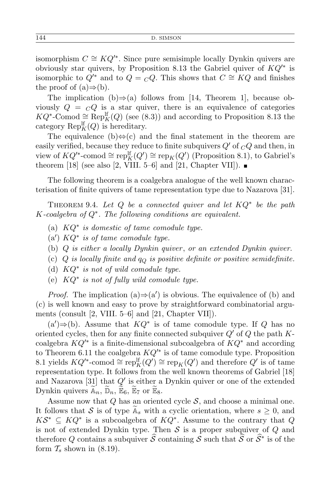isomorphism  $C \cong KQ'$ <sup>\*</sup>. Since pure semisimple locally Dynkin quivers are obviously star quivers, by Proposition 8.13 the Gabriel quiver of *KQ′∗* is isomorphic to  $Q'^{*}$  and to  $Q = {}_C Q$ . This shows that  $C \cong KQ$  and finishes the proof of  $(a) \Rightarrow (b)$ .

The implication (b)*⇒*(a) follows from [14, Theorem 1], because obviously  $Q = cQ$  is a star quiver, there is an equivalence of categories *KQ*<sup>\*</sup>-Comod  $\cong$  Rep<sup>If</sup><sub>*K*</sub>(*Q*) (see (8.3)) and according to Proposition 8.13 the category  $\operatorname{Rep}_K^{\text{lf}}(Q)$  is hereditary.

The equivalence (b)*⇔*(c) and the final statement in the theorem are easily verified, because they reduce to finite subquivers  $Q'$  of  $\overline{C}Q$  and then, in  $\text{view of } KQ'^*$ -comod  $\cong \text{rep}_K^{\text{lf}}(Q') \cong \text{rep}_K(Q')$  (Proposition 8.1), to Gabriel's theorem [18] (see also [2, VIII. 5–6] and [21, Chapter VII]).  $\blacksquare$ 

The following theorem is a coalgebra analogue of the well known characterisation of finite quivers of tame representation type due to Nazarova [31].

THEOREM 9.4. Let  $Q$  be a connected quiver and let  $KQ^*$  be the path *K-coalgebra of Q<sup>∗</sup> . The following conditions are equivalent.*

- (a) *KQ<sup>∗</sup> is domestic of tame comodule type.*
- (a*′* ) *KQ<sup>∗</sup> is of tame comodule type.*
- (b) *Q is either a locally Dynkin quiver* , *or an extended Dynkin quiver.*
- (c) *Q is locally finite and q<sup>Q</sup> is positive definite or positive semidefinite.*
- (d) *KQ<sup>∗</sup> is not of wild comodule type.*
- (e) *KQ<sup>∗</sup> is not of fully wild comodule type.*

*Proof.* The implication  $(a) \Rightarrow (a')$  is obvious. The equivalence of (b) and (c) is well known and easy to prove by straightforward combinatorial arguments (consult [2, VIII. 5–6] and [21, Chapter VII]).

 $(a')$  ⇒ (b). Assume that  $KQ^*$  is of tame comodule type. If *Q* has no oriented cycles, then for any finite connected subquiver *Q′* of *Q* the path *K*coalgebra *KQ′∗* is a finite-dimensional subcoalgebra of *KQ<sup>∗</sup>* and according to Theorem 6.11 the coalgebra *KQ′∗* is of tame comodule type. Proposition 8.1 yields  $KQ'^*$ -comod  $\cong \operatorname{rep}^{\text{lf}}_K(Q') \cong \operatorname{rep}^K_K(Q')$  and therefore  $Q'$  is of tame representation type. It follows from the well known theorems of Gabriel [18] and Nazarova [31] that *Q′* is either a Dynkin quiver or one of the extended Dynkin quivers  $\widetilde{\mathbb{A}}_n$ ,  $\widetilde{\mathbb{D}}_n$ ,  $\widetilde{\mathbb{E}}_6$ ,  $\widetilde{\mathbb{E}}_7$  or  $\widetilde{\mathbb{E}}_8$ .

Assume now that  $Q$  has an oriented cycle  $S$ , and choose a minimal one. It follows that *S* is of type  $\mathbb{A}_s$  with a cyclic orientation, where  $s \geq 0$ , and  $K\mathcal{S}^*$   $\subseteq$   $KQ^*$  is a subcoalgebra of  $KQ^*$ . Assume to the contrary that *Q* is not of extended Dynkin type. Then *S* is a proper subquiver of *Q* and therefore *Q* contains a subquiver  $\hat{S}$  containing *S* such that  $\hat{S}$  or  $\hat{S}^*$  is of the form  $\mathcal{T}_s$  shown in (8.19).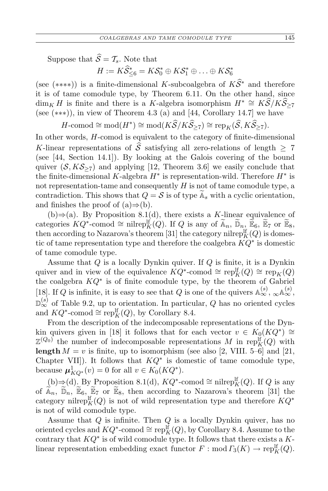Suppose that  $\widehat{S} = T_s$ . Note that

 $H := K\widehat{S}_{\leq 6}^* = K\mathcal{S}_0^* \oplus K\mathcal{S}_1^* \oplus \ldots \oplus K\mathcal{S}_6^*$ 

(see (\*\*\*\*)) is a finite-dimensional *K*-subcoalgebra of  $K\hat{S}^*$  and therefore it is of tame comodule type, by Theorem 6.11. On the other hand, since  $\dim_K H$  is finite and there is a *K*-algebra isomorphism  $H^* \cong K\hat{S}/K\hat{S}_{\geq 7}$ (see (*∗∗∗*)), in view of Theorem 4.3 (a) and [44, Corollary 14.7] we have

 $H$ -comod  $\cong$  mod $(H^*) \cong \text{mod}(K\widehat{\mathcal{S}}/K\widehat{\mathcal{S}}_{\geq 7}) \cong \text{rep}_K(\widehat{\mathcal{S}}, K\widehat{\mathcal{S}}_{\geq 7})$ .

In other words, *H*-comod is equivalent to the category of finite-dimensional *K*-linear representations of  $\hat{S}$  satisfying all zero-relations of length  $\geq 7$ (see [44, Section 14.1]). By looking at the Galois covering of the bound quiver  $(S, KS_{\geq 7})$  and applying [12, Theorem 3.6] we easily conclude that the finite-dimensional *K*-algebra *H<sup>∗</sup>* is representation-wild. Therefore *H<sup>∗</sup>* is not representation-tame and consequently *H* is not of tame comodule type, a contradiction. This shows that  $Q = S$  is of type  $\widetilde{A}_s$  with a cyclic orientation, and finishes the proof of (a)*⇒*(b).

(b)*⇒*(a). By Proposition 8.1(d), there exists a *K*-linear equivalence of categories  $KQ^*$ -comod  $\cong$  nilrepl $_K^{\text{lf}}(Q)$ . If *Q* is any of  $\widetilde{\mathbb{A}}_n$ ,  $\widetilde{\mathbb{D}}_n$ ,  $\widetilde{\mathbb{E}}_6$ ,  $\widetilde{\mathbb{E}}_7$  or  $\widetilde{\mathbb{E}}_8$ , then according to Nazarova's theorem [31] the category nilrep ${}_{K}^{H}(Q)$  is domestic of tame representation type and therefore the coalgebra *KQ<sup>∗</sup>* is domestic of tame comodule type.

Assume that *Q* is a locally Dynkin quiver. If *Q* is finite, it is a Dynkin quiver and in view of the equivalence  $KQ^*$ -comod  $\cong \operatorname{rep}_K^{\text{lf}}(Q) \cong \operatorname{rep}_K(Q)$ the coalgebra *KQ<sup>∗</sup>* is of finite comodule type, by the theorem of Gabriel [18]. If *Q* is infinite, it is easy to see that *Q* is one of the quivers  $\mathbb{A}_{\infty}^{(s)}$ ,  $\mathbb{A}_{\infty}^{(s)}$ , D (*s*) *<sup>∞</sup>* of Table 9.2, up to orientation. In particular, *Q* has no oriented cycles and  $KQ^*$ -comod  $\cong \text{rep}_K^{\text{lf}}(Q)$ , by Corollary 8.4.

From the description of the indecomposable representations of the Dynkin quivers given in [18] it follows that for each vector  $v \in K_0(KQ^*) \cong$  $\mathbb{Z}^{(Q_0)}$  the number of indecomposable representations *M* in rep<sup>lf</sup><sub>*K*</sub>(*Q*) with **length**  $M = v$  is finite, up to isomorphism (see also [2, VIII. 5–6] and [21, Chapter VII]). It follows that  $KQ^*$  is domestic of tame comodule type, because  $\boldsymbol{\mu}_{KQ^*}^1(v) = 0$  for all  $v \in K_0(KQ^*).$ 

 $(b) \Rightarrow (d)$ . By Proposition 8.1(d),  $KQ^*$ -comod ≃ nilrep<sup>lf</sup><sub>K</sub>(*Q*). If *Q* is any of  $\widetilde{A}_n$ ,  $\widetilde{D}_n$ ,  $\widetilde{E}_6$ ,  $\widetilde{E}_7$  or  $\widetilde{E}_8$ , then according to Nazarova's theorem [31] the category nilrep<sup>If</sup><sub>K</sub> $(Q)$  is not of wild representation type and therefore  $KQ^*$ is not of wild comodule type.

Assume that *Q* is infinite. Then *Q* is a locally Dynkin quiver, has no oriented cycles and  $KQ^*$ -comod  $\cong \operatorname{rep}_K^{\text{lf}}(Q)$ , by Corollary 8.4. Assume to the contrary that *KQ<sup>∗</sup>* is of wild comodule type. It follows that there exists a *K*linear representation embedding exact functor  $F : \text{mod } \Gamma_3(K) \to \text{rep}_K^{\text{lf}}(Q)$ .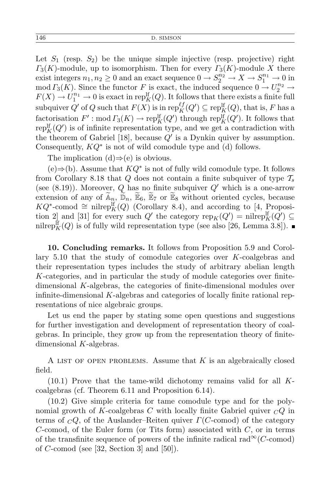Let  $S_1$  (resp.  $S_2$ ) be the unique simple injective (resp. projective) right  $\Gamma_3(K)$ -module, up to isomorphism. Then for every  $\Gamma_3(K)$ -module X there exist integers  $n_1, n_2 \ge 0$  and an exact sequence  $0 \to S_2^{n_2} \to X \to S_1^{n_1} \to 0$  in  $mod \Gamma_3(K)$ . Since the functor *F* is exact, the induced sequence  $0 \to U_2^{n_2} \to$  $F(X) \to U_1^{n_1} \to 0$  is exact in repl<sub>K</sub> $(Q)$ . It follows that there exists a finite full subquiver  $Q'$  of  $Q$  such that  $F(X)$  is in rep<sup> $\ell_f(Q') \subseteq \text{rep}_K^{\text{lf}}(Q)$ , that is,  $F$  has a</sup> factorisation  $F'$ : mod  $\Gamma_3(K) \to \text{rep}_K^{\text{lf}}(Q')$  through  $\text{rep}_K^{\text{lf}}(Q')$ . It follows that  $\text{rep}_K^{\text{lf}}(Q')$  is of infinite representation type, and we get a contradiction with the theorem of Gabriel [18], because *Q′* is a Dynkin quiver by assumption. Consequently, *KQ<sup>∗</sup>* is not of wild comodule type and (d) follows.

The implication (d)*⇒*(e) is obvious.

(e)*⇒*(b). Assume that *KQ<sup>∗</sup>* is not of fully wild comodule type. It follows from Corollary 8.18 that *Q* does not contain a finite subquiver of type *T<sup>s</sup>* (see (8.19)). Moreover, *Q* has no finite subquiver *Q′* which is a one-arrow extension of any of  $\widetilde{A}_n$ ,  $\widetilde{D}_n$ ,  $\widetilde{E}_6$ ,  $\widetilde{E}_7$  or  $\widetilde{E}_8$  without oriented cycles, because *KQ*<sup>\*</sup>-comod  $\cong$  nilrep<sup>[*f*</sup><sub>*K*</sub>(*Q*) (Corollary 8.4), and according to [4, Proposition 2] and [31] for every such  $Q'$  the category  $\text{rep}_K(Q') = \text{nilrep}_K^{\text{lf}}(Q') \subseteq$ nilre $p_K^{\text{lf}}(Q)$  is of fully wild representation type (see also [26, Lemma 3.8]).

**10. Concluding remarks.** It follows from Proposition 5.9 and Corollary 5.10 that the study of comodule categories over *K*-coalgebras and their representation types includes the study of arbitrary abelian length *K*-categories, and in particular the study of module categories over finitedimensional *K*-algebras, the categories of finite-dimensional modules over infinite-dimensional *K*-algebras and categories of locally finite rational representations of nice algebraic groups.

Let us end the paper by stating some open questions and suggestions for further investigation and development of representation theory of coalgebras. In principle, they grow up from the representation theory of finitedimensional *K*-algebras.

A list of open problems. Assume that *K* is an algebraically closed field.

(10.1) Prove that the tame-wild dichotomy remains valid for all *K*coalgebras (cf. Theorem 6.11 and Proposition 6.14).

(10.2) Give simple criteria for tame comodule type and for the polynomial growth of *K*-coalgebras *C* with locally finite Gabriel quiver *<sup>C</sup>Q* in terms of *<sup>C</sup>Q*, of the Auslander–Reiten quiver *Γ*(*C*-comod) of the category *C*-comod, of the Euler form (or Tits form) associated with *C*, or in terms of the transfinite sequence of powers of the infinite radical rad $\infty$ (*C*-comod) of *C*-comod (see [32, Section 3] and [50]).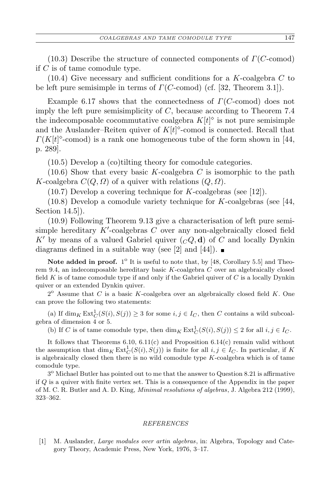(10.3) Describe the structure of connected components of *Γ*(*C*-comod) if *C* is of tame comodule type.

(10.4) Give necessary and sufficient conditions for a *K*-coalgebra *C* to be left pure semisimple in terms of *Γ*(*C*-comod) (cf. [32, Theorem 3.1]).

Example 6.17 shows that the connectedness of *Γ*(*C*-comod) does not imply the left pure semisimplicity of *C*, because according to Theorem 7*.*4 the indecomposable cocommutative coalgebra  $K[t]$ <sup> $\diamond$ </sup> is not pure semisimple and the Auslander–Reiten quiver of  $K[t]$ <sup> $\circ$ </sup>-comod is connected. Recall that  $\Gamma(K[t]^\diamond$ -comod) is a rank one homogeneous tube of the form shown in [44, p. 289].

(10.5) Develop a (co)tilting theory for comodule categories.

(10.6) Show that every basic *K*-coalgebra *C* is isomorphic to the path *K*-coalgebra  $C(Q, Q)$  of a quiver with relations  $(Q, Q)$ .

(10.7) Develop a covering technique for *K*-coalgebras (see [12]).

(10.8) Develop a comodule variety technique for *K*-coalgebras (see [44, Section 14.5]).

(10.9) Following Theorem 9.13 give a characterisation of left pure semisimple hereditary  $K'$ -coalgebras  $C$  over any non-algebraically closed field K<sup>*'*</sup> by means of a valued Gabriel quiver  $(cQ, d)$  of C and locally Dynkin diagrams defined in a suitable way (see [2] and [44]).  $\blacksquare$ 

Note added in proof.  $1^{\circ}$  It is useful to note that, by [48, Corollary 5.5] and Theorem 9.4, an indecomposable hereditary basic *K*-coalgebra *C* over an algebraically closed field *K* is of tame comodule type if and only if the Gabriel quiver of *C* is a locally Dynkin quiver or an extended Dynkin quiver.

 $2^{\circ}$  Assume that *C* is a basic *K*-coalgebra over an algebraically closed field *K*. One can prove the following two statements:

(a) If  $\dim_K \text{Ext}^1_C(S(i), S(j)) \geq 3$  for some  $i, j \in I_C$ , then *C* contains a wild subcoalgebra of dimension 4 or 5.

(b) If *C* is of tame comodule type, then  $\dim_K \text{Ext}^1_C(S(i), S(j)) \leq 2$  for all  $i, j \in I_C$ .

It follows that Theorems 6.10, 6.11(c) and Proposition 6.14(c) remain valid without the assumption that  $\dim_K \text{Ext}^1_C(S(i), S(j))$  is finite for all  $i, j \in I_C$ . In particular, if K is algebraically closed then there is no wild comodule type *K*-coalgebra which is of tame comodule type.

3 <sup>o</sup> Michael Butler has pointed out to me that the answer to Question 8.21 is affirmative if *Q* is a quiver with finite vertex set. This is a consequence of the Appendix in the paper of M. C. R. Butler and A. D. King, *Minimal resolutions of algebras*, J. Algebra 212 (1999), 323–362.

## *REFERENCES*

[1] M. Auslander, *Large modules over artin algebras*, in: Algebra, Topology and Category Theory, Academic Press, New York, 1976, 3–17.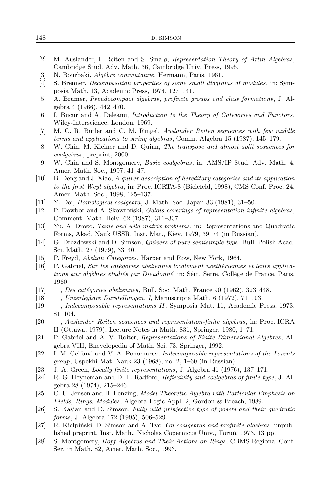| 148 | D. SIMSON |
|-----|-----------|
|     |           |

| [2]                 | M. Auslander, I. Reiten and S. Smalø, Representation Theory of Artin Algebras,              |
|---------------------|---------------------------------------------------------------------------------------------|
|                     | Cambridge Stud. Adv. Math. 36, Cambridge Univ. Press, 1995.                                 |
| $[3]$               | N. Bourbaki, Algèbre commutative, Hermann, Paris, 1961.                                     |
| $[4]$               | S. Brenner, <i>Decomposition properties of some small diagrams of modules</i> , in: Sym-    |
|                     | posia Math. 13, Academic Press, 1974, 127-141.                                              |
| [5]                 | A. Brumer, Pseudocompact algebras, profinite groups and class formations, J. Al-            |
|                     | gebra 4 (1966), 442-470.                                                                    |
| $\lbrack 6 \rbrack$ | I. Bucur and A. Deleanu, <i>Introduction to the Theory of Categories and Functors</i> ,     |
|                     | Wiley-Interscience, London, 1969.                                                           |
| $[7]$               | M. C. R. Butler and C. M. Ringel, Auslander-Reiten sequences with few middle                |
|                     | terms and applications to string algebras, Comm. Algebra 15 (1987), 145-179.                |
| [8]                 | W. Chin, M. Kleiner and D. Quinn, The transpose and almost split sequences for              |
|                     |                                                                                             |
|                     | coalgebras, preprint, 2000.                                                                 |
| $[9]$               | W. Chin and S. Montgomery, <i>Basic coalgebras</i> , in: AMS/IP Stud. Adv. Math. 4,         |
|                     | Amer. Math. Soc., 1997, 41-47.                                                              |
| $\vert 10 \vert$    | B. Deng and J. Xiao, A quiver description of hereditary categories and its application      |
|                     | to the first Weyl algebra, in: Proc. ICRTA-8 (Bielefeld, 1998), CMS Conf. Proc. 24,         |
|                     | Amer. Math. Soc., 1998, 125-137.                                                            |
| $\vert 11 \vert$    | Y. Doi, <i>Homological coalgebra</i> , J. Math. Soc. Japan 33 (1981), 31-50.                |
| 12                  | P. Dowbor and A. Skowroński, Galois coverings of representation-infinite algebras,          |
|                     | Comment. Math. Helv. 62 (1987), 311-337.                                                    |
| $[13]$              | Yu. A. Drozd, Tame and wild matrix problems, in: Representations and Quadratic              |
|                     | Forms, Akad. Nauk USSR, Inst. Mat., Kiev, 1979, 39-74 (in Russian).                         |
| $[14]$              | G. Drozdowski and D. Simson, <i>Quivers of pure semisimple type</i> , Bull. Polish Acad.    |
|                     | Sci. Math. 27 (1979), 33-40.                                                                |
| $[15]$              | P. Freyd, <i>Abelian Categories</i> , Harper and Row, New York, 1964.                       |
| $[16]$              | P. Gabriel, Sur les catégories abéliennes localement noethériennes et leurs applica-        |
|                     | tions aux algèbres étudiés par Dieudonné, in: Sém. Serre, Collège de France, Paris,         |
|                     | 1960.                                                                                       |
| $[17]$              | -, Des catégories abéliennes, Bull. Soc. Math. France 90 (1962), 323-448.                   |
| $\vert 18 \vert$    | -, Unzerlegbare Darstellungen, I, Manuscripta Math. 6 (1972), 71-103.                       |
| $\vert 19 \vert$    | -, Indecomposable representations II, Symposia Mat. 11, Academic Press, 1973,               |
|                     | $81 - 104.$                                                                                 |
|                     | -, Auslander-Reiten sequences and representation-finite algebras, in: Proc. ICRA            |
| $\left 20\right $   |                                                                                             |
|                     | II (Ottawa, 1979), Lecture Notes in Math. 831, Springer, 1980, 1-71.                        |
| $[21]$              | P. Gabriel and A. V. Roiter, Representations of Finite Dimensional Algebras, Al-            |
|                     | gebra VIII, Encyclopedia of Math. Sci. 73, Springer, 1992.                                  |
| $\left  22\right $  | I. M. Gelfand and V. A. Ponomarev, Indecomposable representations of the Lorentz            |
|                     | group, Uspekhi Mat. Nauk 23 (1968), no. 2, 1-60 (in Russian).                               |
| $[23]$              | J. A. Green, <i>Locally finite representations</i> , J. Algebra 41 (1976), 137-171.         |
| $[24]$              | R. G. Heyneman and D. E. Radford, <i>Reflexivity and coalgebras of finite type</i> , J. Al- |
|                     | gebra 28 (1974), 215–246.                                                                   |
| $\left 25\right $   | C. U. Jensen and H. Lenzing, Model Theoretic Algebra with Particular Emphasis on            |
|                     | Fields, Rings, Modules, Algebra Logic Appl. 2, Gordon & Breach, 1989.                       |
| $\left[26\right]$   | S. Kasjan and D. Simson, Fully wild prinjective type of posets and their quadratic          |
|                     | forms, J. Algebra 172 (1995), 506-529.                                                      |
| $[27]$              | R. Kiełpiński, D. Simson and A. Tyc, On coalgebras and profinite algebras, unpub-           |
|                     | lished preprint, Inst. Math., Nicholas Copernicus Univ., Toruń, 1973, 13 pp.                |
| $\left 28\right $   | S. Montgomery, <i>Hopf Algebras and Their Actions on Rings</i> , CBMS Regional Conf.        |
|                     |                                                                                             |
|                     | Ser. in Math. 82, Amer. Math. Soc., 1993.                                                   |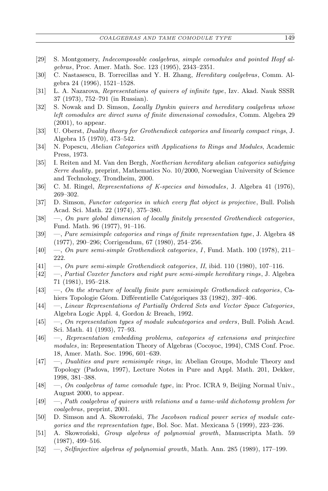- [29] S. Montgomery, *Indecomposable coalgebras, simple comodules and pointed Hopf algebras*, Proc. Amer. Math. Soc. 123 (1995), 2343–2351.
- [30] C. Nastasescu, B. Torrecillas and Y. H. Zhang, *Hereditary coalgebras*, Comm. Algebra 24 (1996), 1521–1528.
- [31] L. A. Nazarova, *Representations of quivers of infinite type*, Izv. Akad. Nauk SSSR 37 (1973), 752–791 (in Russian).
- [32] S. Nowak and D. Simson, *Locally Dynkin quivers and hereditary coalgebras whose left comodules are direct sums of finite dimensional comodules*, Comm. Algebra 29  $(2001)$ , to appear.
- [33] U. Oberst, *Duality theory for Grothendieck categories and linearly compact rings*, J. Algebra 15 (1970), 473–542.
- [34] N. Popescu, *Abelian Categories with Applications to Rings and Modules*, Academic Press, 1973.
- [35] I. Reiten and M. Van den Bergh, *Noetherian hereditary abelian categories satisfying Serre duality*, preprint, Mathematics No. 10/2000, Norwegian University of Science and Technology, Trondheim, 2000.
- [36] C. M. Ringel, *Representations of K-species and bimodules*, J. Algebra 41 (1976), 269–302.
- [37] D. Simson, *Functor categories in which every flat object is projective*, Bull. Polish Acad. Sci. Math. 22 (1974), 375–380.
- [38] —, *On pure global dimension of locally finitely presented Grothendieck categories*, Fund. Math. 96 (1977), 91–116.
- [39] —, *Pure semisimple categories and rings of finite representation type*, J. Algebra 48 (1977), 290–296; Corrigendum, 67 (1980), 254–256.
- [40] —, *On pure semi-simple Grothendieck categories*, *I*, Fund. Math. 100 (1978), 211– 222.
- [41] —, *On pure semi-simple Grothendieck categories*, *II*, ibid. 110 (1980), 107–116.
- [42] —, *Partial Coxeter functors and right pure semi-simple hereditary rings*, J. Algebra 71 (1981), 195–218.
- [43] —, *On the structure of locally finite pure semisimple Grothendieck categories*, Cahiers Topologie Géom. Différentielle Catégoriques 33 (1982), 397–406.
- [44] —, *Linear Representations of Partially Ordered Sets and Vector Space Categories*, Algebra Logic Appl. 4, Gordon & Breach, 1992.
- [45] —, *On representation types of module subcategories and orders*, Bull. Polish Acad. Sci. Math. 41 (1993), 77–93.
- [46] —, *Representation embedding problems, categories of extensions and prinjective modules*, in: Representation Theory of Algebras (Cocoyoc, 1994), CMS Conf. Proc. 18, Amer. Math. Soc. 1996, 601–639.
- [47] —, *Dualities and pure semisimple rings*, in: Abelian Groups, Module Theory and Topology (Padova, 1997), Lecture Notes in Pure and Appl. Math. 201, Dekker, 1998, 381–388.
- [48] —, *On coalgebras of tame comodule type*, in: Proc. ICRA 9, Beijing Normal Univ., August 2000, to appear.
- [49] —, *Path coalgebras of quivers with relations and a tame-wild dichotomy problem for coalgebras*, preprint, 2001.
- [50] D. Simson and A. Skowroński, *The Jacobson radical power series of module categories and the representation type*, Bol. Soc. Mat. Mexicana 5 (1999), 223–236.
- [51] A. Skowroński, *Group algebras of polynomial growth*, Manuscripta Math. 59 (1987), 499–516.
- [52] —, *Selfinjective algebras of polynomial growth*, Math. Ann. 285 (1989), 177–199.